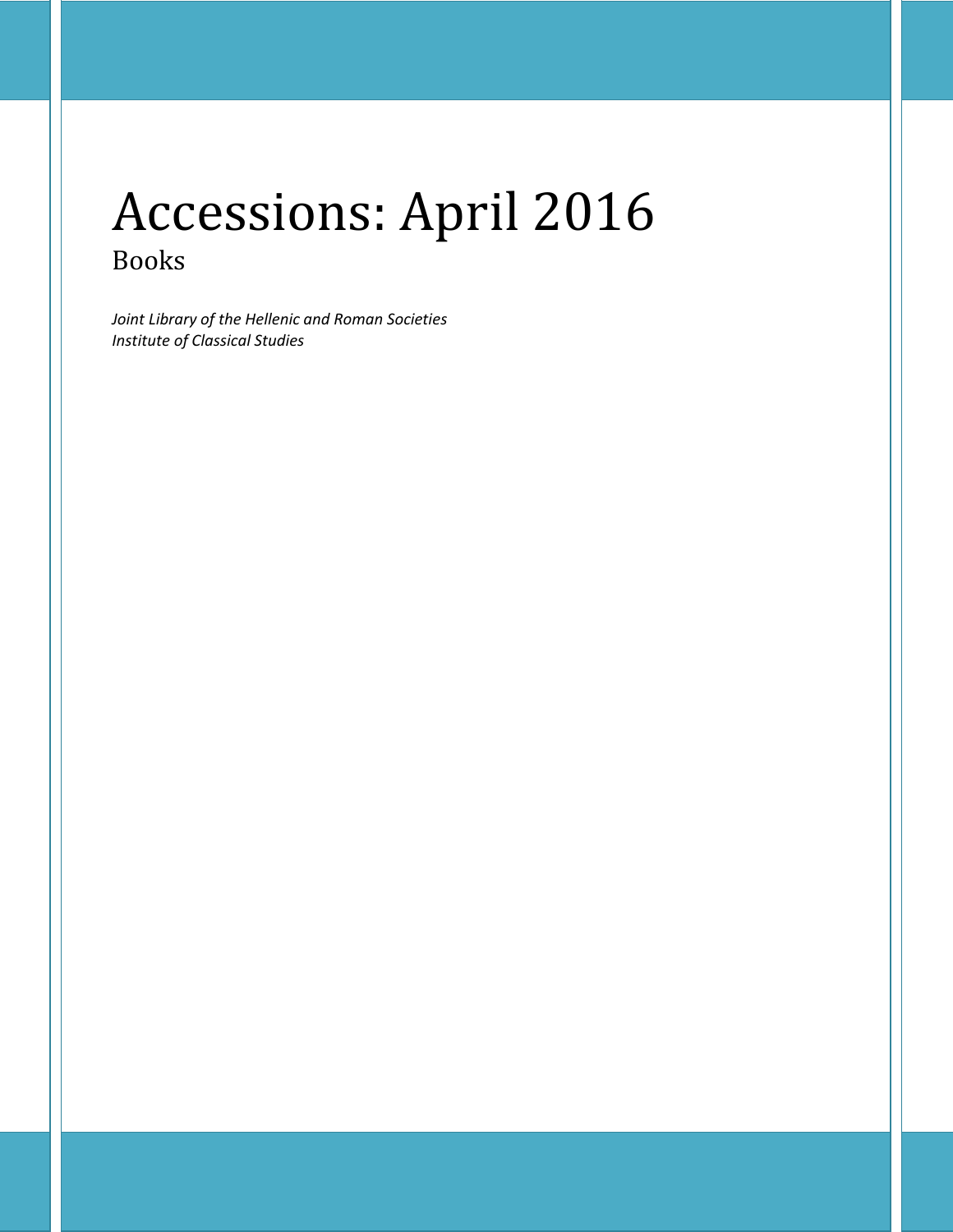# Accessions: April 2016 Books

*Joint Library of the Hellenic and Roman Societies Institute of Classical Studies*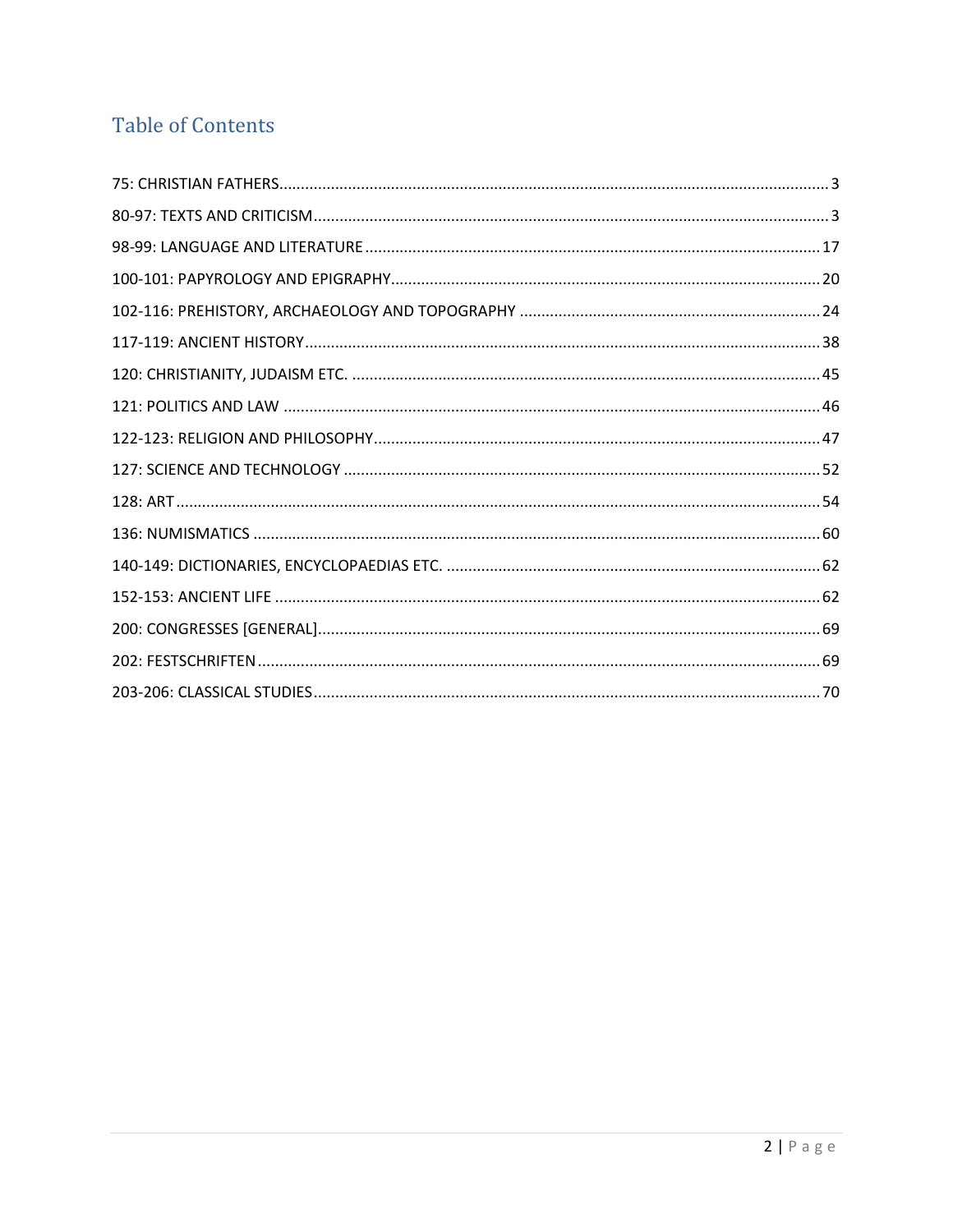## **Table of Contents**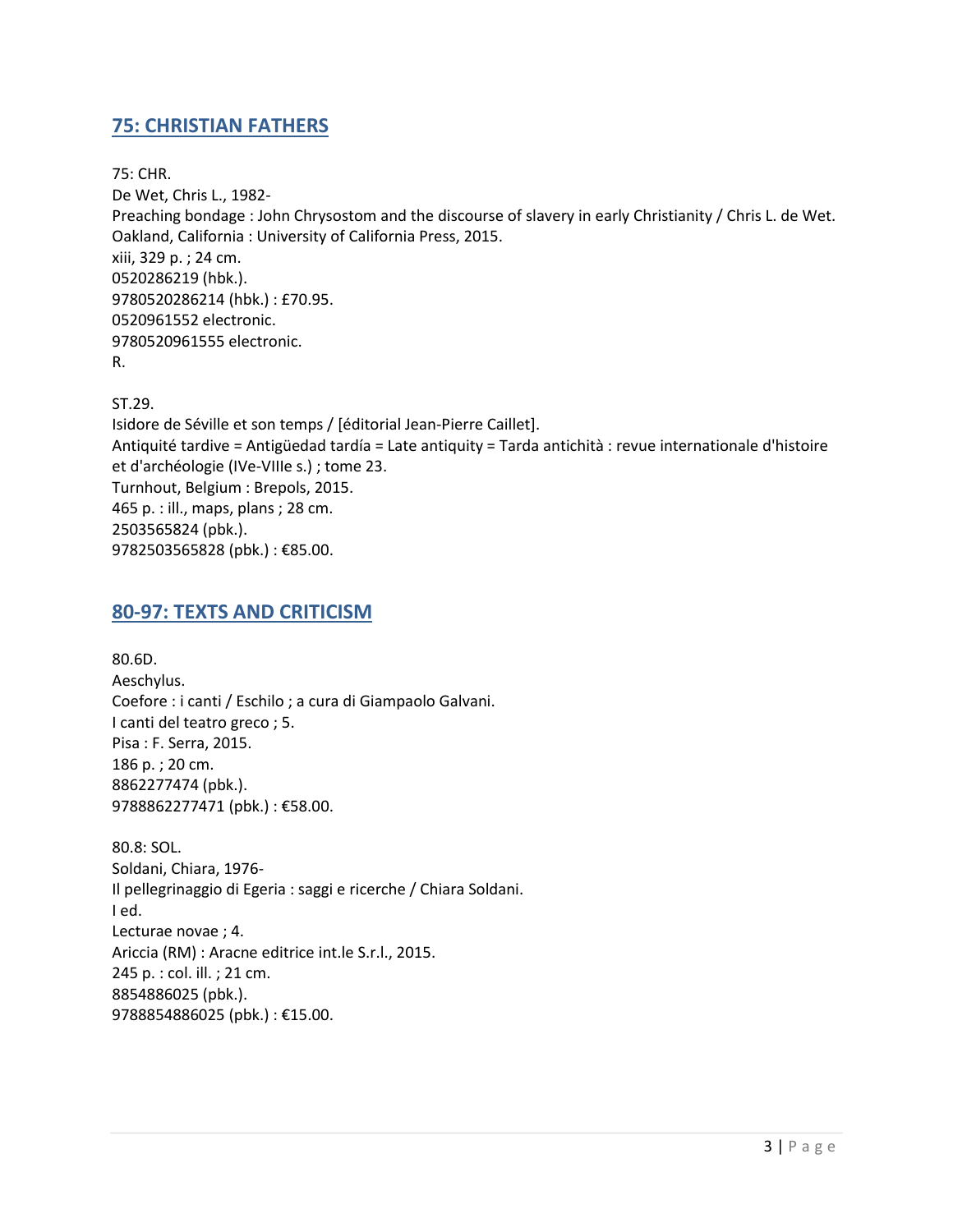## <span id="page-2-0"></span>**75: CHRISTIAN FATHERS**

75: CHR. De Wet, Chris L., 1982- Preaching bondage : John Chrysostom and the discourse of slavery in early Christianity / Chris L. de Wet. Oakland, California : University of California Press, 2015. xiii, 329 p. ; 24 cm. 0520286219 (hbk.). 9780520286214 (hbk.) : £70.95. 0520961552 electronic. 9780520961555 electronic. R.

ST.29.

Isidore de Séville et son temps / [éditorial Jean-Pierre Caillet]. Antiquité tardive = Antigüedad tardía = Late antiquity = Tarda antichità : revue internationale d'histoire et d'archéologie (IVe-VIIIe s.) ; tome 23. Turnhout, Belgium : Brepols, 2015. 465 p. : ill., maps, plans ; 28 cm. 2503565824 (pbk.). 9782503565828 (pbk.) : €85.00.

#### <span id="page-2-1"></span>**80-97: TEXTS AND CRITICISM**

80.6D. Aeschylus. Coefore : i canti / Eschilo ; a cura di Giampaolo Galvani. I canti del teatro greco ; 5. Pisa : F. Serra, 2015. 186 p. ; 20 cm. 8862277474 (pbk.). 9788862277471 (pbk.) : €58.00.

80.8: SOL. Soldani, Chiara, 1976- Il pellegrinaggio di Egeria : saggi e ricerche / Chiara Soldani. I ed. Lecturae novae ; 4. Ariccia (RM) : Aracne editrice int.le S.r.l., 2015. 245 p. : col. ill. ; 21 cm. 8854886025 (pbk.). 9788854886025 (pbk.) : €15.00.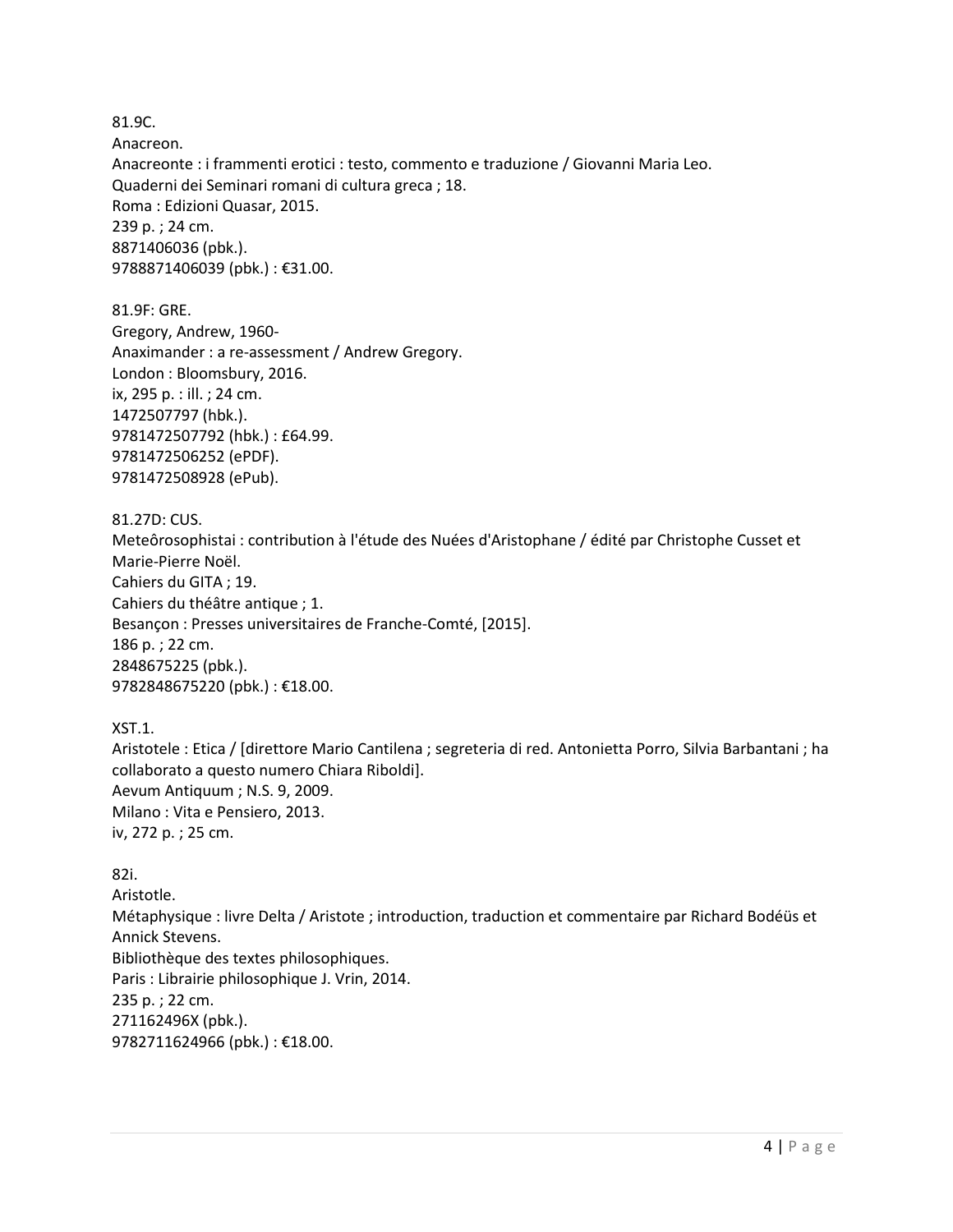81.9C. Anacreon. Anacreonte : i frammenti erotici : testo, commento e traduzione / Giovanni Maria Leo. Quaderni dei Seminari romani di cultura greca ; 18. Roma : Edizioni Quasar, 2015. 239 p. ; 24 cm. 8871406036 (pbk.). 9788871406039 (pbk.) : €31.00.

81.9F: GRE. Gregory, Andrew, 1960- Anaximander : a re-assessment / Andrew Gregory. London : Bloomsbury, 2016. ix, 295 p. : ill. ; 24 cm. 1472507797 (hbk.). 9781472507792 (hbk.) : £64.99. 9781472506252 (ePDF). 9781472508928 (ePub).

81.27D: CUS.

Meteôrosophistai : contribution à l'étude des Nuées d'Aristophane / édité par Christophe Cusset et Marie-Pierre Noël. Cahiers du GITA ; 19. Cahiers du théâtre antique ; 1. Besançon : Presses universitaires de Franche-Comté, [2015]. 186 p. ; 22 cm. 2848675225 (pbk.). 9782848675220 (pbk.) : €18.00.

XST.1.

Aristotele : Etica / [direttore Mario Cantilena ; segreteria di red. Antonietta Porro, Silvia Barbantani ; ha collaborato a questo numero Chiara Riboldi]. Aevum Antiquum ; N.S. 9, 2009. Milano : Vita e Pensiero, 2013. iv, 272 p. ; 25 cm.

82i. Aristotle. Métaphysique : livre Delta / Aristote ; introduction, traduction et commentaire par Richard Bodéüs et Annick Stevens. Bibliothèque des textes philosophiques. Paris : Librairie philosophique J. Vrin, 2014. 235 p. ; 22 cm. 271162496X (pbk.). 9782711624966 (pbk.) : €18.00.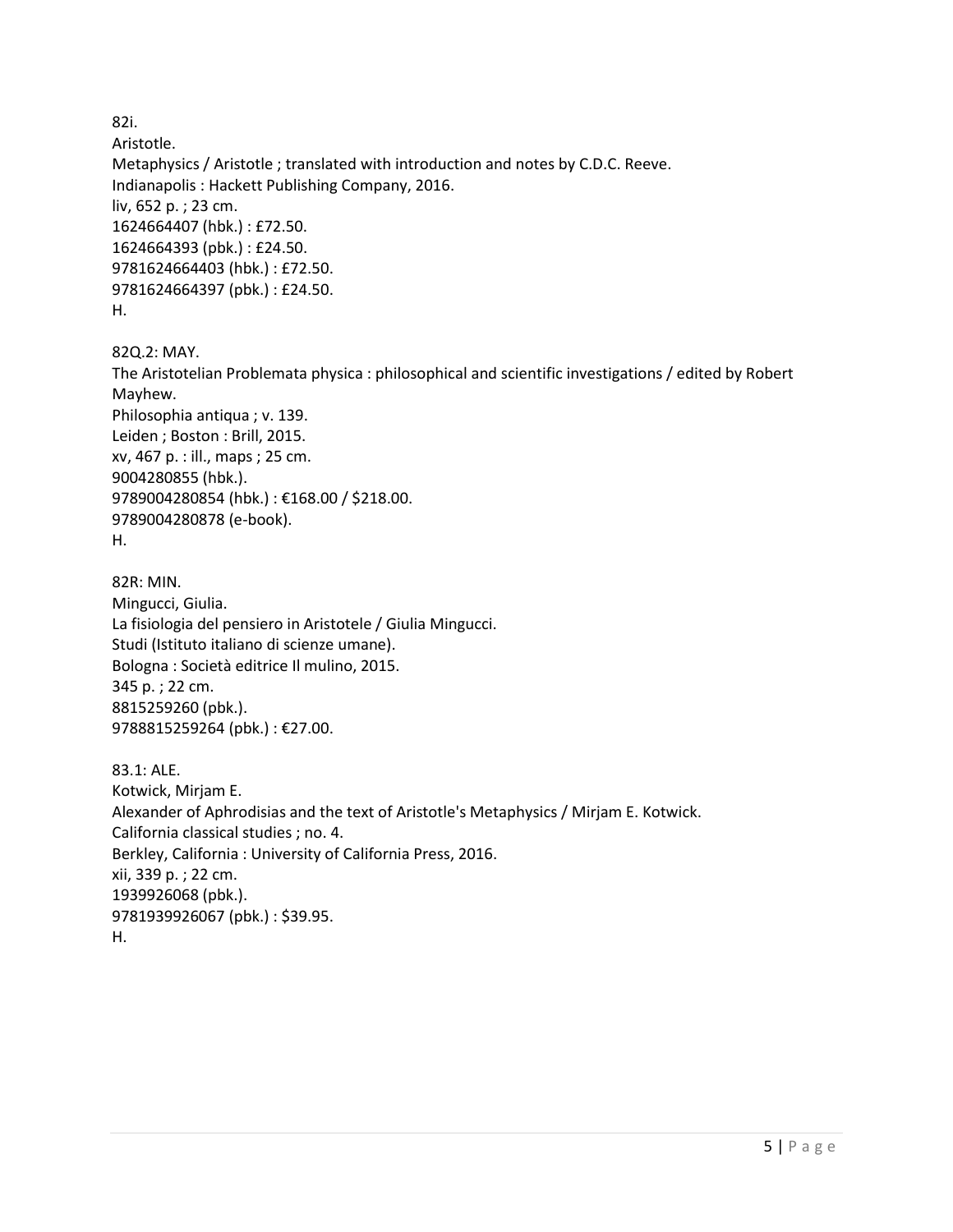82i.

Aristotle. Metaphysics / Aristotle ; translated with introduction and notes by C.D.C. Reeve. Indianapolis : Hackett Publishing Company, 2016. liv, 652 p. ; 23 cm. 1624664407 (hbk.) : £72.50. 1624664393 (pbk.) : £24.50. 9781624664403 (hbk.) : £72.50. 9781624664397 (pbk.) : £24.50. H.

82Q.2: MAY. The Aristotelian Problemata physica : philosophical and scientific investigations / edited by Robert Mayhew. Philosophia antiqua ; v. 139. Leiden ; Boston : Brill, 2015. xv, 467 p. : ill., maps ; 25 cm. 9004280855 (hbk.). 9789004280854 (hbk.) : €168.00 / \$218.00. 9789004280878 (e-book). H.

82R: MIN. Mingucci, Giulia. La fisiologia del pensiero in Aristotele / Giulia Mingucci. Studi (Istituto italiano di scienze umane). Bologna : Società editrice Il mulino, 2015. 345 p. ; 22 cm. 8815259260 (pbk.). 9788815259264 (pbk.) : €27.00.

83.1: ALE. Kotwick, Mirjam E. Alexander of Aphrodisias and the text of Aristotle's Metaphysics / Mirjam E. Kotwick. California classical studies ; no. 4. Berkley, California : University of California Press, 2016. xii, 339 p. ; 22 cm. 1939926068 (pbk.). 9781939926067 (pbk.) : \$39.95. H.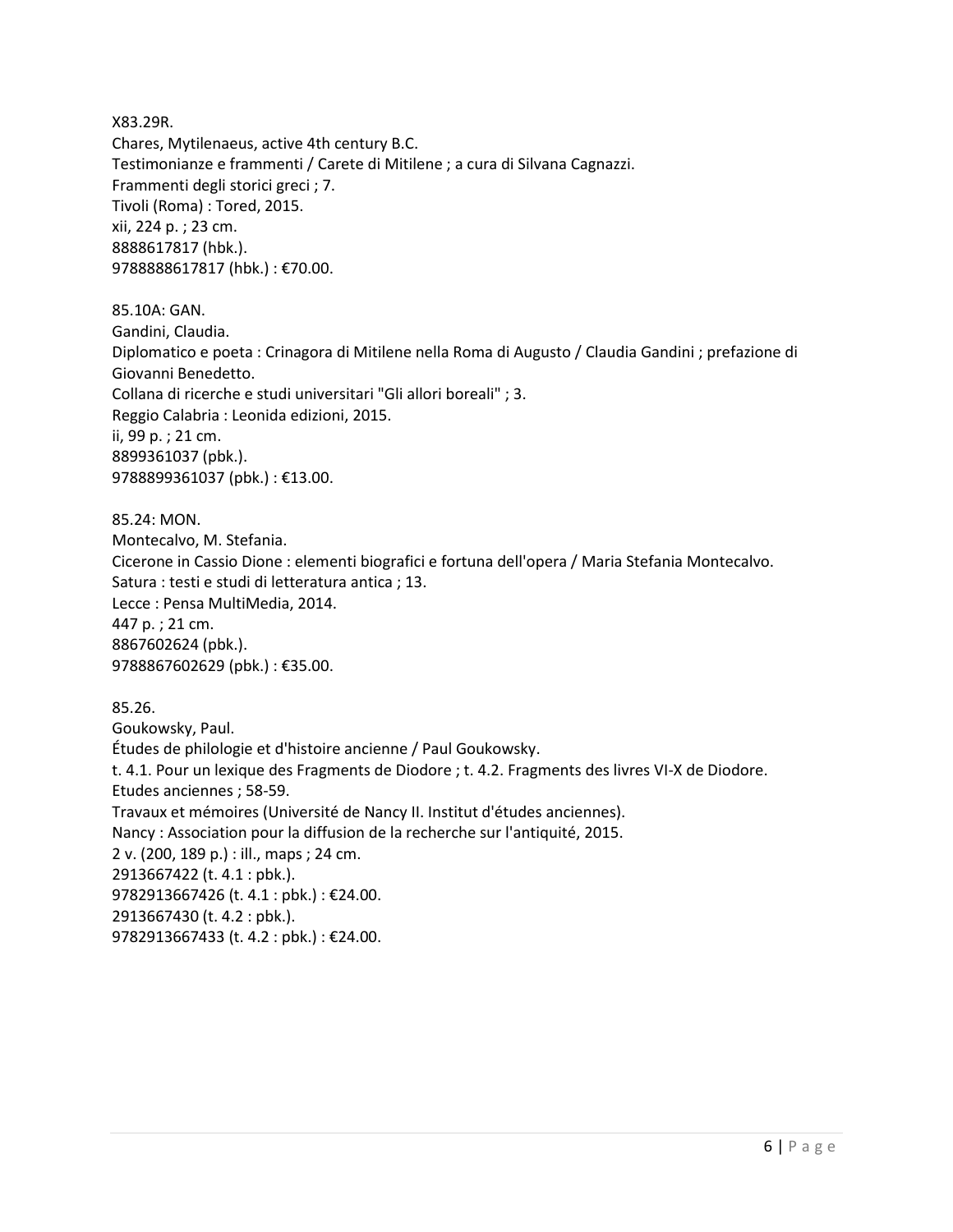X83.29R. Chares, Mytilenaeus, active 4th century B.C. Testimonianze e frammenti / Carete di Mitilene ; a cura di Silvana Cagnazzi. Frammenti degli storici greci ; 7. Tivoli (Roma) : Tored, 2015. xii, 224 p. ; 23 cm. 8888617817 (hbk.). 9788888617817 (hbk.) : €70.00.

85.10A: GAN. Gandini, Claudia. Diplomatico e poeta : Crinagora di Mitilene nella Roma di Augusto / Claudia Gandini ; prefazione di Giovanni Benedetto. Collana di ricerche e studi universitari "Gli allori boreali" ; 3. Reggio Calabria : Leonida edizioni, 2015. ii, 99 p. ; 21 cm. 8899361037 (pbk.). 9788899361037 (pbk.) : €13.00.

85.24: MON. Montecalvo, M. Stefania. Cicerone in Cassio Dione : elementi biografici e fortuna dell'opera / Maria Stefania Montecalvo. Satura : testi e studi di letteratura antica ; 13. Lecce : Pensa MultiMedia, 2014. 447 p. ; 21 cm. 8867602624 (pbk.). 9788867602629 (pbk.): €35.00.

85.26. Goukowsky, Paul. Études de philologie et d'histoire ancienne / Paul Goukowsky. t. 4.1. Pour un lexique des Fragments de Diodore ; t. 4.2. Fragments des livres VI-X de Diodore. Etudes anciennes ; 58-59. Travaux et mémoires (Université de Nancy II. Institut d'études anciennes). Nancy : Association pour la diffusion de la recherche sur l'antiquité, 2015. 2 v. (200, 189 p.) : ill., maps ; 24 cm. 2913667422 (t. 4.1 : pbk.). 9782913667426 (t. 4.1 : pbk.) : €24.00. 2913667430 (t. 4.2 : pbk.). 9782913667433 (t. 4.2 : pbk.) : €24.00.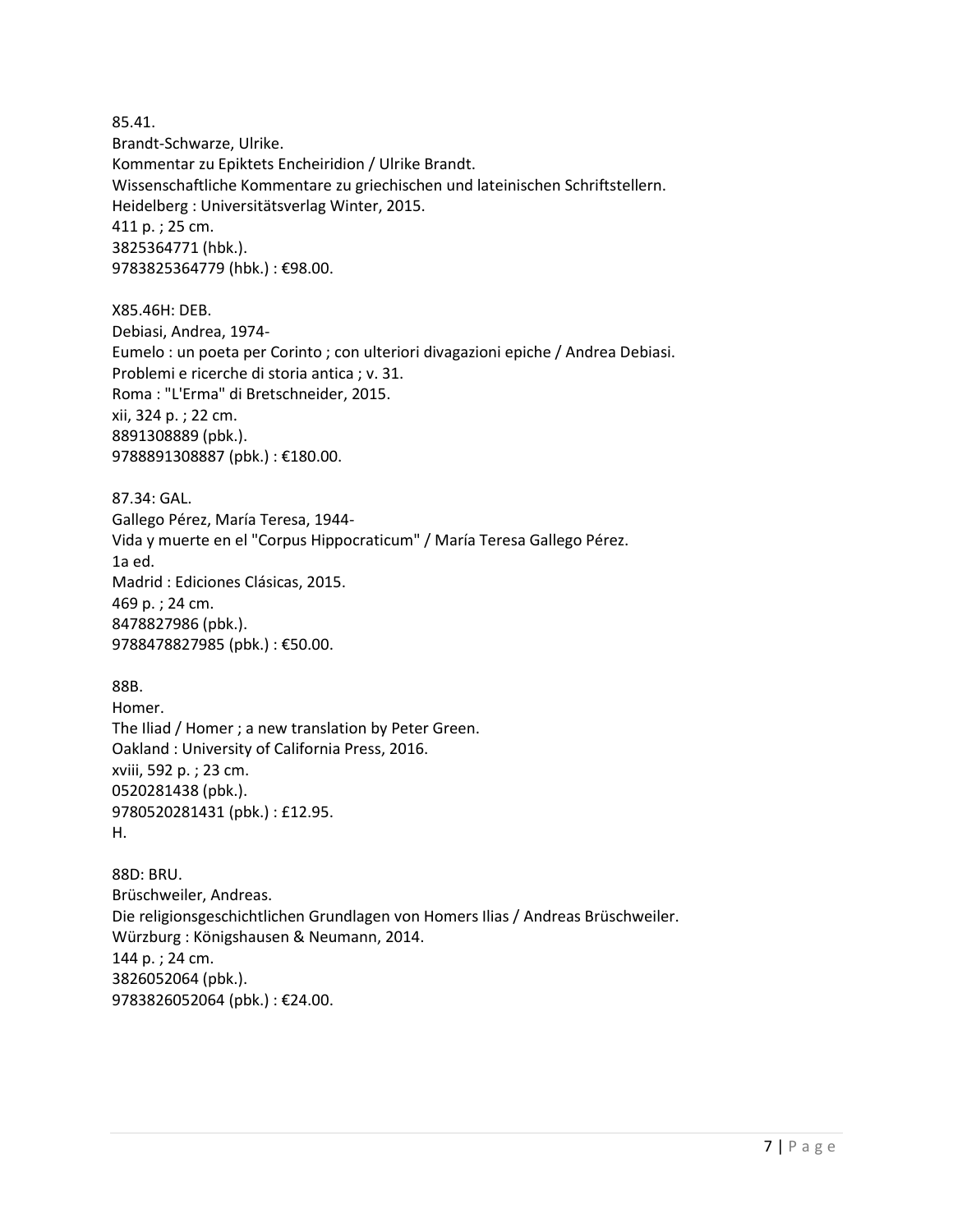85.41. Brandt-Schwarze, Ulrike. Kommentar zu Epiktets Encheiridion / Ulrike Brandt. Wissenschaftliche Kommentare zu griechischen und lateinischen Schriftstellern. Heidelberg : Universitätsverlag Winter, 2015. 411 p. ; 25 cm. 3825364771 (hbk.). 9783825364779 (hbk.) : €98.00. X85.46H: DEB. Debiasi, Andrea, 1974- Eumelo : un poeta per Corinto ; con ulteriori divagazioni epiche / Andrea Debiasi. Problemi e ricerche di storia antica ; v. 31. Roma : "L'Erma" di Bretschneider, 2015. xii, 324 p. ; 22 cm. 8891308889 (pbk.). 9788891308887 (pbk.) : €180.00. 87.34: GAL. Gallego Pérez, María Teresa, 1944- Vida y muerte en el "Corpus Hippocraticum" / María Teresa Gallego Pérez. 1a ed. Madrid : Ediciones Clásicas, 2015. 469 p. ; 24 cm. 8478827986 (pbk.). 9788478827985 (pbk.) : €50.00. 88B. Homer. The Iliad / Homer ; a new translation by Peter Green. Oakland : University of California Press, 2016. xviii, 592 p. ; 23 cm. 0520281438 (pbk.). 9780520281431 (pbk.) : £12.95.

H.

88D: BRU. Brüschweiler, Andreas. Die religionsgeschichtlichen Grundlagen von Homers Ilias / Andreas Brüschweiler. Würzburg : Königshausen & Neumann, 2014. 144 p. ; 24 cm. 3826052064 (pbk.). 9783826052064 (pbk.) : €24.00.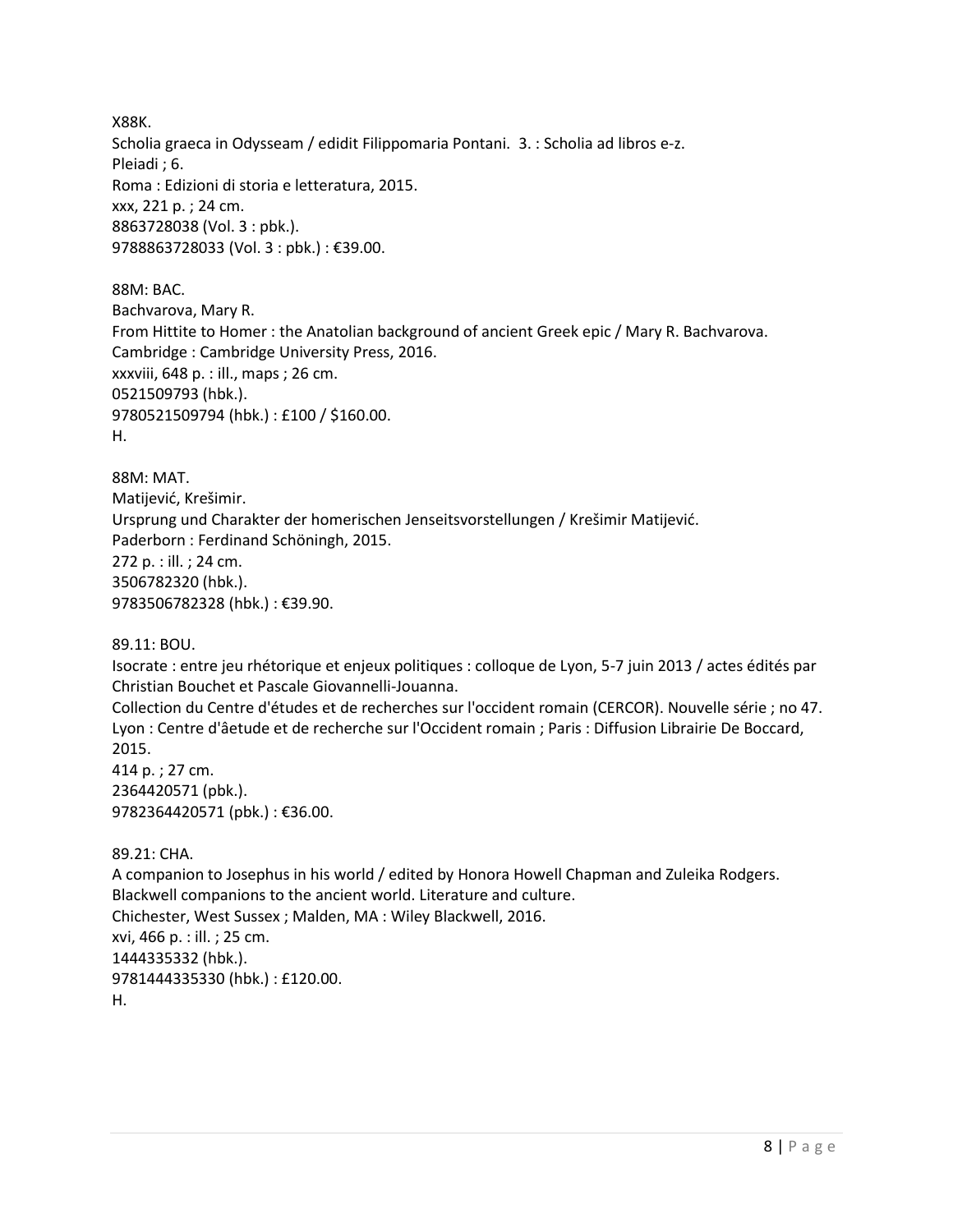X88K. Scholia graeca in Odysseam / edidit Filippomaria Pontani. 3. : Scholia ad libros e-z. Pleiadi ; 6. Roma : Edizioni di storia e letteratura, 2015. xxx, 221 p. ; 24 cm. 8863728038 (Vol. 3 : pbk.). 9788863728033 (Vol. 3 : pbk.) : €39.00.

88M: BAC. Bachvarova, Mary R. From Hittite to Homer : the Anatolian background of ancient Greek epic / Mary R. Bachvarova. Cambridge : Cambridge University Press, 2016. xxxviii, 648 p. : ill., maps ; 26 cm. 0521509793 (hbk.). 9780521509794 (hbk.) : £100 / \$160.00. H.

88M: MAT. Matijević, Krešimir. Ursprung und Charakter der homerischen Jenseitsvorstellungen / Krešimir Matijević. Paderborn : Ferdinand Schöningh, 2015. 272 p. : ill. ; 24 cm. 3506782320 (hbk.). 9783506782328 (hbk.) : €39.90.

89.11: BOU.

Isocrate : entre jeu rhétorique et enjeux politiques : colloque de Lyon, 5-7 juin 2013 / actes édités par Christian Bouchet et Pascale Giovannelli-Jouanna.

Collection du Centre d'études et de recherches sur l'occident romain (CERCOR). Nouvelle série ; no 47. Lyon : Centre d'âetude et de recherche sur l'Occident romain ; Paris : Diffusion Librairie De Boccard, 2015. 414 p. ; 27 cm.

2364420571 (pbk.). 9782364420571 (pbk.) : €36.00.

89.21: CHA. A companion to Josephus in his world / edited by Honora Howell Chapman and Zuleika Rodgers. Blackwell companions to the ancient world. Literature and culture. Chichester, West Sussex ; Malden, MA : Wiley Blackwell, 2016. xvi, 466 p. : ill. ; 25 cm. 1444335332 (hbk.). 9781444335330 (hbk.) : £120.00. H.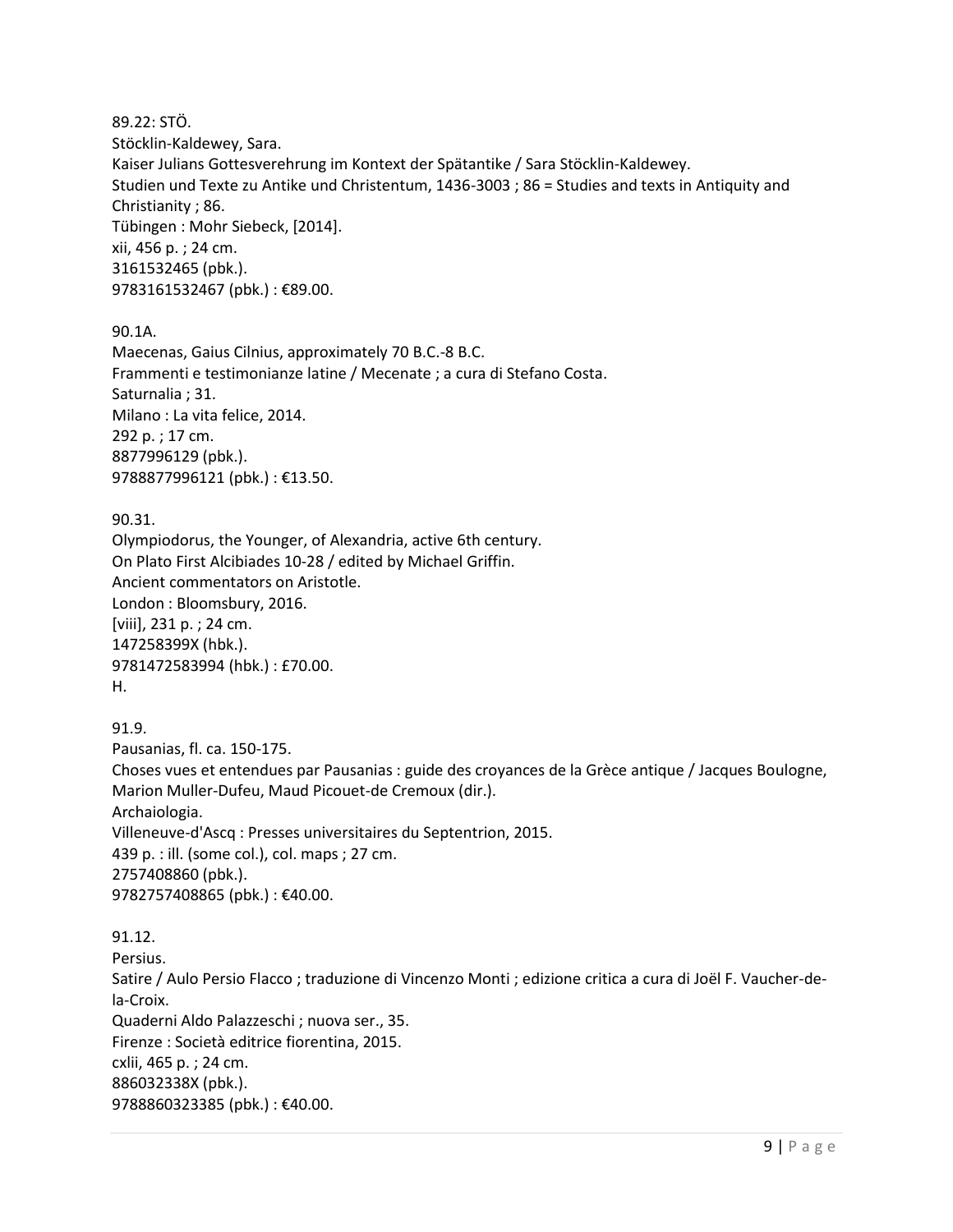89.22: STÖ. Stöcklin-Kaldewey, Sara. Kaiser Julians Gottesverehrung im Kontext der Spätantike / Sara Stöcklin-Kaldewey. Studien und Texte zu Antike und Christentum, 1436-3003 ; 86 = Studies and texts in Antiquity and Christianity ; 86. Tübingen : Mohr Siebeck, [2014]. xii, 456 p. ; 24 cm. 3161532465 (pbk.). 9783161532467 (pbk.) : €89.00.

90.1A.

Maecenas, Gaius Cilnius, approximately 70 B.C.-8 B.C. Frammenti e testimonianze latine / Mecenate ; a cura di Stefano Costa. Saturnalia ; 31. Milano : La vita felice, 2014. 292 p. ; 17 cm. 8877996129 (pbk.). 9788877996121 (pbk.) : €13.50.

90.31. Olympiodorus, the Younger, of Alexandria, active 6th century. On Plato First Alcibiades 10-28 / edited by Michael Griffin. Ancient commentators on Aristotle. London : Bloomsbury, 2016. [viii], 231 p. ; 24 cm. 147258399X (hbk.). 9781472583994 (hbk.) : £70.00. H.

91.9. Pausanias, fl. ca. 150-175. Choses vues et entendues par Pausanias : guide des croyances de la Grèce antique / Jacques Boulogne, Marion Muller-Dufeu, Maud Picouet-de Cremoux (dir.). Archaiologia. Villeneuve-d'Ascq : Presses universitaires du Septentrion, 2015. 439 p. : ill. (some col.), col. maps ; 27 cm. 2757408860 (pbk.). 9782757408865 (pbk.) : €40.00.

91.12. Persius. Satire / Aulo Persio Flacco ; traduzione di Vincenzo Monti ; edizione critica a cura di Joël F. Vaucher-dela-Croix. Quaderni Aldo Palazzeschi ; nuova ser., 35. Firenze : Società editrice fiorentina, 2015. cxlii, 465 p. ; 24 cm. 886032338X (pbk.). 9788860323385 (pbk.): €40.00.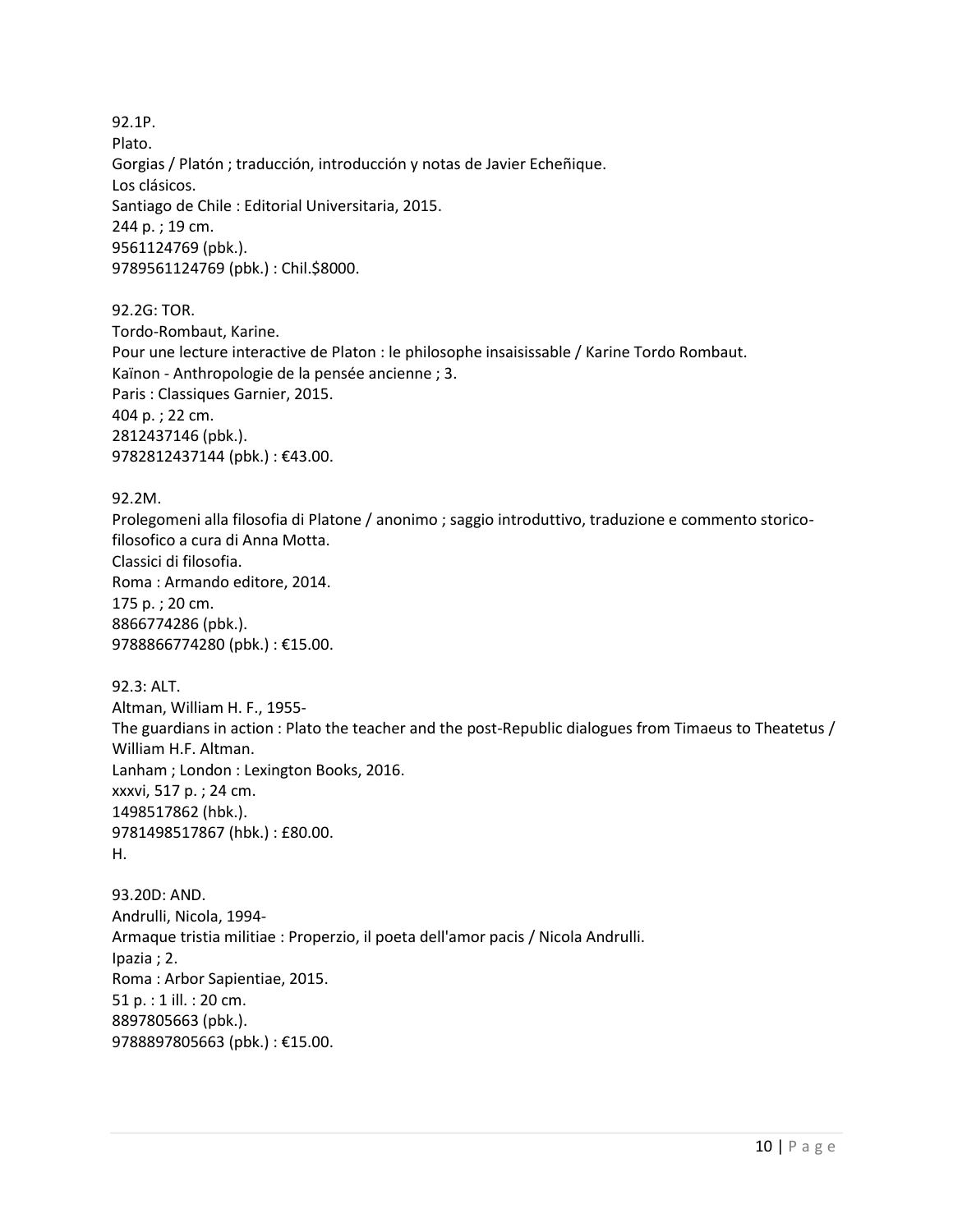92.1P. Plato. Gorgias / Platón ; traducción, introducción y notas de Javier Echeñique. Los clásicos. Santiago de Chile : Editorial Universitaria, 2015. 244 p. ; 19 cm. 9561124769 (pbk.). 9789561124769 (pbk.) : Chil.\$8000.

92.2G: TOR. Tordo-Rombaut, Karine. Pour une lecture interactive de Platon : le philosophe insaisissable / Karine Tordo Rombaut. Kaïnon - Anthropologie de la pensée ancienne ; 3. Paris : Classiques Garnier, 2015. 404 p. ; 22 cm. 2812437146 (pbk.). 9782812437144 (pbk.) : €43.00.

92.2M. Prolegomeni alla filosofia di Platone / anonimo ; saggio introduttivo, traduzione e commento storicofilosofico a cura di Anna Motta. Classici di filosofia. Roma : Armando editore, 2014. 175 p. ; 20 cm. 8866774286 (pbk.). 9788866774280 (pbk.) : €15.00.

92.3: ALT. Altman, William H. F., 1955- The guardians in action : Plato the teacher and the post-Republic dialogues from Timaeus to Theatetus / William H.F. Altman. Lanham ; London : Lexington Books, 2016. xxxvi, 517 p. ; 24 cm. 1498517862 (hbk.). 9781498517867 (hbk.) : £80.00. H.

93.20D: AND. Andrulli, Nicola, 1994- Armaque tristia militiae : Properzio, il poeta dell'amor pacis / Nicola Andrulli. Ipazia ; 2. Roma : Arbor Sapientiae, 2015. 51 p. : 1 ill. : 20 cm. 8897805663 (pbk.). 9788897805663 (pbk.) : €15.00.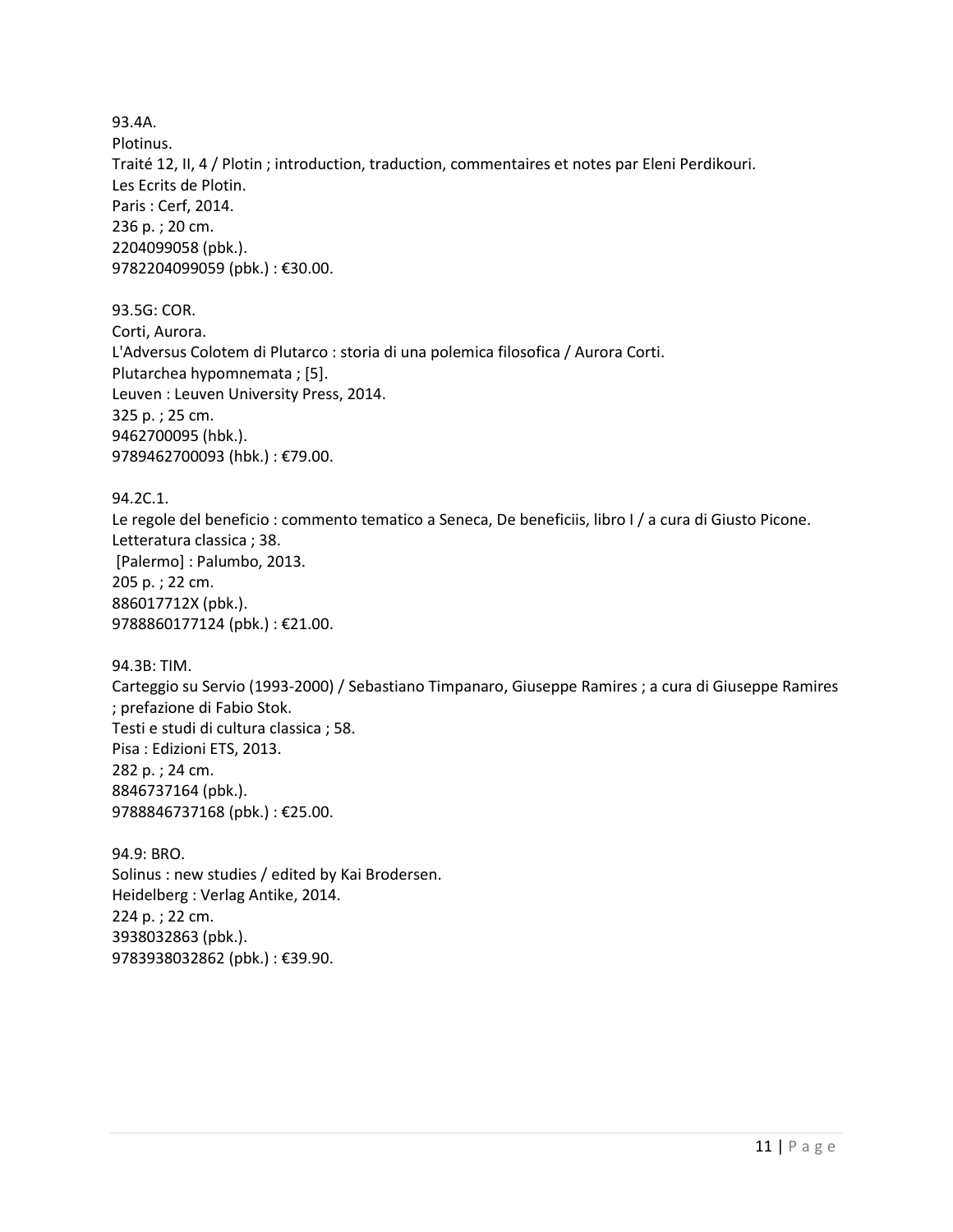93.4A. Plotinus. Traité 12, II, 4 / Plotin ; introduction, traduction, commentaires et notes par Eleni Perdikouri. Les Ecrits de Plotin. Paris : Cerf, 2014. 236 p. ; 20 cm. 2204099058 (pbk.). 9782204099059 (pbk.) : €30.00.

93.5G: COR. Corti, Aurora. L'Adversus Colotem di Plutarco : storia di una polemica filosofica / Aurora Corti. Plutarchea hypomnemata ; [5]. Leuven : Leuven University Press, 2014. 325 p. ; 25 cm. 9462700095 (hbk.). 9789462700093 (hbk.) : €79.00.

94.2C.1. Le regole del beneficio : commento tematico a Seneca, De beneficiis, libro I / a cura di Giusto Picone. Letteratura classica ; 38. [Palermo] : Palumbo, 2013. 205 p. ; 22 cm. 886017712X (pbk.). 9788860177124 (pbk.) : €21.00.

94.3B: TIM. Carteggio su Servio (1993-2000) / Sebastiano Timpanaro, Giuseppe Ramires ; a cura di Giuseppe Ramires ; prefazione di Fabio Stok. Testi e studi di cultura classica ; 58. Pisa : Edizioni ETS, 2013. 282 p. ; 24 cm. 8846737164 (pbk.). 9788846737168 (pbk.) : €25.00.

94.9: BRO. Solinus : new studies / edited by Kai Brodersen. Heidelberg : Verlag Antike, 2014. 224 p. ; 22 cm. 3938032863 (pbk.). 9783938032862 (pbk.) : €39.90.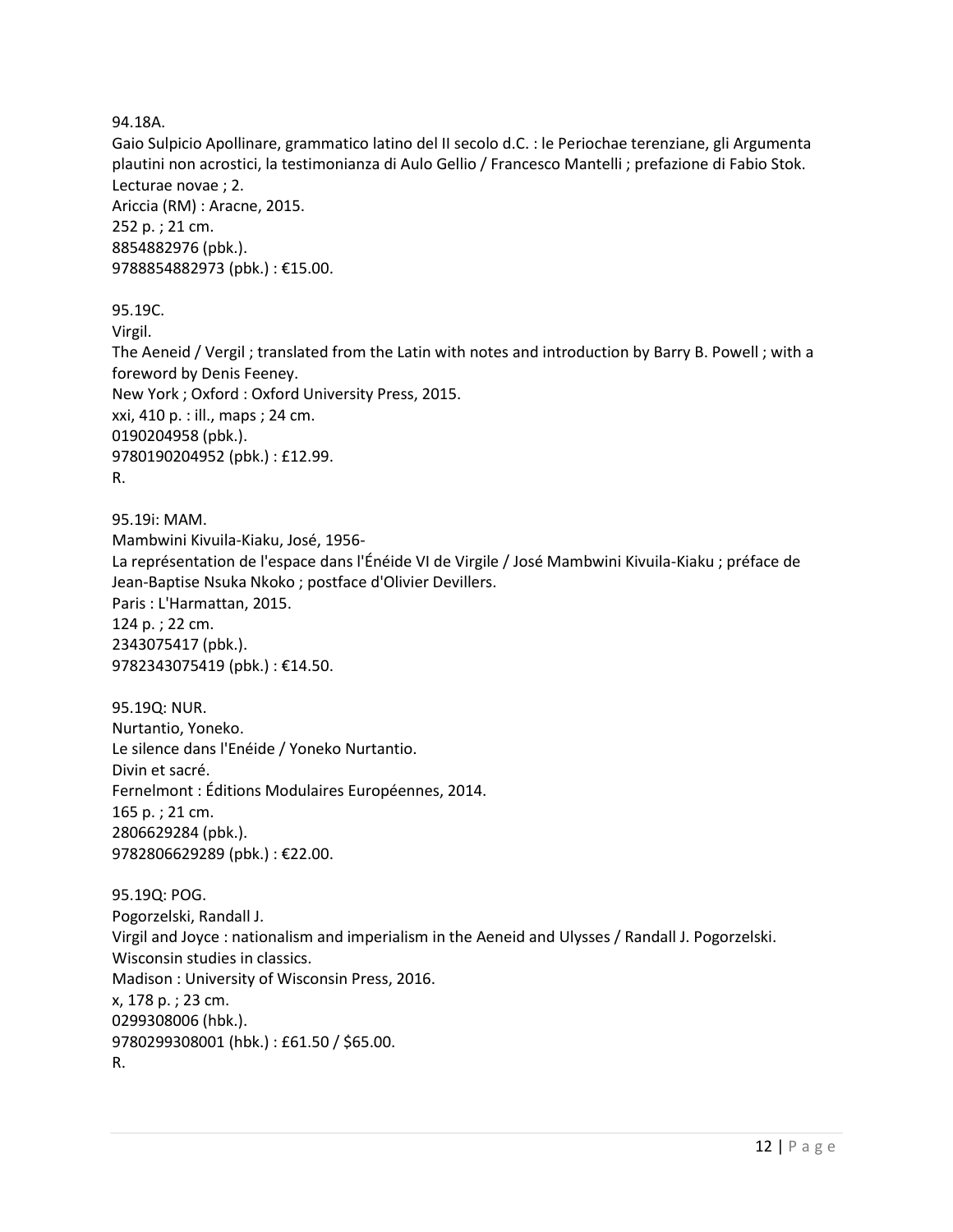94.18A.

Gaio Sulpicio Apollinare, grammatico latino del II secolo d.C. : le Periochae terenziane, gli Argumenta plautini non acrostici, la testimonianza di Aulo Gellio / Francesco Mantelli ; prefazione di Fabio Stok. Lecturae novae ; 2. Ariccia (RM) : Aracne, 2015. 252 p. ; 21 cm. 8854882976 (pbk.). 9788854882973 (pbk.) : €15.00.

95.19C.

Virgil.

The Aeneid / Vergil ; translated from the Latin with notes and introduction by Barry B. Powell ; with a foreword by Denis Feeney. New York ; Oxford : Oxford University Press, 2015. xxi, 410 p. : ill., maps ; 24 cm. 0190204958 (pbk.). 9780190204952 (pbk.) : £12.99.

```
R.
```
95.19i: MAM. Mambwini Kivuila-Kiaku, José, 1956- La représentation de l'espace dans l'Énéide VI de Virgile / José Mambwini Kivuila-Kiaku ; préface de Jean-Baptise Nsuka Nkoko ; postface d'Olivier Devillers. Paris : L'Harmattan, 2015. 124 p. ; 22 cm. 2343075417 (pbk.). 9782343075419 (pbk.) : €14.50.

95.19Q: NUR. Nurtantio, Yoneko. Le silence dans l'Enéide / Yoneko Nurtantio. Divin et sacré. Fernelmont : Éditions Modulaires Européennes, 2014. 165 p. ; 21 cm. 2806629284 (pbk.). 9782806629289 (pbk.) : €22.00.

95.19Q: POG. Pogorzelski, Randall J. Virgil and Joyce : nationalism and imperialism in the Aeneid and Ulysses / Randall J. Pogorzelski. Wisconsin studies in classics. Madison : University of Wisconsin Press, 2016. x, 178 p. ; 23 cm. 0299308006 (hbk.). 9780299308001 (hbk.) : £61.50 / \$65.00. R.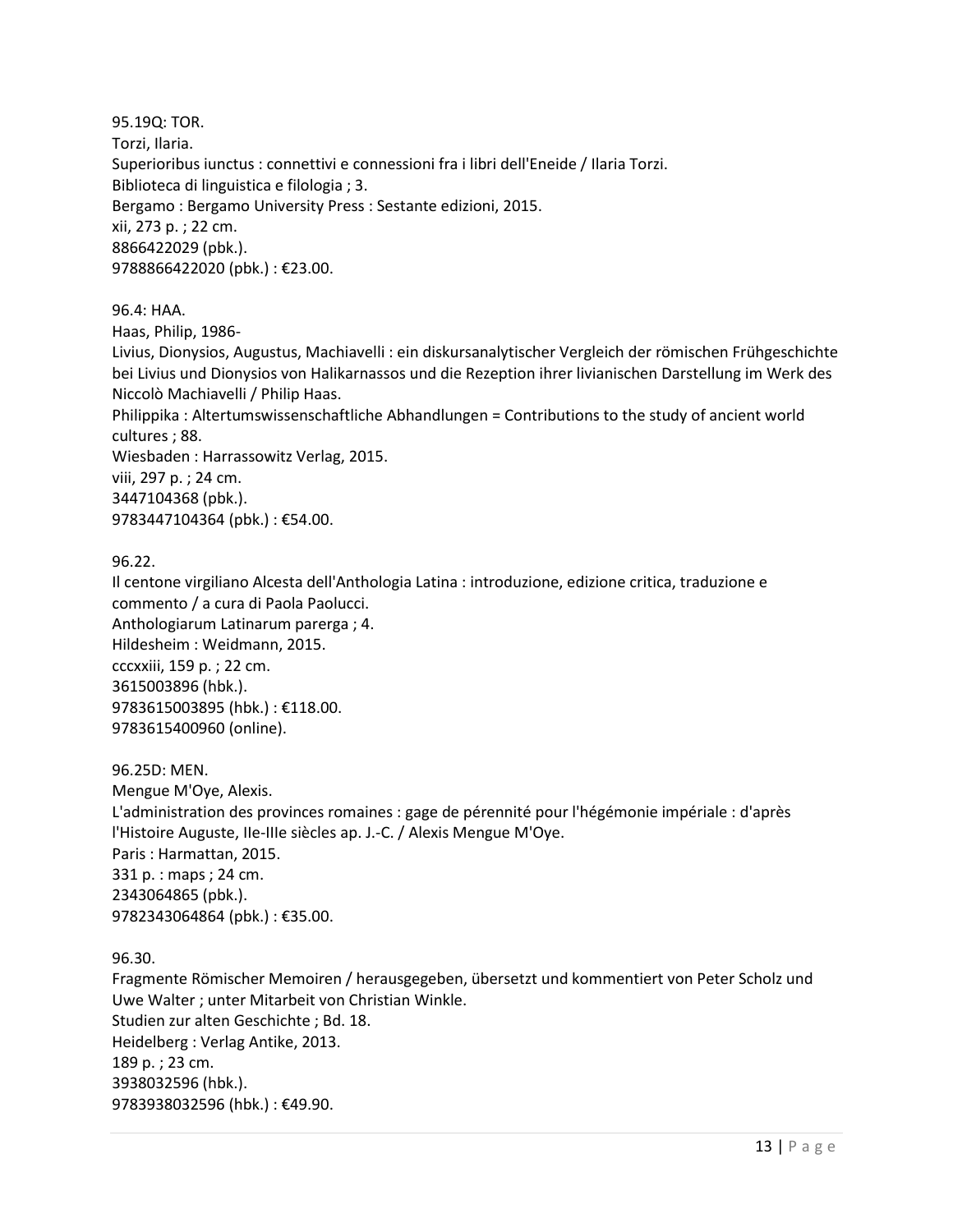95.19Q: TOR. Torzi, Ilaria. Superioribus iunctus : connettivi e connessioni fra i libri dell'Eneide / Ilaria Torzi. Biblioteca di linguistica e filologia ; 3. Bergamo : Bergamo University Press : Sestante edizioni, 2015. xii, 273 p. ; 22 cm. 8866422029 (pbk.). 9788866422020 (pbk.) : €23.00.

96.4: HAA.

Haas, Philip, 1986-

Livius, Dionysios, Augustus, Machiavelli : ein diskursanalytischer Vergleich der römischen Frühgeschichte bei Livius und Dionysios von Halikarnassos und die Rezeption ihrer livianischen Darstellung im Werk des Niccolò Machiavelli / Philip Haas.

Philippika : Altertumswissenschaftliche Abhandlungen = Contributions to the study of ancient world cultures ; 88.

Wiesbaden : Harrassowitz Verlag, 2015.

viii, 297 p. ; 24 cm.

3447104368 (pbk.).

9783447104364 (pbk.) : €54.00.

96.22.

Il centone virgiliano Alcesta dell'Anthologia Latina : introduzione, edizione critica, traduzione e commento / a cura di Paola Paolucci. Anthologiarum Latinarum parerga ; 4. Hildesheim : Weidmann, 2015. cccxxiii, 159 p. ; 22 cm. 3615003896 (hbk.). 9783615003895 (hbk.) : €118.00. 9783615400960 (online).

96.25D: MEN. Mengue M'Oye, Alexis. L'administration des provinces romaines : gage de pérennité pour l'hégémonie impériale : d'après l'Histoire Auguste, IIe-IIIe siècles ap. J.-C. / Alexis Mengue M'Oye. Paris : Harmattan, 2015. 331 p. : maps ; 24 cm. 2343064865 (pbk.). 9782343064864 (pbk.) : €35.00.

96.30.

Fragmente Römischer Memoiren / herausgegeben, übersetzt und kommentiert von Peter Scholz und Uwe Walter ; unter Mitarbeit von Christian Winkle. Studien zur alten Geschichte ; Bd. 18. Heidelberg : Verlag Antike, 2013. 189 p. ; 23 cm. 3938032596 (hbk.). 9783938032596 (hbk.) : €49.90.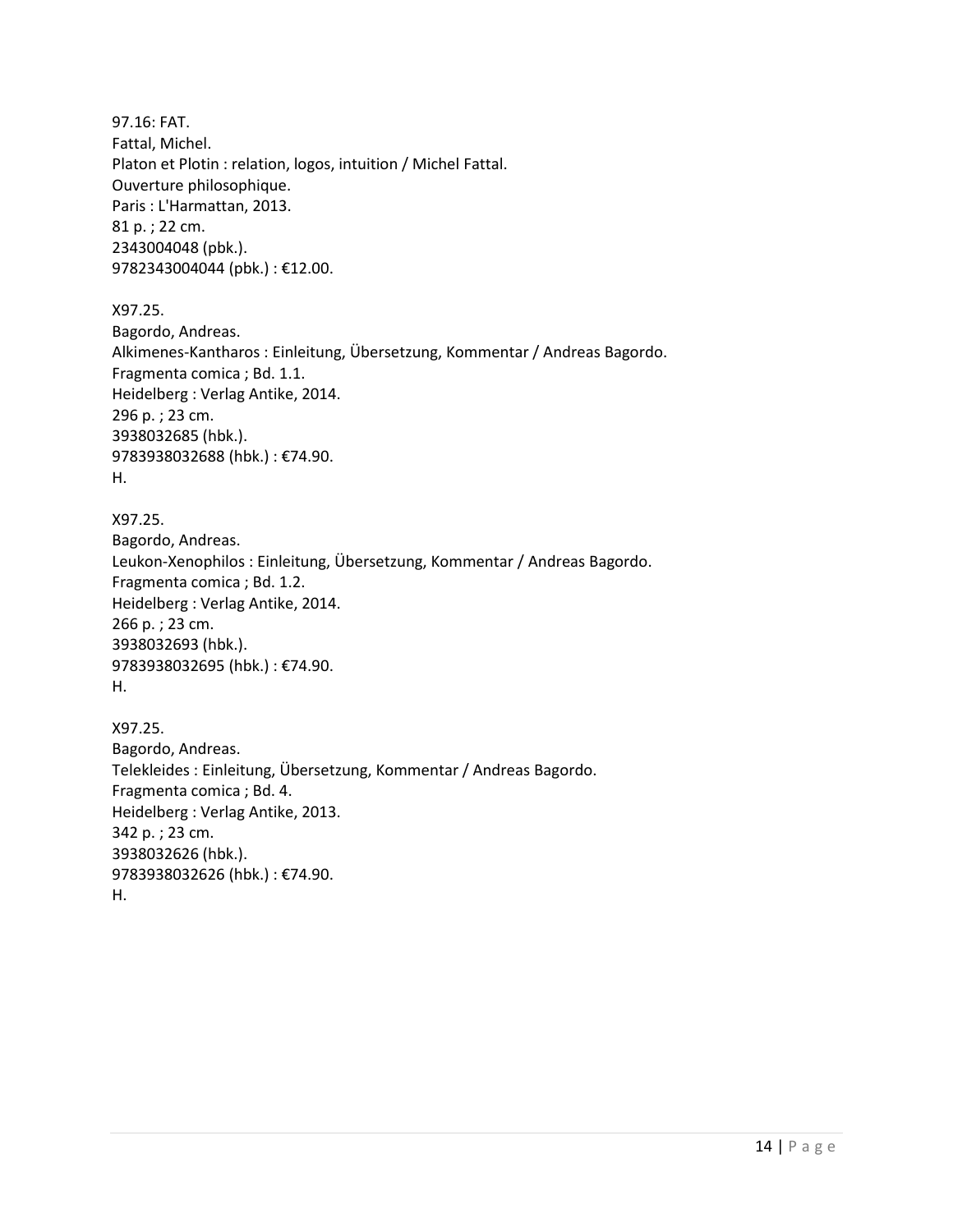97.16: FAT. Fattal, Michel. Platon et Plotin : relation, logos, intuition / Michel Fattal. Ouverture philosophique. Paris : L'Harmattan, 2013. 81 p. ; 22 cm. 2343004048 (pbk.). 9782343004044 (pbk.) : €12.00.

X97.25. Bagordo, Andreas. Alkimenes-Kantharos : Einleitung, Übersetzung, Kommentar / Andreas Bagordo. Fragmenta comica ; Bd. 1.1. Heidelberg : Verlag Antike, 2014. 296 p. ; 23 cm. 3938032685 (hbk.). 9783938032688 (hbk.) : €74.90. H.

X97.25. Bagordo, Andreas. Leukon-Xenophilos : Einleitung, Übersetzung, Kommentar / Andreas Bagordo. Fragmenta comica ; Bd. 1.2. Heidelberg : Verlag Antike, 2014. 266 p. ; 23 cm. 3938032693 (hbk.). 9783938032695 (hbk.) : €74.90. H.

X97.25. Bagordo, Andreas. Telekleides : Einleitung, Übersetzung, Kommentar / Andreas Bagordo. Fragmenta comica ; Bd. 4. Heidelberg : Verlag Antike, 2013. 342 p. ; 23 cm. 3938032626 (hbk.). 9783938032626 (hbk.) : €74.90. H.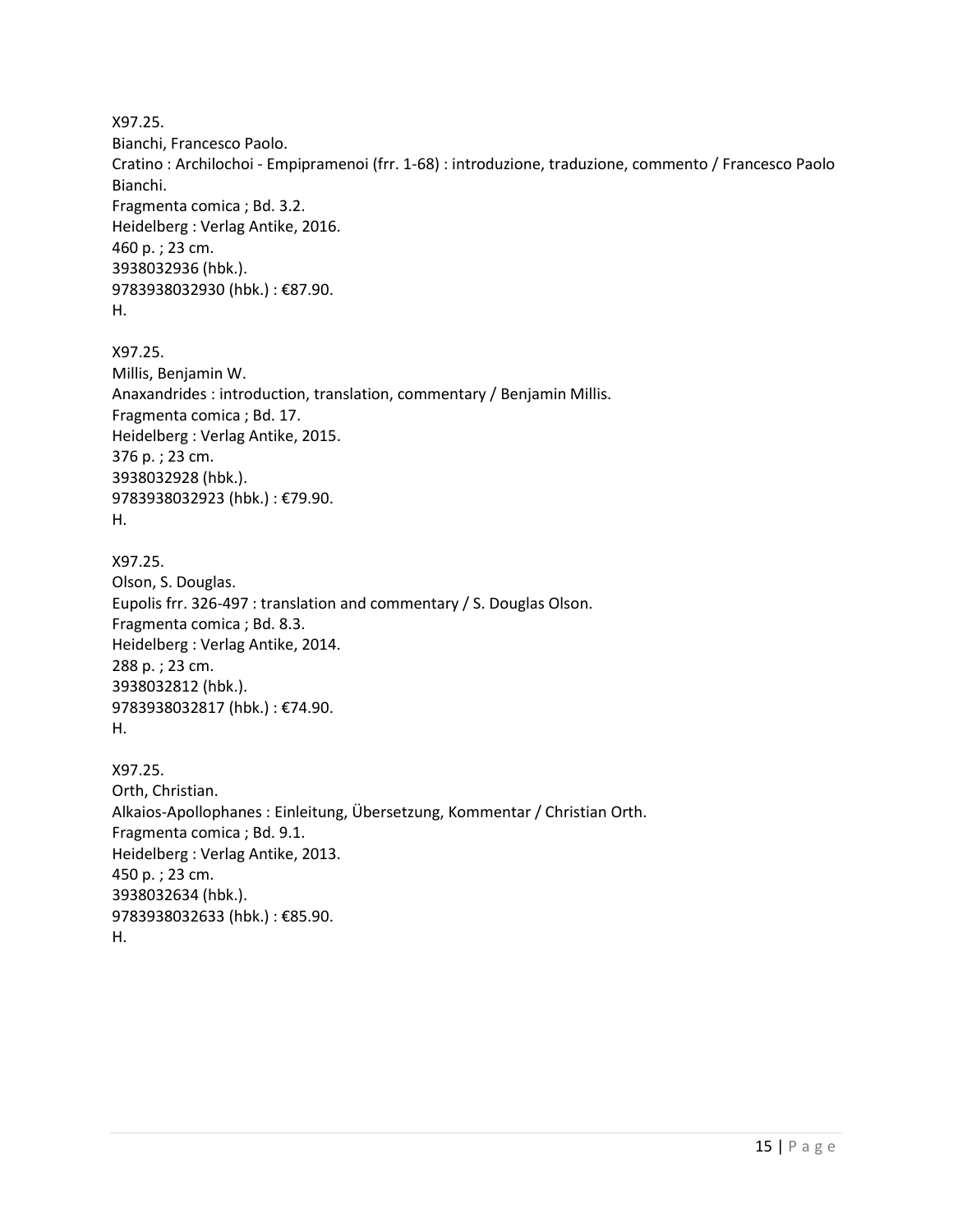X97.25. Bianchi, Francesco Paolo. Cratino : Archilochoi - Empipramenoi (frr. 1-68) : introduzione, traduzione, commento / Francesco Paolo Bianchi. Fragmenta comica ; Bd. 3.2. Heidelberg : Verlag Antike, 2016. 460 p. ; 23 cm. 3938032936 (hbk.). 9783938032930 (hbk.) : €87.90. H.

X97.25. Millis, Benjamin W. Anaxandrides : introduction, translation, commentary / Benjamin Millis. Fragmenta comica ; Bd. 17. Heidelberg : Verlag Antike, 2015. 376 p. ; 23 cm. 3938032928 (hbk.). 9783938032923 (hbk.) : €79.90. H.

X97.25. Olson, S. Douglas. Eupolis frr. 326-497 : translation and commentary / S. Douglas Olson. Fragmenta comica ; Bd. 8.3. Heidelberg : Verlag Antike, 2014. 288 p. ; 23 cm. 3938032812 (hbk.). 9783938032817 (hbk.) : €74.90. H.

X97.25. Orth, Christian. Alkaios-Apollophanes : Einleitung, Übersetzung, Kommentar / Christian Orth. Fragmenta comica ; Bd. 9.1. Heidelberg : Verlag Antike, 2013. 450 p. ; 23 cm. 3938032634 (hbk.). 9783938032633 (hbk.) : €85.90. H.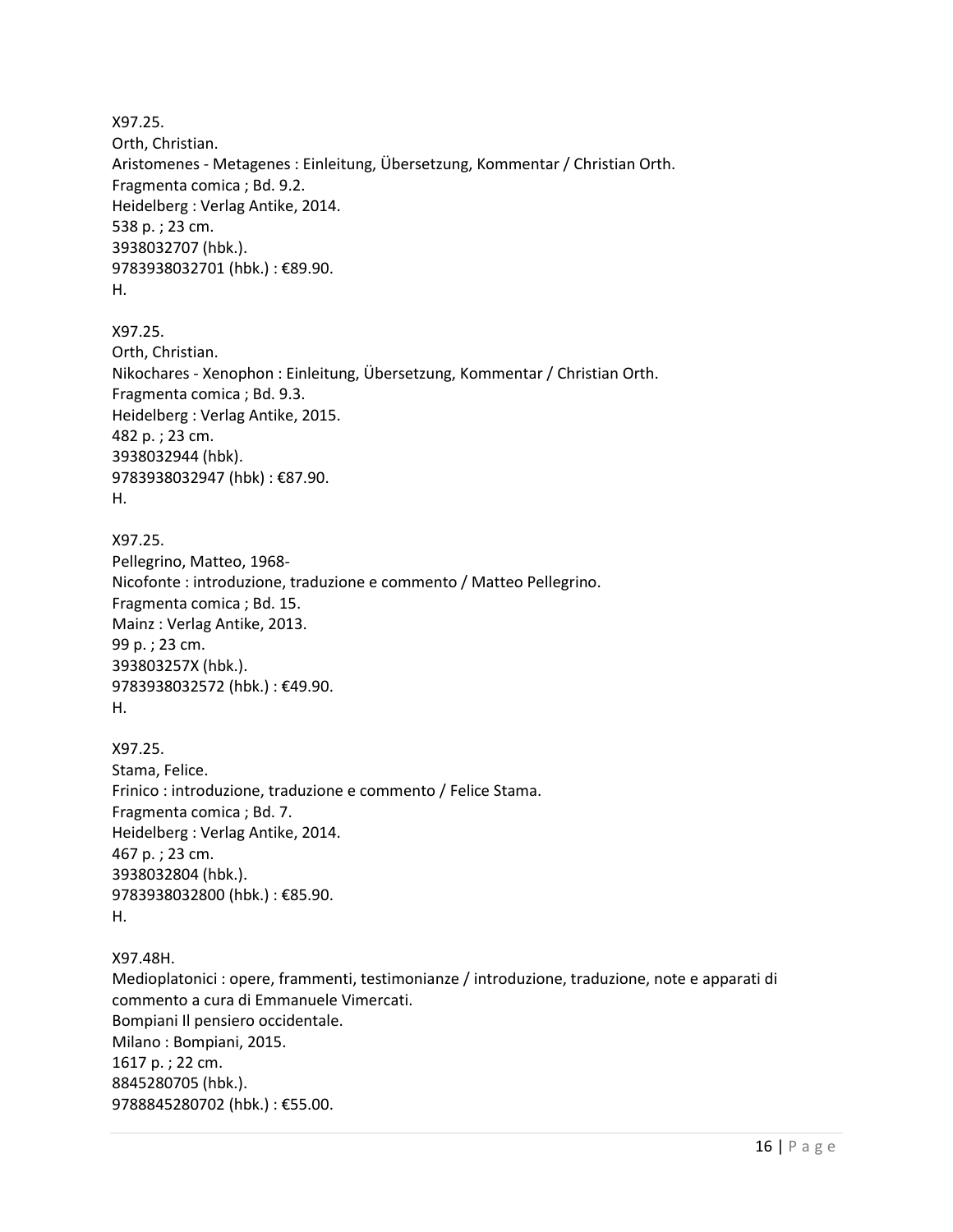X97.25. Orth, Christian. Aristomenes - Metagenes : Einleitung, Übersetzung, Kommentar / Christian Orth. Fragmenta comica ; Bd. 9.2. Heidelberg : Verlag Antike, 2014. 538 p. ; 23 cm. 3938032707 (hbk.). 9783938032701 (hbk.) : €89.90. H.

X97.25. Orth, Christian. Nikochares - Xenophon : Einleitung, Übersetzung, Kommentar / Christian Orth. Fragmenta comica ; Bd. 9.3. Heidelberg : Verlag Antike, 2015. 482 p. ; 23 cm. 3938032944 (hbk). 9783938032947 (hbk) : €87.90. H.

X97.25. Pellegrino, Matteo, 1968- Nicofonte : introduzione, traduzione e commento / Matteo Pellegrino. Fragmenta comica ; Bd. 15. Mainz : Verlag Antike, 2013. 99 p. ; 23 cm. 393803257X (hbk.). 9783938032572 (hbk.) : €49.90. H.

X97.25. Stama, Felice. Frinico : introduzione, traduzione e commento / Felice Stama. Fragmenta comica ; Bd. 7. Heidelberg : Verlag Antike, 2014. 467 p. ; 23 cm. 3938032804 (hbk.). 9783938032800 (hbk.) : €85.90. H.

X97.48H. Medioplatonici : opere, frammenti, testimonianze / introduzione, traduzione, note e apparati di commento a cura di Emmanuele Vimercati. Bompiani Il pensiero occidentale. Milano : Bompiani, 2015. 1617 p. ; 22 cm. 8845280705 (hbk.). 9788845280702 (hbk.) : €55.00.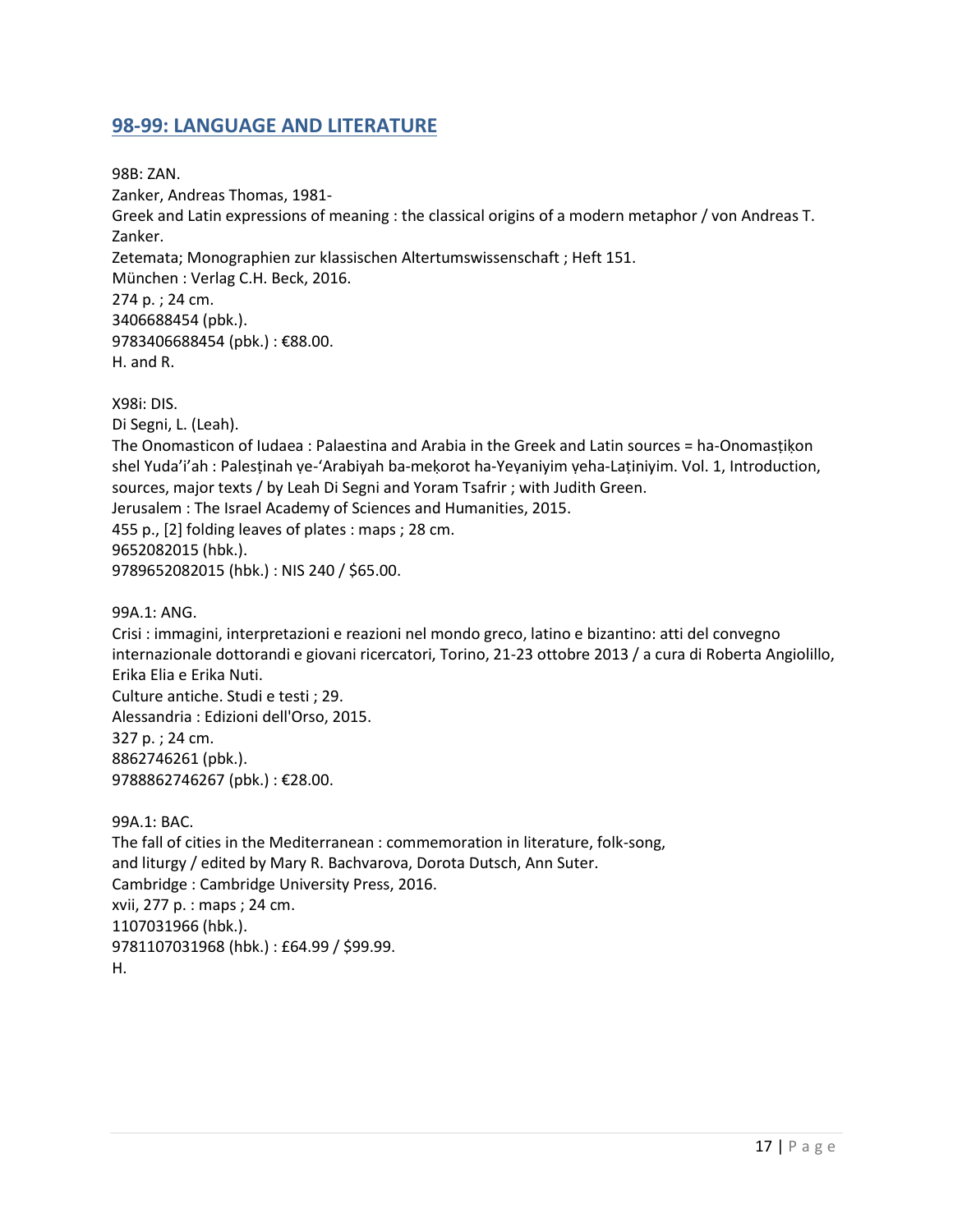## <span id="page-16-0"></span>**98-99: LANGUAGE AND LITERATURE**

98B: ZAN. Zanker, Andreas Thomas, 1981- Greek and Latin expressions of meaning : the classical origins of a modern metaphor / von Andreas T. Zanker. Zetemata; Monographien zur klassischen Altertumswissenschaft ; Heft 151. München : Verlag C.H. Beck, 2016. 274 p. ; 24 cm. 3406688454 (pbk.). 9783406688454 (pbk.): €88.00. H. and R. X98i: DIS. Di Segni, L. (Leah). The Onomasticon of Iudaea : Palaestina and Arabia in the Greek and Latin sources = ha-Onomasṭiḳon

shel Yuda'i'ah : Palestinah ye-'Arabiyah ba-mekorot ha-Yeyaniyim yeha-Latiniyim. Vol. 1, Introduction, sources, major texts / by Leah Di Segni and Yoram Tsafrir ; with Judith Green. Jerusalem : The Israel Academy of Sciences and Humanities, 2015. 455 p., [2] folding leaves of plates : maps ; 28 cm. 9652082015 (hbk.). 9789652082015 (hbk.) : NIS 240 / \$65.00.

99A.1: ANG.

Crisi : immagini, interpretazioni e reazioni nel mondo greco, latino e bizantino: atti del convegno internazionale dottorandi e giovani ricercatori, Torino, 21-23 ottobre 2013 / a cura di Roberta Angiolillo, Erika Elia e Erika Nuti. Culture antiche. Studi e testi ; 29. Alessandria : Edizioni dell'Orso, 2015. 327 p. ; 24 cm. 8862746261 (pbk.). 9788862746267 (pbk.) : €28.00.

99A.1: BAC. The fall of cities in the Mediterranean : commemoration in literature, folk-song, and liturgy / edited by Mary R. Bachvarova, Dorota Dutsch, Ann Suter. Cambridge : Cambridge University Press, 2016. xvii, 277 p. : maps ; 24 cm. 1107031966 (hbk.). 9781107031968 (hbk.) : £64.99 / \$99.99. H.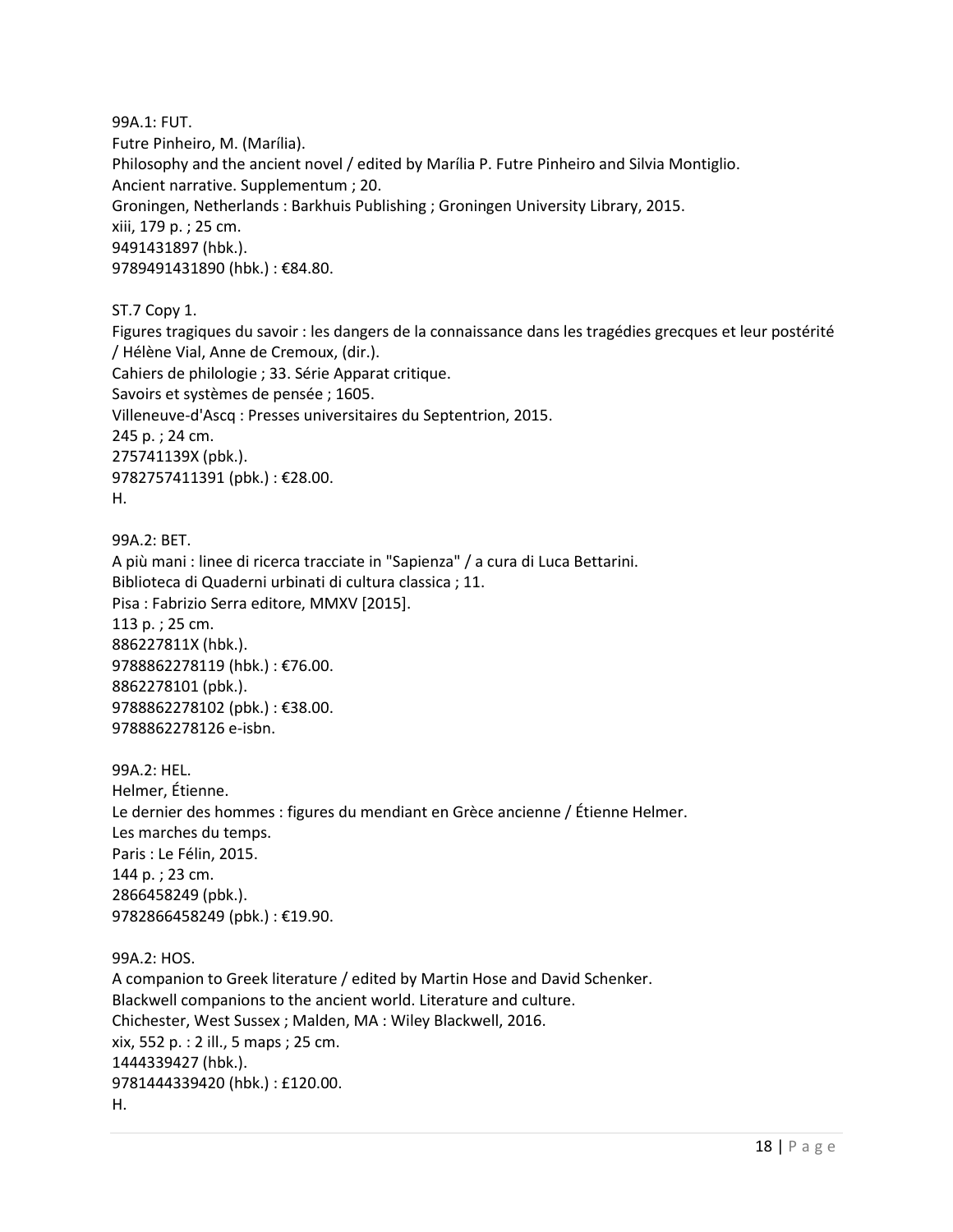99A.1: FUT. Futre Pinheiro, M. (Marília). Philosophy and the ancient novel / edited by Marília P. Futre Pinheiro and Silvia Montiglio. Ancient narrative. Supplementum ; 20. Groningen, Netherlands : Barkhuis Publishing ; Groningen University Library, 2015. xiii, 179 p. ; 25 cm. 9491431897 (hbk.). 9789491431890 (hbk.) : €84.80.

ST.7 Copy 1.

Figures tragiques du savoir : les dangers de la connaissance dans les tragédies grecques et leur postérité / Hélène Vial, Anne de Cremoux, (dir.). Cahiers de philologie ; 33. Série Apparat critique. Savoirs et systèmes de pensée ; 1605. Villeneuve-d'Ascq : Presses universitaires du Septentrion, 2015. 245 p. ; 24 cm. 275741139X (pbk.). 9782757411391 (pbk.) : €28.00. H.

99A.2: BET. A più mani : linee di ricerca tracciate in "Sapienza" / a cura di Luca Bettarini. Biblioteca di Quaderni urbinati di cultura classica ; 11. Pisa : Fabrizio Serra editore, MMXV [2015]. 113 p. ; 25 cm. 886227811X (hbk.). 9788862278119 (hbk.) : €76.00. 8862278101 (pbk.). 9788862278102 (pbk.) : €38.00. 9788862278126 e-isbn.

99A.2: HEL. Helmer, Étienne. Le dernier des hommes : figures du mendiant en Grèce ancienne / Étienne Helmer. Les marches du temps. Paris : Le Félin, 2015. 144 p. ; 23 cm. 2866458249 (pbk.). 9782866458249 (pbk.) : €19.90.

99A.2: HOS. A companion to Greek literature / edited by Martin Hose and David Schenker. Blackwell companions to the ancient world. Literature and culture. Chichester, West Sussex ; Malden, MA : Wiley Blackwell, 2016. xix, 552 p. : 2 ill., 5 maps ; 25 cm. 1444339427 (hbk.). 9781444339420 (hbk.) : £120.00. H.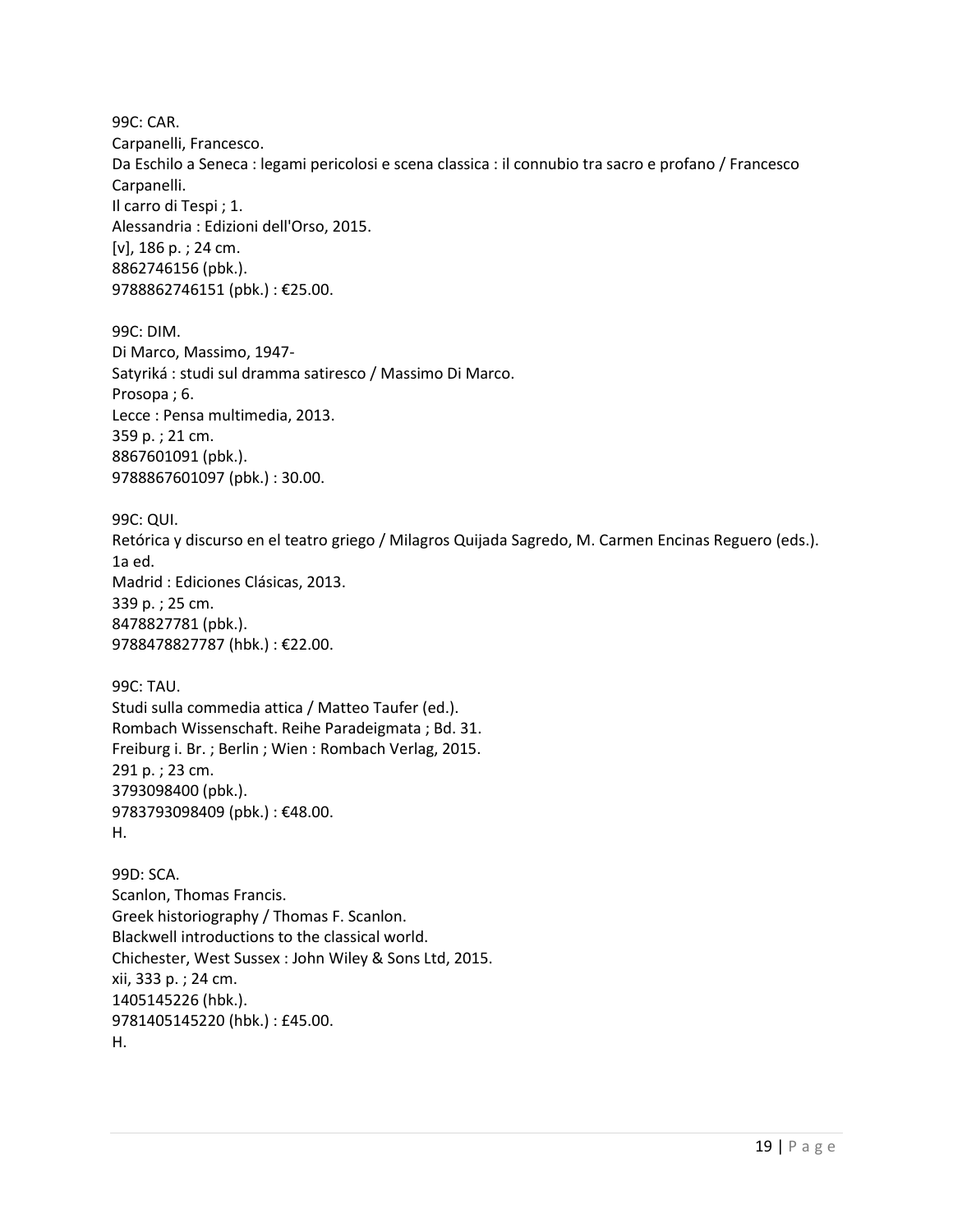99C: CAR. Carpanelli, Francesco. Da Eschilo a Seneca : legami pericolosi e scena classica : il connubio tra sacro e profano / Francesco Carpanelli. Il carro di Tespi ; 1. Alessandria : Edizioni dell'Orso, 2015. [v], 186 p. ; 24 cm. 8862746156 (pbk.). 9788862746151 (pbk.) : €25.00.

99C: DIM. Di Marco, Massimo, 1947- Satyriká : studi sul dramma satiresco / Massimo Di Marco. Prosopa ; 6. Lecce : Pensa multimedia, 2013. 359 p. ; 21 cm. 8867601091 (pbk.). 9788867601097 (pbk.) : 30.00.

99C: QUI. Retórica y discurso en el teatro griego / Milagros Quijada Sagredo, M. Carmen Encinas Reguero (eds.). 1a ed. Madrid : Ediciones Clásicas, 2013. 339 p. ; 25 cm. 8478827781 (pbk.). 9788478827787 (hbk.) : €22.00.

99C: TAU. Studi sulla commedia attica / Matteo Taufer (ed.). Rombach Wissenschaft. Reihe Paradeigmata ; Bd. 31. Freiburg i. Br. ; Berlin ; Wien : Rombach Verlag, 2015. 291 p. ; 23 cm. 3793098400 (pbk.). 9783793098409 (pbk.) : €48.00. H.

99D: SCA. Scanlon, Thomas Francis. Greek historiography / Thomas F. Scanlon. Blackwell introductions to the classical world. Chichester, West Sussex : John Wiley & Sons Ltd, 2015. xii, 333 p. ; 24 cm. 1405145226 (hbk.). 9781405145220 (hbk.) : £45.00. H.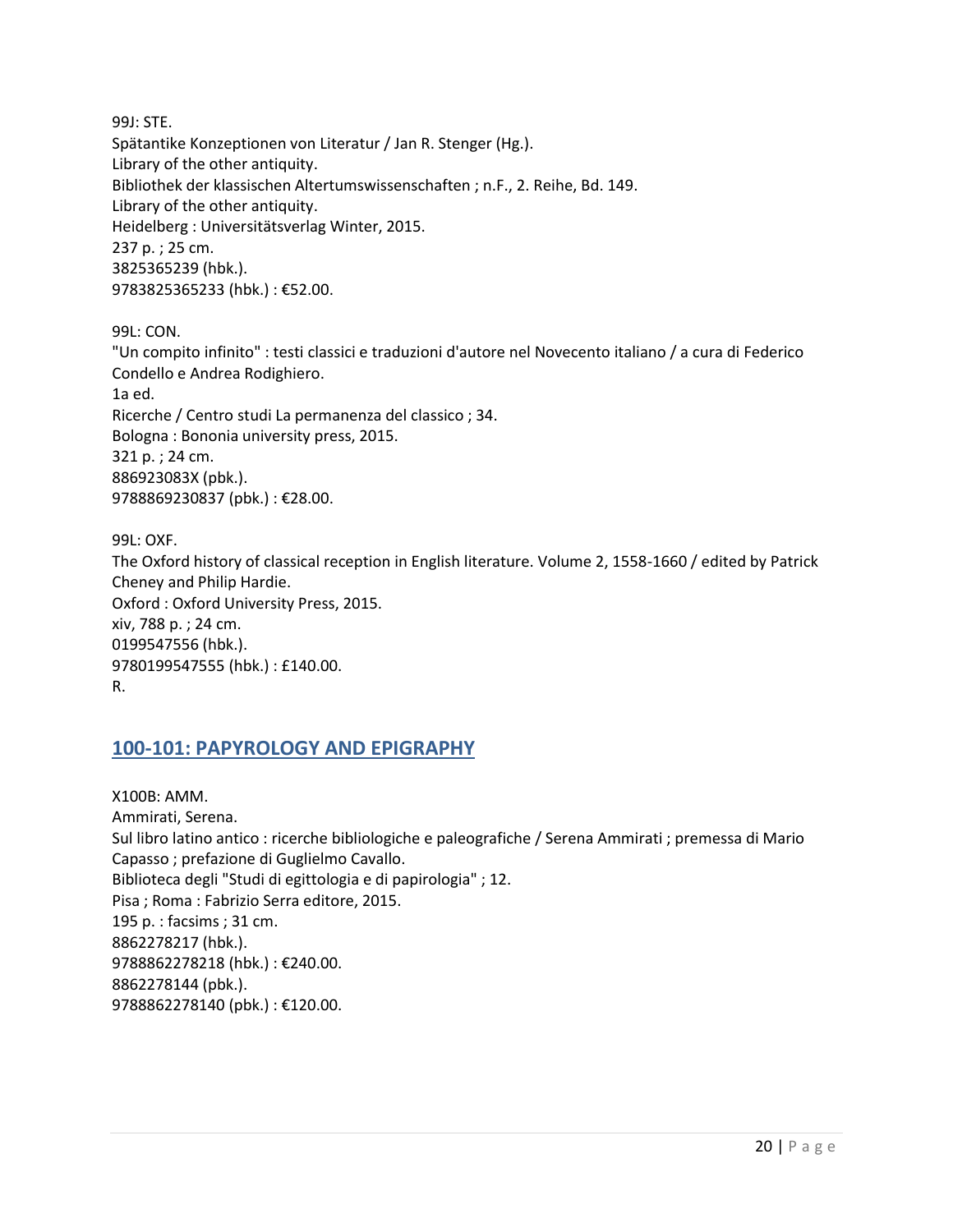99J: STE. Spätantike Konzeptionen von Literatur / Jan R. Stenger (Hg.). Library of the other antiquity. Bibliothek der klassischen Altertumswissenschaften ; n.F., 2. Reihe, Bd. 149. Library of the other antiquity. Heidelberg : Universitätsverlag Winter, 2015. 237 p. ; 25 cm. 3825365239 (hbk.). 9783825365233 (hbk.) : €52.00.

99L: CON. "Un compito infinito" : testi classici e traduzioni d'autore nel Novecento italiano / a cura di Federico Condello e Andrea Rodighiero. 1a ed. Ricerche / Centro studi La permanenza del classico ; 34. Bologna : Bononia university press, 2015. 321 p. ; 24 cm. 886923083X (pbk.). 9788869230837 (pbk.) : €28.00.

99L: OXF. The Oxford history of classical reception in English literature. Volume 2, 1558-1660 / edited by Patrick Cheney and Philip Hardie. Oxford : Oxford University Press, 2015. xiv, 788 p. ; 24 cm. 0199547556 (hbk.). 9780199547555 (hbk.) : £140.00. R.

### <span id="page-19-0"></span>**100-101: PAPYROLOGY AND EPIGRAPHY**

X100B: AMM. Ammirati, Serena. Sul libro latino antico : ricerche bibliologiche e paleografiche / Serena Ammirati ; premessa di Mario Capasso ; prefazione di Guglielmo Cavallo. Biblioteca degli "Studi di egittologia e di papirologia" ; 12. Pisa ; Roma : Fabrizio Serra editore, 2015. 195 p. : facsims ; 31 cm. 8862278217 (hbk.). 9788862278218 (hbk.) : €240.00. 8862278144 (pbk.). 9788862278140 (pbk.) : €120.00.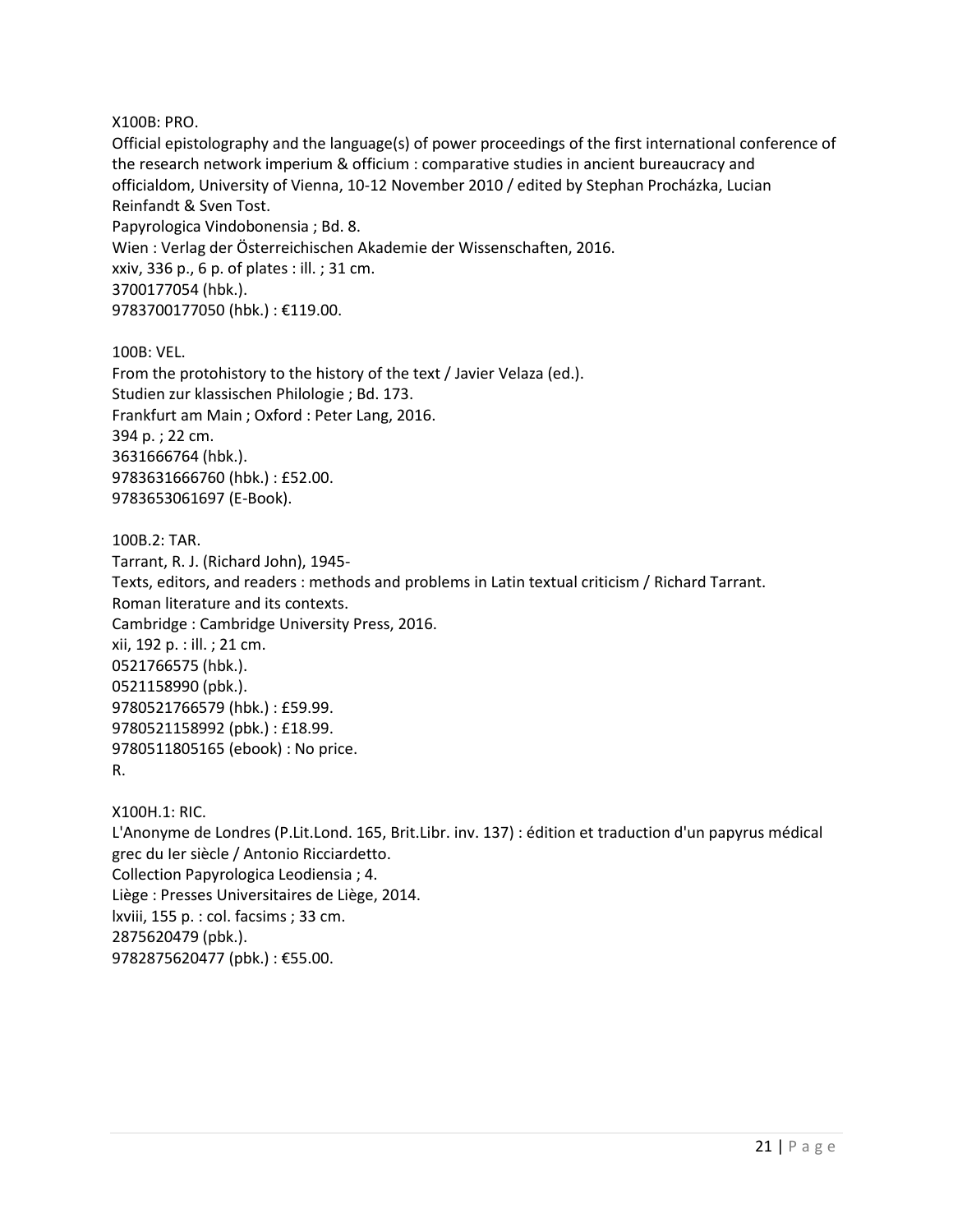X100B: PRO.

Official epistolography and the language(s) of power proceedings of the first international conference of the research network imperium & officium : comparative studies in ancient bureaucracy and officialdom, University of Vienna, 10-12 November 2010 / edited by Stephan Procházka, Lucian Reinfandt & Sven Tost. Papyrologica Vindobonensia ; Bd. 8. Wien : Verlag der Österreichischen Akademie der Wissenschaften, 2016. xxiv, 336 p., 6 p. of plates : ill. ; 31 cm. 3700177054 (hbk.). 9783700177050 (hbk.) : €119.00.

100B: VEL. From the protohistory to the history of the text / Javier Velaza (ed.). Studien zur klassischen Philologie ; Bd. 173. Frankfurt am Main ; Oxford : Peter Lang, 2016. 394 p. ; 22 cm. 3631666764 (hbk.). 9783631666760 (hbk.) : £52.00. 9783653061697 (E-Book).

100B.2: TAR. Tarrant, R. J. (Richard John), 1945- Texts, editors, and readers : methods and problems in Latin textual criticism / Richard Tarrant. Roman literature and its contexts. Cambridge : Cambridge University Press, 2016. xii, 192 p. : ill. ; 21 cm. 0521766575 (hbk.). 0521158990 (pbk.). 9780521766579 (hbk.) : £59.99. 9780521158992 (pbk.) : £18.99. 9780511805165 (ebook) : No price. R.

X100H.1: RIC. L'Anonyme de Londres (P.Lit.Lond. 165, Brit.Libr. inv. 137) : édition et traduction d'un papyrus médical grec du Ier siècle / Antonio Ricciardetto. Collection Papyrologica Leodiensia ; 4. Liège : Presses Universitaires de Liège, 2014. lxviii, 155 p. : col. facsims ; 33 cm. 2875620479 (pbk.). 9782875620477 (pbk.) : €55.00.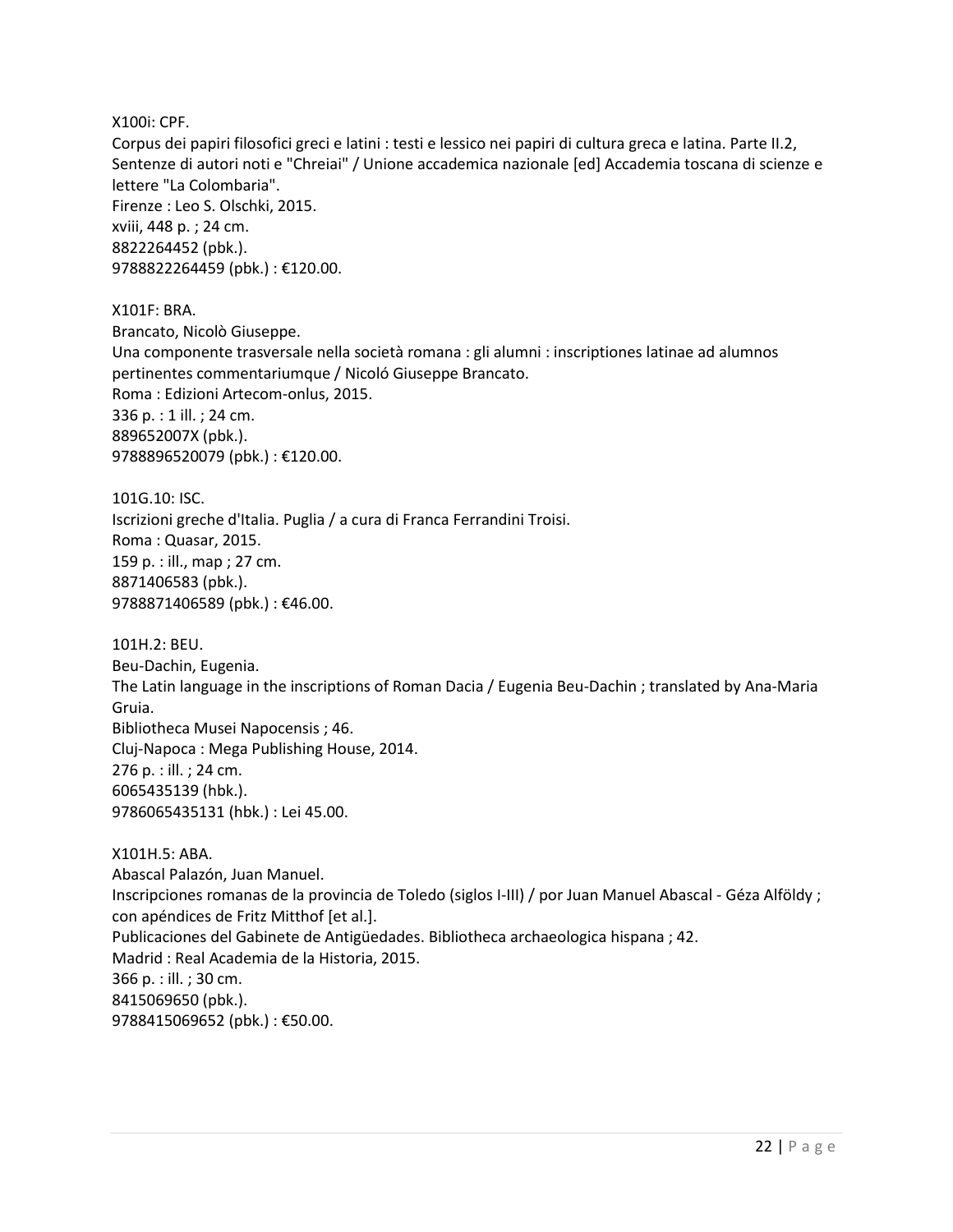X100i: CPF.

Corpus dei papiri filosofici greci e latini : testi e lessico nei papiri di cultura greca e latina. Parte II.2, Sentenze di autori noti e "Chreiai" / Unione accademica nazionale [ed] Accademia toscana di scienze e lettere "La Colombaria". Firenze : Leo S. Olschki, 2015. xviii, 448 p. ; 24 cm. 8822264452 (pbk.). 9788822264459 (pbk.) : €120.00.

X101F: BRA. Brancato, Nicolò Giuseppe. Una componente trasversale nella società romana : gli alumni : inscriptiones latinae ad alumnos pertinentes commentariumque / Nicoló Giuseppe Brancato. Roma : Edizioni Artecom-onlus, 2015. 336 p. : 1 ill. ; 24 cm. 889652007X (pbk.). 9788896520079 (pbk.) : €120.00.

101G.10: ISC. Iscrizioni greche d'Italia. Puglia / a cura di Franca Ferrandini Troisi. Roma : Quasar, 2015. 159 p. : ill., map ; 27 cm. 8871406583 (pbk.). 9788871406589 (pbk.) : €46.00.

101H.2: BEU. Beu-Dachin, Eugenia. The Latin language in the inscriptions of Roman Dacia / Eugenia Beu-Dachin ; translated by Ana-Maria Gruia. Bibliotheca Musei Napocensis ; 46. Cluj-Napoca : Mega Publishing House, 2014. 276 p. : ill. ; 24 cm. 6065435139 (hbk.). 9786065435131 (hbk.) : Lei 45.00.

X101H.5: ABA. Abascal Palazón, Juan Manuel. Inscripciones romanas de la provincia de Toledo (siglos I-III) / por Juan Manuel Abascal - Géza Alföldy ; con apéndices de Fritz Mitthof [et al.]. Publicaciones del Gabinete de Antigüedades. Bibliotheca archaeologica hispana ; 42. Madrid : Real Academia de la Historia, 2015. 366 p. : ill. ; 30 cm. 8415069650 (pbk.). 9788415069652 (pbk.) : €50.00.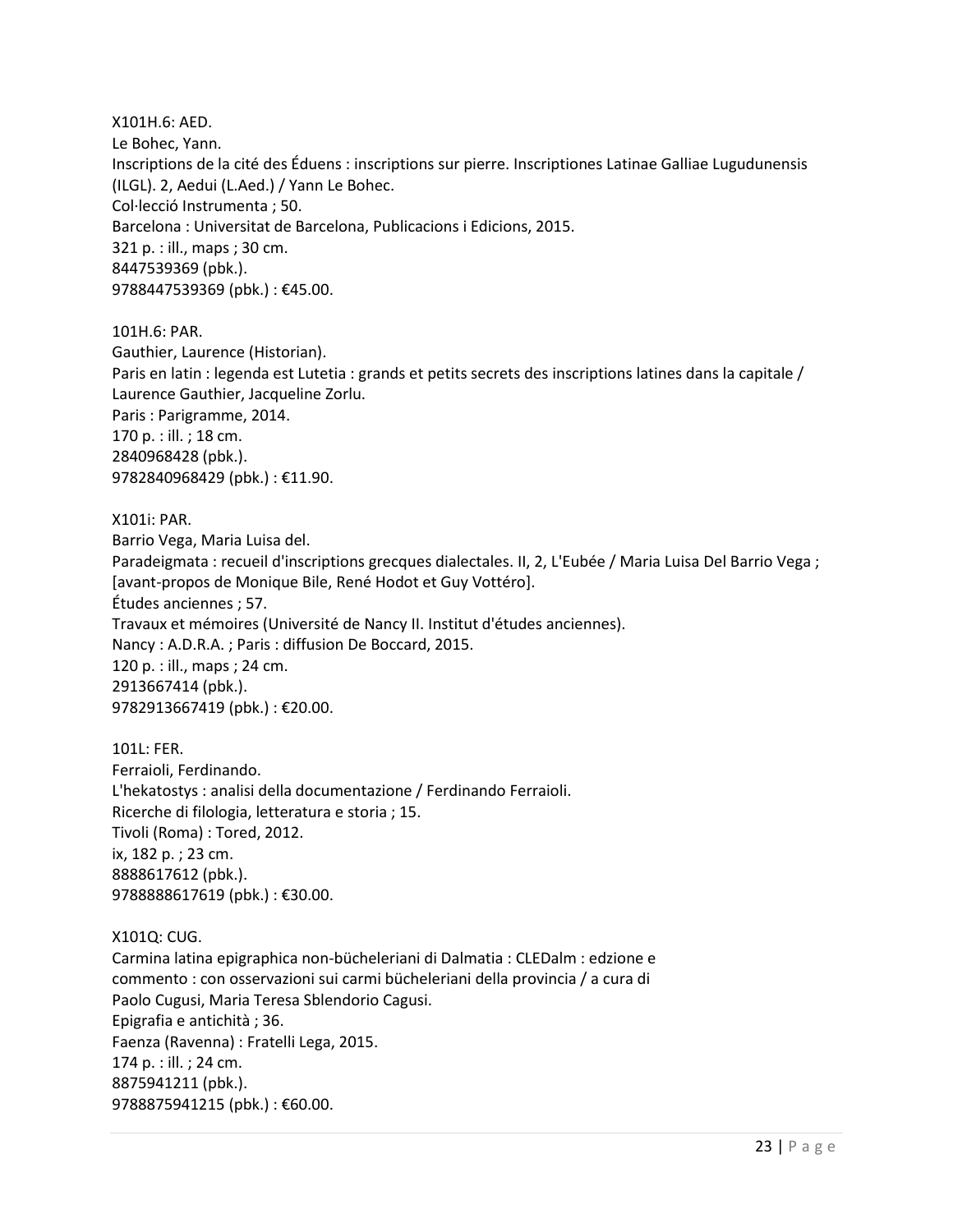X101H.6: AED. Le Bohec, Yann. Inscriptions de la cité des Éduens : inscriptions sur pierre. Inscriptiones Latinae Galliae Lugudunensis (ILGL). 2, Aedui (L.Aed.) / Yann Le Bohec. Col·lecció Instrumenta ; 50. Barcelona : Universitat de Barcelona, Publicacions i Edicions, 2015. 321 p. : ill., maps ; 30 cm. 8447539369 (pbk.). 9788447539369 (pbk.) : €45.00.

101H.6: PAR. Gauthier, Laurence (Historian). Paris en latin : legenda est Lutetia : grands et petits secrets des inscriptions latines dans la capitale / Laurence Gauthier, Jacqueline Zorlu. Paris : Parigramme, 2014. 170 p. : ill. ; 18 cm. 2840968428 (pbk.). 9782840968429 (pbk.) : €11.90.

X101i: PAR. Barrio Vega, Maria Luisa del. Paradeigmata : recueil d'inscriptions grecques dialectales. II, 2, L'Eubée / Maria Luisa Del Barrio Vega ; [avant-propos de Monique Bile, René Hodot et Guy Vottéro]. Études anciennes ; 57. Travaux et mémoires (Université de Nancy II. Institut d'études anciennes). Nancy : A.D.R.A. ; Paris : diffusion De Boccard, 2015. 120 p. : ill., maps ; 24 cm. 2913667414 (pbk.). 9782913667419 (pbk.) : €20.00.

101L: FER. Ferraioli, Ferdinando. L'hekatostys : analisi della documentazione / Ferdinando Ferraioli. Ricerche di filologia, letteratura e storia ; 15. Tivoli (Roma) : Tored, 2012. ix, 182 p. ; 23 cm. 8888617612 (pbk.). 9788888617619 (pbk.) : €30.00.

X101Q: CUG.

Carmina latina epigraphica non-bücheleriani di Dalmatia : CLEDalm : edzione e commento : con osservazioni sui carmi bücheleriani della provincia / a cura di Paolo Cugusi, Maria Teresa Sblendorio Cagusi. Epigrafia e antichità ; 36. Faenza (Ravenna) : Fratelli Lega, 2015. 174 p. : ill. ; 24 cm. 8875941211 (pbk.). 9788875941215 (pbk.): €60.00.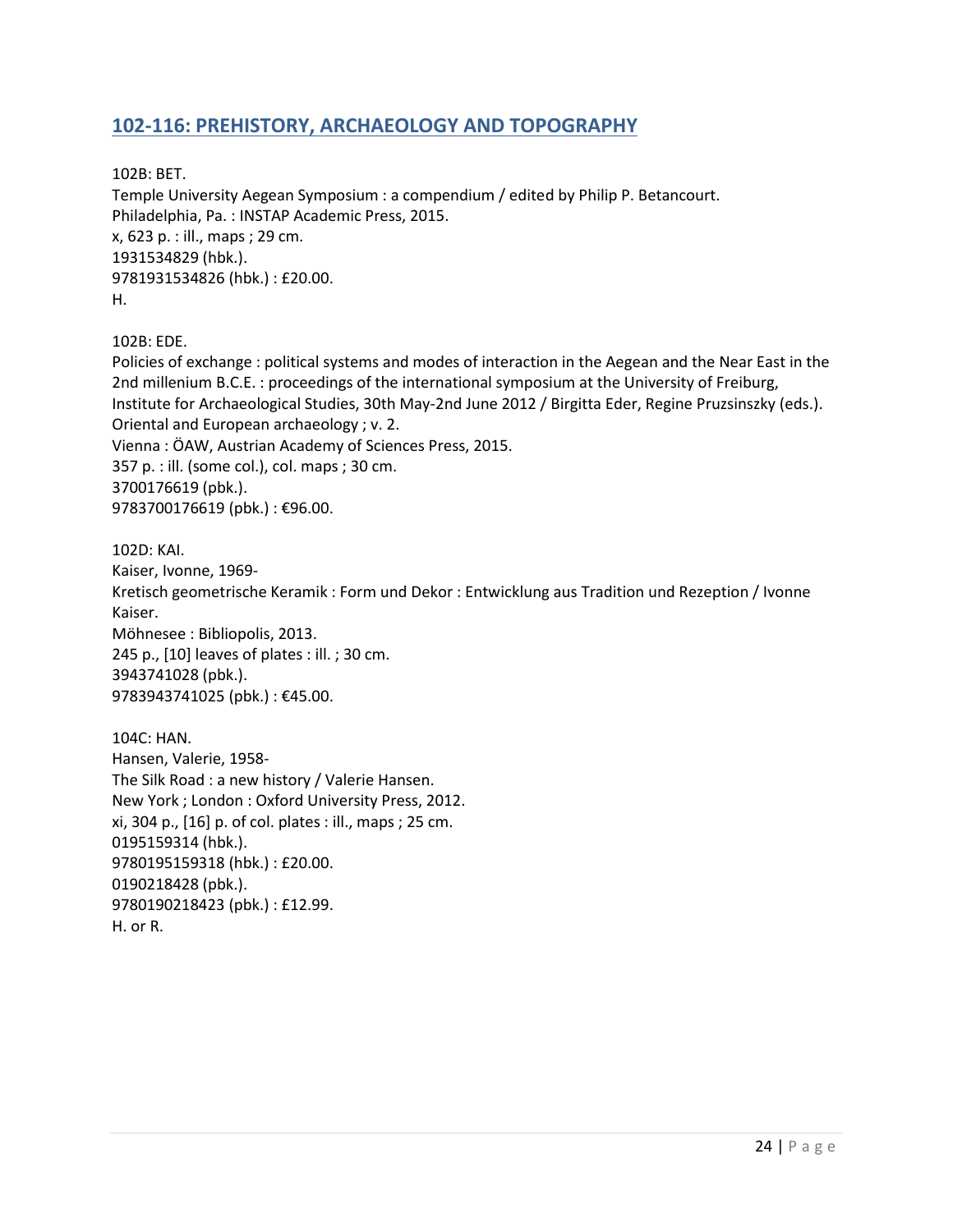## <span id="page-23-0"></span>**102-116: PREHISTORY, ARCHAEOLOGY AND TOPOGRAPHY**

102B: BET.

Temple University Aegean Symposium : a compendium / edited by Philip P. Betancourt. Philadelphia, Pa. : INSTAP Academic Press, 2015. x, 623 p. : ill., maps ; 29 cm. 1931534829 (hbk.). 9781931534826 (hbk.) : £20.00. H.

102B: EDE.

Policies of exchange : political systems and modes of interaction in the Aegean and the Near East in the 2nd millenium B.C.E. : proceedings of the international symposium at the University of Freiburg, Institute for Archaeological Studies, 30th May-2nd June 2012 / Birgitta Eder, Regine Pruzsinszky (eds.). Oriental and European archaeology ; v. 2. Vienna : ÖAW, Austrian Academy of Sciences Press, 2015. 357 p. : ill. (some col.), col. maps ; 30 cm. 3700176619 (pbk.). 9783700176619 (pbk.): €96.00.

102D: KAI. Kaiser, Ivonne, 1969- Kretisch geometrische Keramik : Form und Dekor : Entwicklung aus Tradition und Rezeption / Ivonne Kaiser. Möhnesee : Bibliopolis, 2013. 245 p., [10] leaves of plates : ill. ; 30 cm. 3943741028 (pbk.). 9783943741025 (pbk.): €45.00.

104C: HAN. Hansen, Valerie, 1958- The Silk Road : a new history / Valerie Hansen. New York ; London : Oxford University Press, 2012. xi, 304 p., [16] p. of col. plates : ill., maps ; 25 cm. 0195159314 (hbk.). 9780195159318 (hbk.) : £20.00. 0190218428 (pbk.). 9780190218423 (pbk.) : £12.99. H. or R.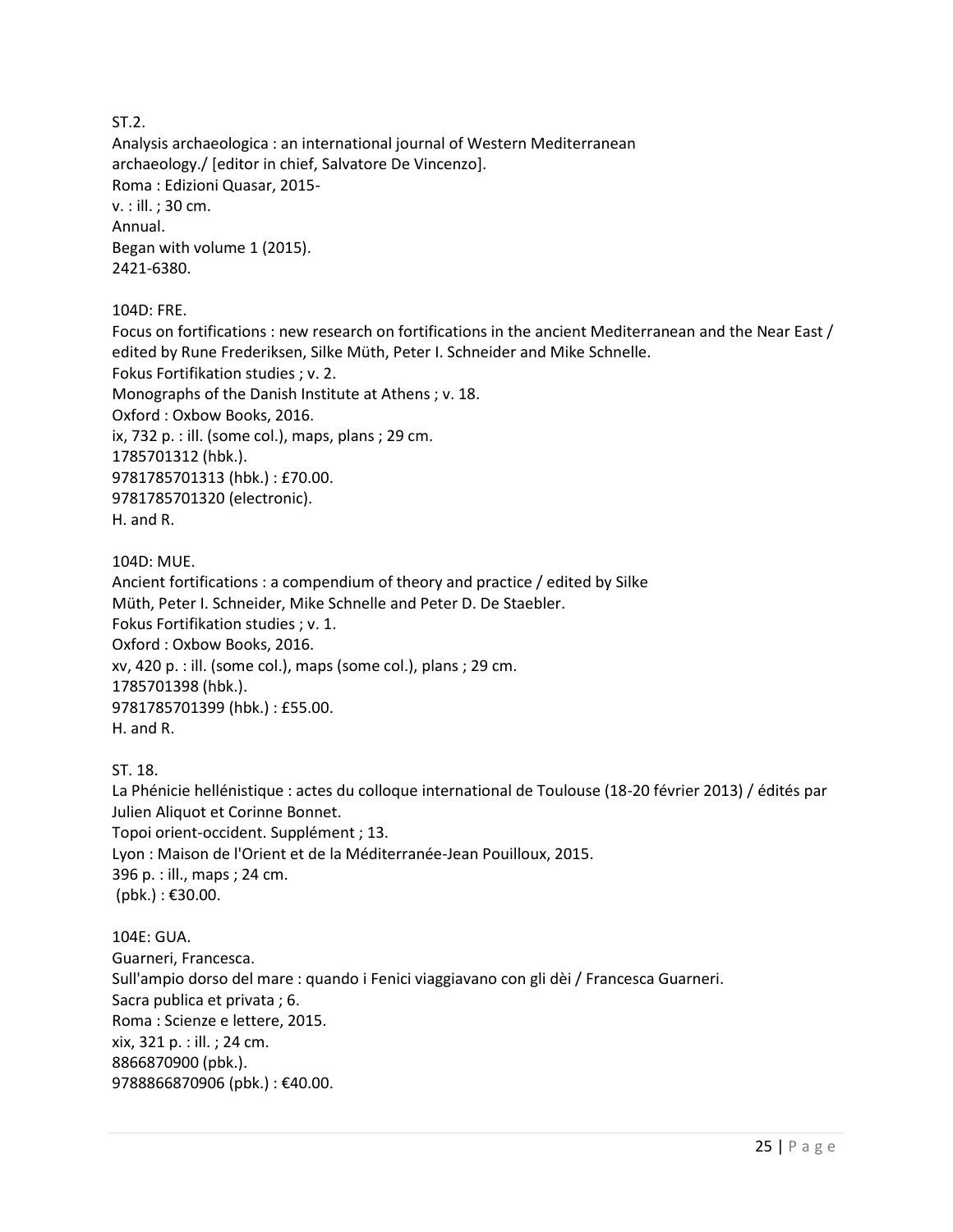ST.2.

Analysis archaeologica : an international journal of Western Mediterranean archaeology./ [editor in chief, Salvatore De Vincenzo]. Roma : Edizioni Quasar, 2015 v. : ill. ; 30 cm. Annual. Began with volume 1 (2015). 2421-6380.

104D: FRE.

Focus on fortifications : new research on fortifications in the ancient Mediterranean and the Near East / edited by Rune Frederiksen, Silke Müth, Peter I. Schneider and Mike Schnelle. Fokus Fortifikation studies ; v. 2. Monographs of the Danish Institute at Athens ; v. 18. Oxford : Oxbow Books, 2016. ix, 732 p. : ill. (some col.), maps, plans ; 29 cm. 1785701312 (hbk.). 9781785701313 (hbk.) : £70.00. 9781785701320 (electronic). H. and R.

104D: MUE.

Ancient fortifications : a compendium of theory and practice / edited by Silke Müth, Peter I. Schneider, Mike Schnelle and Peter D. De Staebler. Fokus Fortifikation studies ; v. 1. Oxford : Oxbow Books, 2016. xv, 420 p. : ill. (some col.), maps (some col.), plans ; 29 cm. 1785701398 (hbk.). 9781785701399 (hbk.) : £55.00. H. and R.

ST. 18.

La Phénicie hellénistique : actes du colloque international de Toulouse (18-20 février 2013) / édités par Julien Aliquot et Corinne Bonnet. Topoi orient-occident. Supplément ; 13. Lyon : Maison de l'Orient et de la Méditerranée-Jean Pouilloux, 2015. 396 p. : ill., maps ; 24 cm.  $(bbbk.): \pounds 30.00.$ 

104E: GUA. Guarneri, Francesca. Sull'ampio dorso del mare : quando i Fenici viaggiavano con gli dèi / Francesca Guarneri. Sacra publica et privata ; 6. Roma : Scienze e lettere, 2015. xix, 321 p. : ill. ; 24 cm. 8866870900 (pbk.). 9788866870906 (pbk.): €40.00.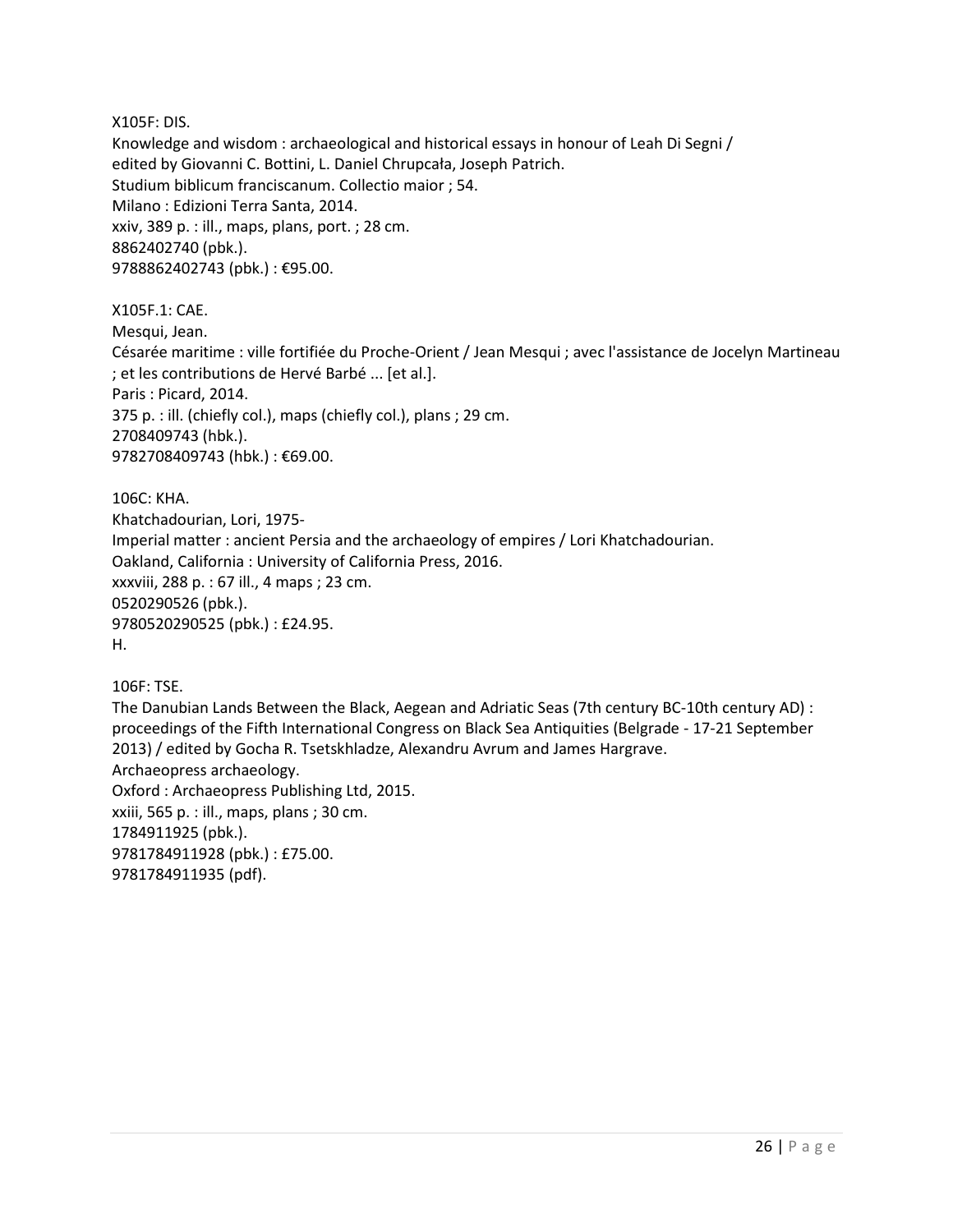X105F: DIS. Knowledge and wisdom : archaeological and historical essays in honour of Leah Di Segni / edited by Giovanni C. Bottini, L. Daniel Chrupcała, Joseph Patrich. Studium biblicum franciscanum. Collectio maior ; 54. Milano : Edizioni Terra Santa, 2014. xxiv, 389 p. : ill., maps, plans, port. ; 28 cm. 8862402740 (pbk.). 9788862402743 (pbk.) : €95.00.

X105F.1: CAE. Mesqui, Jean. Césarée maritime : ville fortifiée du Proche-Orient / Jean Mesqui ; avec l'assistance de Jocelyn Martineau ; et les contributions de Hervé Barbé ... [et al.]. Paris : Picard, 2014. 375 p. : ill. (chiefly col.), maps (chiefly col.), plans ; 29 cm. 2708409743 (hbk.). 9782708409743 (hbk.) : €69.00.

106C: KHA. Khatchadourian, Lori, 1975- Imperial matter : ancient Persia and the archaeology of empires / Lori Khatchadourian. Oakland, California : University of California Press, 2016. xxxviii, 288 p. : 67 ill., 4 maps ; 23 cm. 0520290526 (pbk.). 9780520290525 (pbk.) : £24.95. H.

106F: TSE.

The Danubian Lands Between the Black, Aegean and Adriatic Seas (7th century BC-10th century AD) : proceedings of the Fifth International Congress on Black Sea Antiquities (Belgrade - 17-21 September 2013) / edited by Gocha R. Tsetskhladze, Alexandru Avrum and James Hargrave. Archaeopress archaeology. Oxford : Archaeopress Publishing Ltd, 2015. xxiii, 565 p. : ill., maps, plans ; 30 cm. 1784911925 (pbk.). 9781784911928 (pbk.) : £75.00. 9781784911935 (pdf).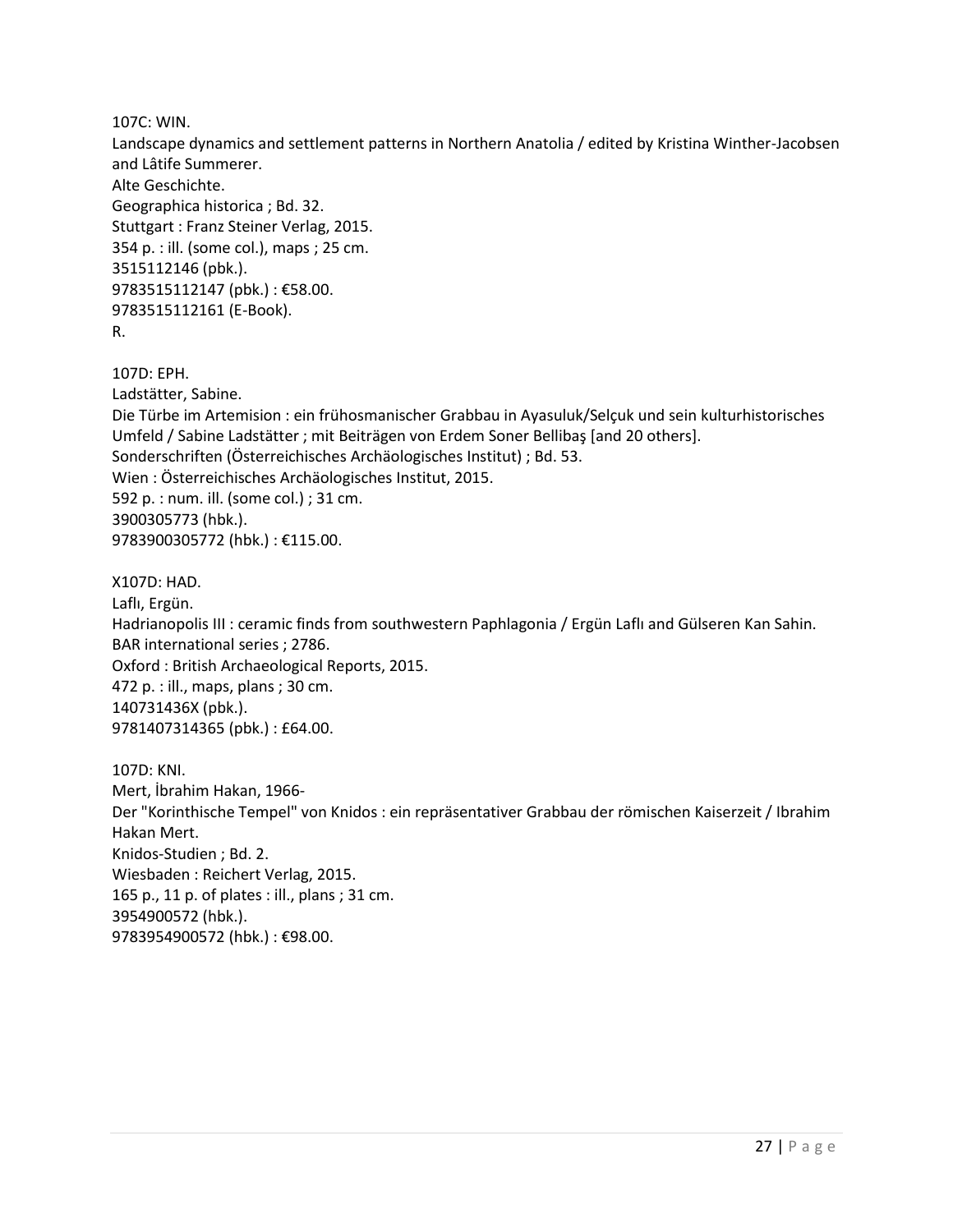107C: WIN.

Landscape dynamics and settlement patterns in Northern Anatolia / edited by Kristina Winther-Jacobsen and Lâtife Summerer. Alte Geschichte. Geographica historica ; Bd. 32. Stuttgart : Franz Steiner Verlag, 2015. 354 p. : ill. (some col.), maps ; 25 cm. 3515112146 (pbk.). 9783515112147 (pbk.) : €58.00. 9783515112161 (E-Book). R.

107D: EPH.

Ladstätter, Sabine.

Die Türbe im Artemision : ein frühosmanischer Grabbau in Ayasuluk/Selçuk und sein kulturhistorisches Umfeld / Sabine Ladstätter ; mit Beiträgen von Erdem Soner Bellibaş [and 20 others]. Sonderschriften (Österreichisches Archäologisches Institut) ; Bd. 53. Wien : Österreichisches Archäologisches Institut, 2015. 592 p. : num. ill. (some col.) ; 31 cm. 3900305773 (hbk.). 9783900305772 (hbk.) : €115.00.

X107D: HAD. Laflı, Ergün. Hadrianopolis III : ceramic finds from southwestern Paphlagonia / Ergün Laflı and Gülseren Kan Sahin. BAR international series ; 2786. Oxford : British Archaeological Reports, 2015. 472 p. : ill., maps, plans ; 30 cm. 140731436X (pbk.). 9781407314365 (pbk.) : £64.00.

107D: KNI. Mert, İbrahim Hakan, 1966- Der "Korinthische Tempel" von Knidos : ein repräsentativer Grabbau der römischen Kaiserzeit / Ibrahim Hakan Mert. Knidos-Studien ; Bd. 2. Wiesbaden : Reichert Verlag, 2015. 165 p., 11 p. of plates : ill., plans ; 31 cm. 3954900572 (hbk.). 9783954900572 (hbk.) : €98.00.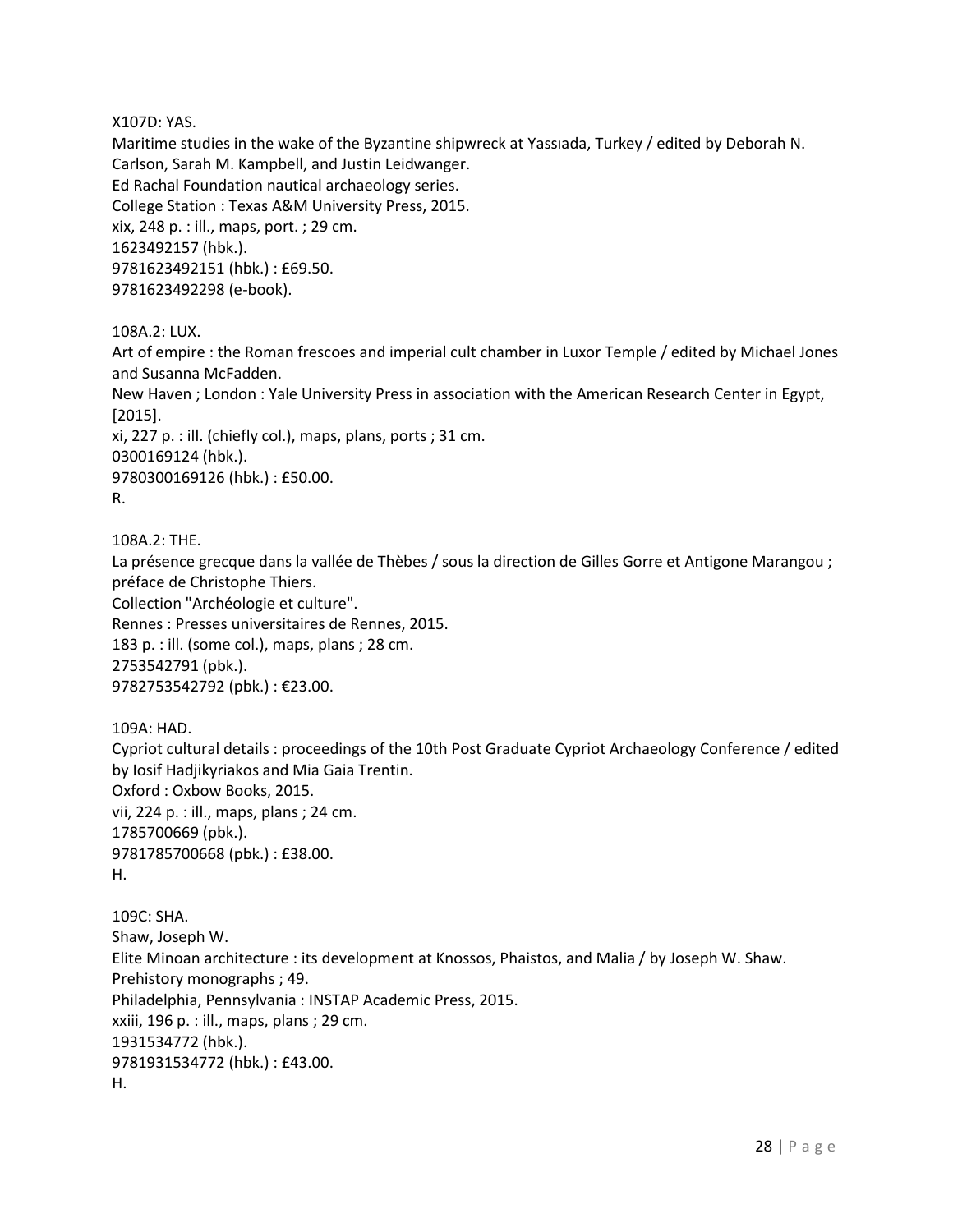X107D: YAS.

Maritime studies in the wake of the Byzantine shipwreck at Yassıada, Turkey / edited by Deborah N. Carlson, Sarah M. Kampbell, and Justin Leidwanger. Ed Rachal Foundation nautical archaeology series. College Station : Texas A&M University Press, 2015. xix, 248 p. : ill., maps, port. ; 29 cm. 1623492157 (hbk.). 9781623492151 (hbk.) : £69.50. 9781623492298 (e-book).

108A.2: LUX.

Art of empire : the Roman frescoes and imperial cult chamber in Luxor Temple / edited by Michael Jones and Susanna McFadden.

New Haven ; London : Yale University Press in association with the American Research Center in Egypt, [2015].

xi, 227 p. : ill. (chiefly col.), maps, plans, ports ; 31 cm. 0300169124 (hbk.). 9780300169126 (hbk.) : £50.00.

R.

108A.2: THE.

La présence grecque dans la vallée de Thèbes / sous la direction de Gilles Gorre et Antigone Marangou ; préface de Christophe Thiers.

Collection "Archéologie et culture".

Rennes : Presses universitaires de Rennes, 2015.

183 p. : ill. (some col.), maps, plans ; 28 cm. 2753542791 (pbk.).

9782753542792 (pbk.) : €23.00.

109A: HAD. Cypriot cultural details : proceedings of the 10th Post Graduate Cypriot Archaeology Conference / edited by Iosif Hadjikyriakos and Mia Gaia Trentin. Oxford : Oxbow Books, 2015. vii, 224 p. : ill., maps, plans ; 24 cm. 1785700669 (pbk.). 9781785700668 (pbk.) : £38.00. H.

109C: SHA. Shaw, Joseph W. Elite Minoan architecture : its development at Knossos, Phaistos, and Malia / by Joseph W. Shaw. Prehistory monographs ; 49. Philadelphia, Pennsylvania : INSTAP Academic Press, 2015. xxiii, 196 p. : ill., maps, plans ; 29 cm. 1931534772 (hbk.). 9781931534772 (hbk.) : £43.00. H.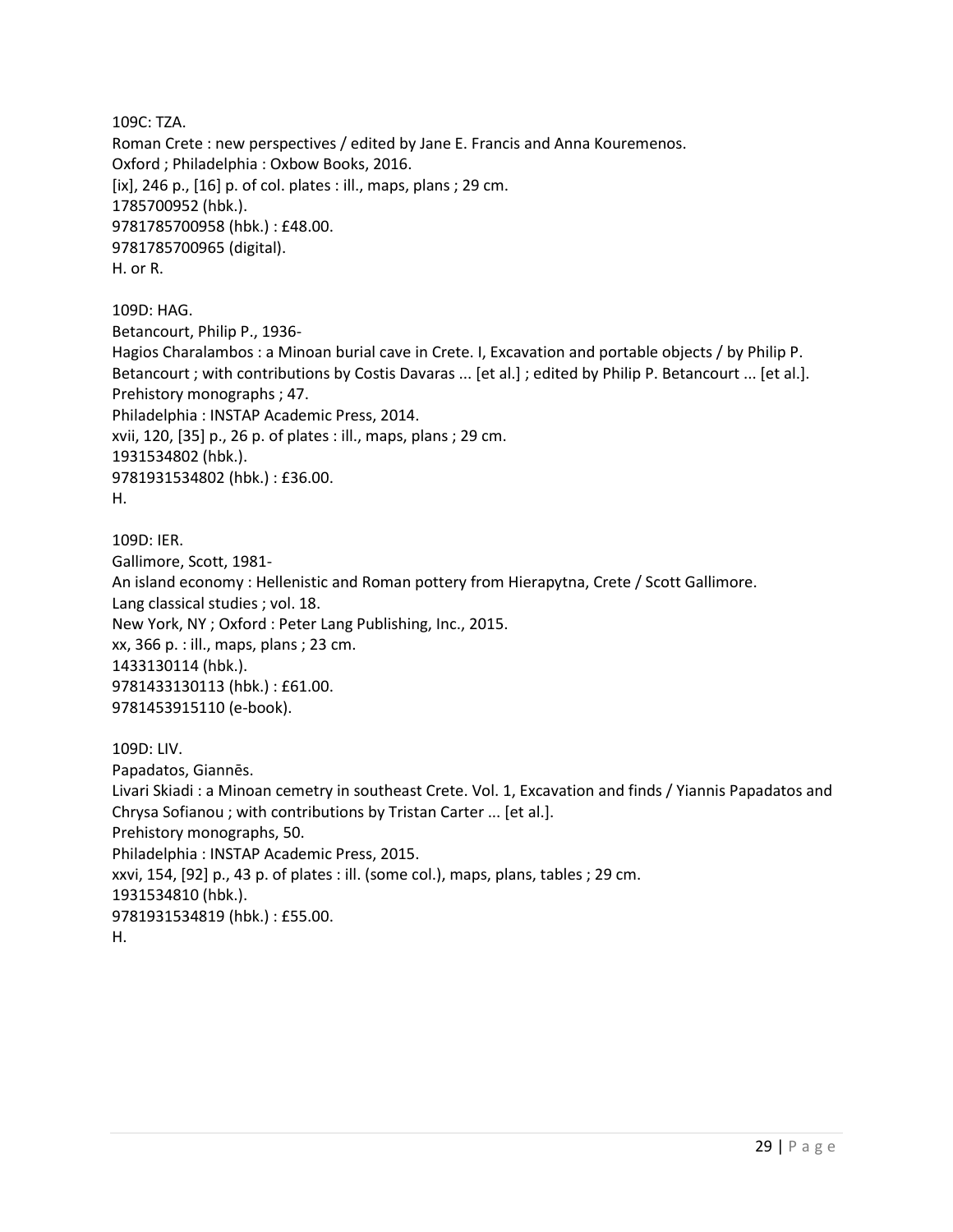109C: TZA. Roman Crete : new perspectives / edited by Jane E. Francis and Anna Kouremenos. Oxford ; Philadelphia : Oxbow Books, 2016. [ix], 246 p., [16] p. of col. plates : ill., maps, plans ; 29 cm. 1785700952 (hbk.). 9781785700958 (hbk.) : £48.00. 9781785700965 (digital). H. or R.

109D: HAG. Betancourt, Philip P., 1936- Hagios Charalambos : a Minoan burial cave in Crete. I, Excavation and portable objects / by Philip P. Betancourt ; with contributions by Costis Davaras ... [et al.] ; edited by Philip P. Betancourt ... [et al.]. Prehistory monographs ; 47. Philadelphia : INSTAP Academic Press, 2014. xvii, 120, [35] p., 26 p. of plates : ill., maps, plans ; 29 cm. 1931534802 (hbk.). 9781931534802 (hbk.) : £36.00. H.

109D: IER. Gallimore, Scott, 1981- An island economy : Hellenistic and Roman pottery from Hierapytna, Crete / Scott Gallimore. Lang classical studies ; vol. 18. New York, NY ; Oxford : Peter Lang Publishing, Inc., 2015. xx, 366 p. : ill., maps, plans ; 23 cm. 1433130114 (hbk.). 9781433130113 (hbk.) : £61.00. 9781453915110 (e-book).

109D: LIV. Papadatos, Giannēs. Livari Skiadi : a Minoan cemetry in southeast Crete. Vol. 1, Excavation and finds / Yiannis Papadatos and Chrysa Sofianou ; with contributions by Tristan Carter ... [et al.]. Prehistory monographs, 50. Philadelphia : INSTAP Academic Press, 2015. xxvi, 154, [92] p., 43 p. of plates : ill. (some col.), maps, plans, tables ; 29 cm. 1931534810 (hbk.). 9781931534819 (hbk.) : £55.00. H.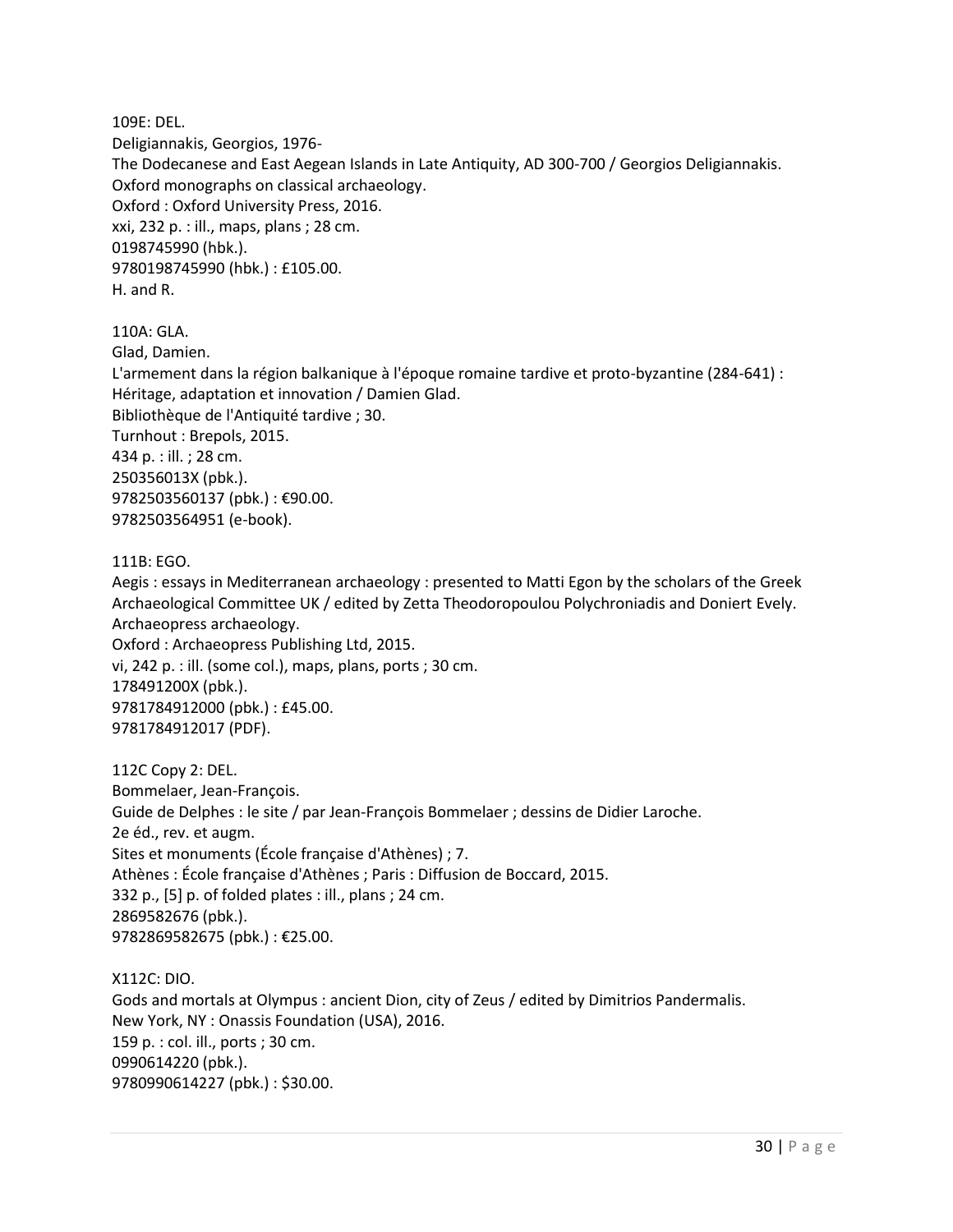109E: DEL. Deligiannakis, Georgios, 1976- The Dodecanese and East Aegean Islands in Late Antiquity, AD 300-700 / Georgios Deligiannakis. Oxford monographs on classical archaeology. Oxford : Oxford University Press, 2016. xxi, 232 p. : ill., maps, plans ; 28 cm. 0198745990 (hbk.). 9780198745990 (hbk.) : £105.00. H. and R.

110A: GLA. Glad, Damien. L'armement dans la région balkanique à l'époque romaine tardive et proto-byzantine (284-641) : Héritage, adaptation et innovation / Damien Glad. Bibliothèque de l'Antiquité tardive ; 30. Turnhout : Brepols, 2015. 434 p. : ill. ; 28 cm. 250356013X (pbk.). 9782503560137 (pbk.) : €90.00. 9782503564951 (e-book).

111B: EGO.

Aegis : essays in Mediterranean archaeology : presented to Matti Egon by the scholars of the Greek Archaeological Committee UK / edited by Zetta Theodoropoulou Polychroniadis and Doniert Evely. Archaeopress archaeology.

Oxford : Archaeopress Publishing Ltd, 2015. vi, 242 p. : ill. (some col.), maps, plans, ports ; 30 cm. 178491200X (pbk.). 9781784912000 (pbk.) : £45.00. 9781784912017 (PDF).

112C Copy 2: DEL. Bommelaer, Jean-François. Guide de Delphes : le site / par Jean-François Bommelaer ; dessins de Didier Laroche. 2e éd., rev. et augm. Sites et monuments (École française d'Athènes) ; 7. Athènes : École française d'Athènes ; Paris : Diffusion de Boccard, 2015. 332 p., [5] p. of folded plates : ill., plans ; 24 cm. 2869582676 (pbk.). 9782869582675 (pbk.) : €25.00.

X112C: DIO. Gods and mortals at Olympus : ancient Dion, city of Zeus / edited by Dimitrios Pandermalis. New York, NY : Onassis Foundation (USA), 2016. 159 p. : col. ill., ports ; 30 cm. 0990614220 (pbk.). 9780990614227 (pbk.) : \$30.00.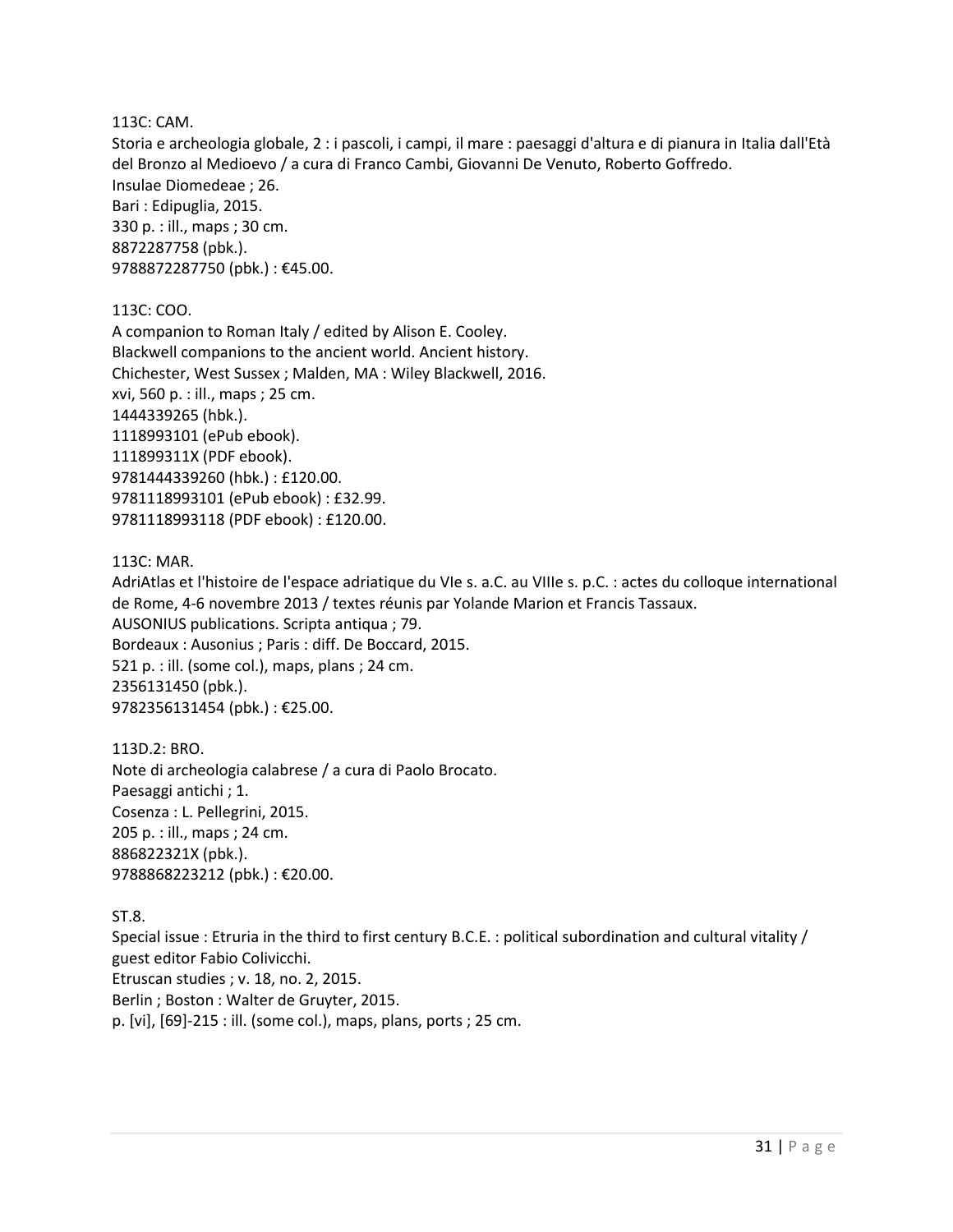#### 113C: CAM.

Storia e archeologia globale, 2 : i pascoli, i campi, il mare : paesaggi d'altura e di pianura in Italia dall'Età del Bronzo al Medioevo / a cura di Franco Cambi, Giovanni De Venuto, Roberto Goffredo. Insulae Diomedeae ; 26. Bari : Edipuglia, 2015. 330 p. : ill., maps ; 30 cm. 8872287758 (pbk.). 9788872287750 (pbk.) : €45.00.

#### 113C: COO.

A companion to Roman Italy / edited by Alison E. Cooley. Blackwell companions to the ancient world. Ancient history. Chichester, West Sussex ; Malden, MA : Wiley Blackwell, 2016. xvi, 560 p. : ill., maps ; 25 cm. 1444339265 (hbk.). 1118993101 (ePub ebook). 111899311X (PDF ebook). 9781444339260 (hbk.) : £120.00. 9781118993101 (ePub ebook) : £32.99. 9781118993118 (PDF ebook) : £120.00.

#### 113C: MAR.

AdriAtlas et l'histoire de l'espace adriatique du VIe s. a.C. au VIIIe s. p.C. : actes du colloque international de Rome, 4-6 novembre 2013 / textes réunis par Yolande Marion et Francis Tassaux. AUSONIUS publications. Scripta antiqua ; 79. Bordeaux : Ausonius ; Paris : diff. De Boccard, 2015. 521 p. : ill. (some col.), maps, plans ; 24 cm. 2356131450 (pbk.). 9782356131454 (pbk.) : €25.00.

113D.2: BRO. Note di archeologia calabrese / a cura di Paolo Brocato. Paesaggi antichi ; 1. Cosenza : L. Pellegrini, 2015. 205 p. : ill., maps ; 24 cm. 886822321X (pbk.). 9788868223212 (pbk.) : €20.00.

#### ST.8.

Special issue : Etruria in the third to first century B.C.E. : political subordination and cultural vitality / guest editor Fabio Colivicchi. Etruscan studies ; v. 18, no. 2, 2015. Berlin ; Boston : Walter de Gruyter, 2015. p. [vi], [69]-215 : ill. (some col.), maps, plans, ports ; 25 cm.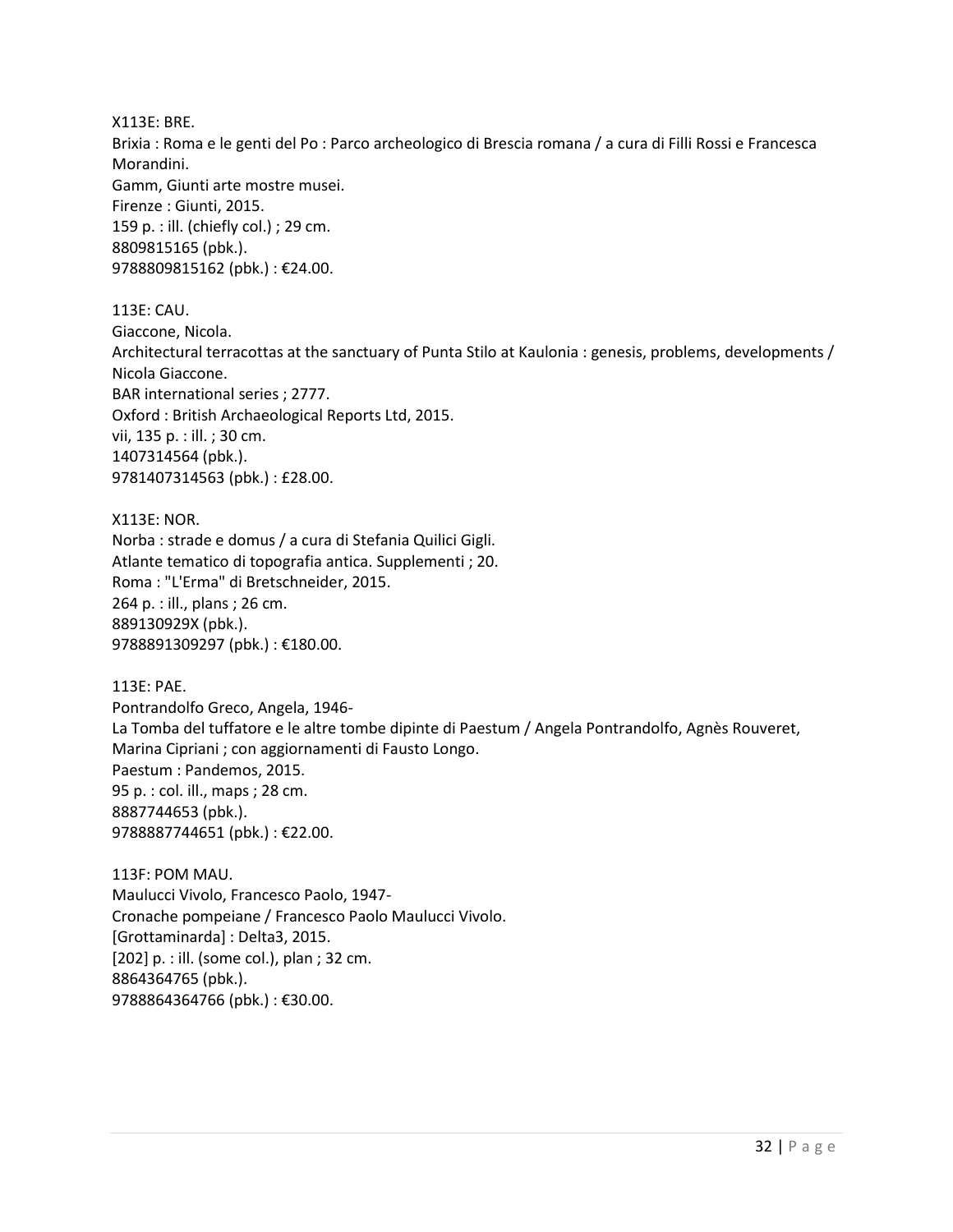X113E: BRE. Brixia : Roma e le genti del Po : Parco archeologico di Brescia romana / a cura di Filli Rossi e Francesca Morandini. Gamm, Giunti arte mostre musei. Firenze : Giunti, 2015. 159 p. : ill. (chiefly col.) ; 29 cm. 8809815165 (pbk.). 9788809815162 (pbk.) : €24.00.

113E: CAU. Giaccone, Nicola. Architectural terracottas at the sanctuary of Punta Stilo at Kaulonia : genesis, problems, developments / Nicola Giaccone. BAR international series ; 2777. Oxford : British Archaeological Reports Ltd, 2015. vii, 135 p. : ill. ; 30 cm. 1407314564 (pbk.). 9781407314563 (pbk.) : £28.00.

X113E: NOR. Norba : strade e domus / a cura di Stefania Quilici Gigli. Atlante tematico di topografia antica. Supplementi ; 20. Roma : "L'Erma" di Bretschneider, 2015. 264 p. : ill., plans ; 26 cm. 889130929X (pbk.). 9788891309297 (pbk.) : €180.00.

113E: PAE. Pontrandolfo Greco, Angela, 1946- La Tomba del tuffatore e le altre tombe dipinte di Paestum / Angela Pontrandolfo, Agnès Rouveret, Marina Cipriani ; con aggiornamenti di Fausto Longo. Paestum : Pandemos, 2015. 95 p. : col. ill., maps ; 28 cm. 8887744653 (pbk.). 9788887744651 (pbk.) : €22.00.

113F: POM MAU. Maulucci Vivolo, Francesco Paolo, 1947- Cronache pompeiane / Francesco Paolo Maulucci Vivolo. [Grottaminarda] : Delta3, 2015. [202] p. : ill. (some col.), plan ; 32 cm. 8864364765 (pbk.). 9788864364766 (pbk.) : €30.00.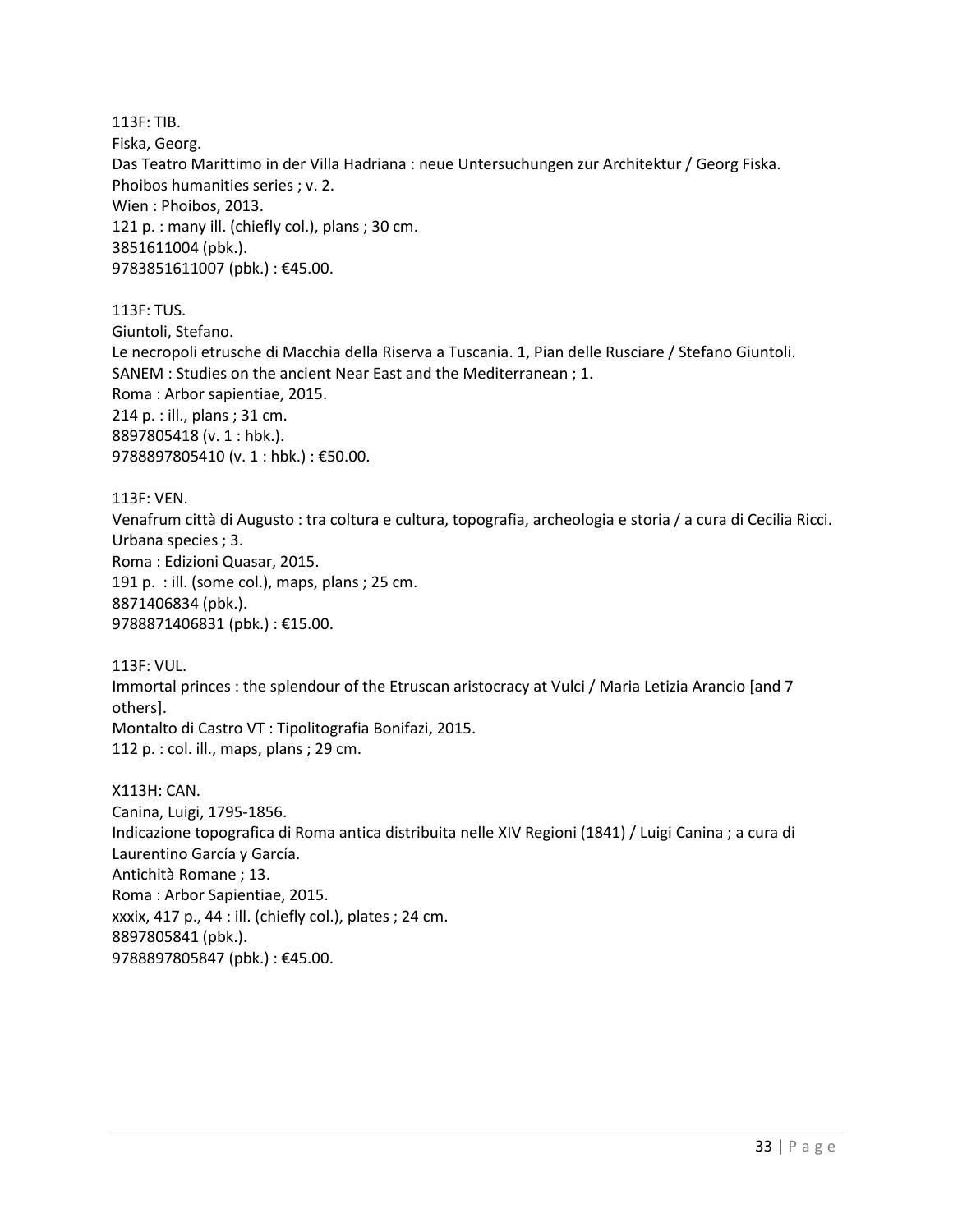113F: TIB. Fiska, Georg. Das Teatro Marittimo in der Villa Hadriana : neue Untersuchungen zur Architektur / Georg Fiska. Phoibos humanities series ; v. 2. Wien : Phoibos, 2013. 121 p. : many ill. (chiefly col.), plans ; 30 cm. 3851611004 (pbk.). 9783851611007 (pbk.) : €45.00.

113F: TUS. Giuntoli, Stefano. Le necropoli etrusche di Macchia della Riserva a Tuscania. 1, Pian delle Rusciare / Stefano Giuntoli. SANEM : Studies on the ancient Near East and the Mediterranean ; 1. Roma : Arbor sapientiae, 2015. 214 p. : ill., plans ; 31 cm. 8897805418 (v. 1 : hbk.). 9788897805410 (v. 1 : hbk.) : €50.00.

113F: VEN. Venafrum città di Augusto : tra coltura e cultura, topografia, archeologia e storia / a cura di Cecilia Ricci. Urbana species ; 3. Roma : Edizioni Quasar, 2015. 191 p. : ill. (some col.), maps, plans ; 25 cm. 8871406834 (pbk.). 9788871406831 (pbk.) : €15.00.

113F: VUL. Immortal princes : the splendour of the Etruscan aristocracy at Vulci / Maria Letizia Arancio [and 7 others]. Montalto di Castro VT : Tipolitografia Bonifazi, 2015. 112 p. : col. ill., maps, plans ; 29 cm.

X113H: CAN. Canina, Luigi, 1795-1856. Indicazione topografica di Roma antica distribuita nelle XIV Regioni (1841) / Luigi Canina ; a cura di Laurentino García y García. Antichità Romane ; 13. Roma : Arbor Sapientiae, 2015. xxxix, 417 p., 44 : ill. (chiefly col.), plates ; 24 cm. 8897805841 (pbk.). 9788897805847 (pbk.) : €45.00.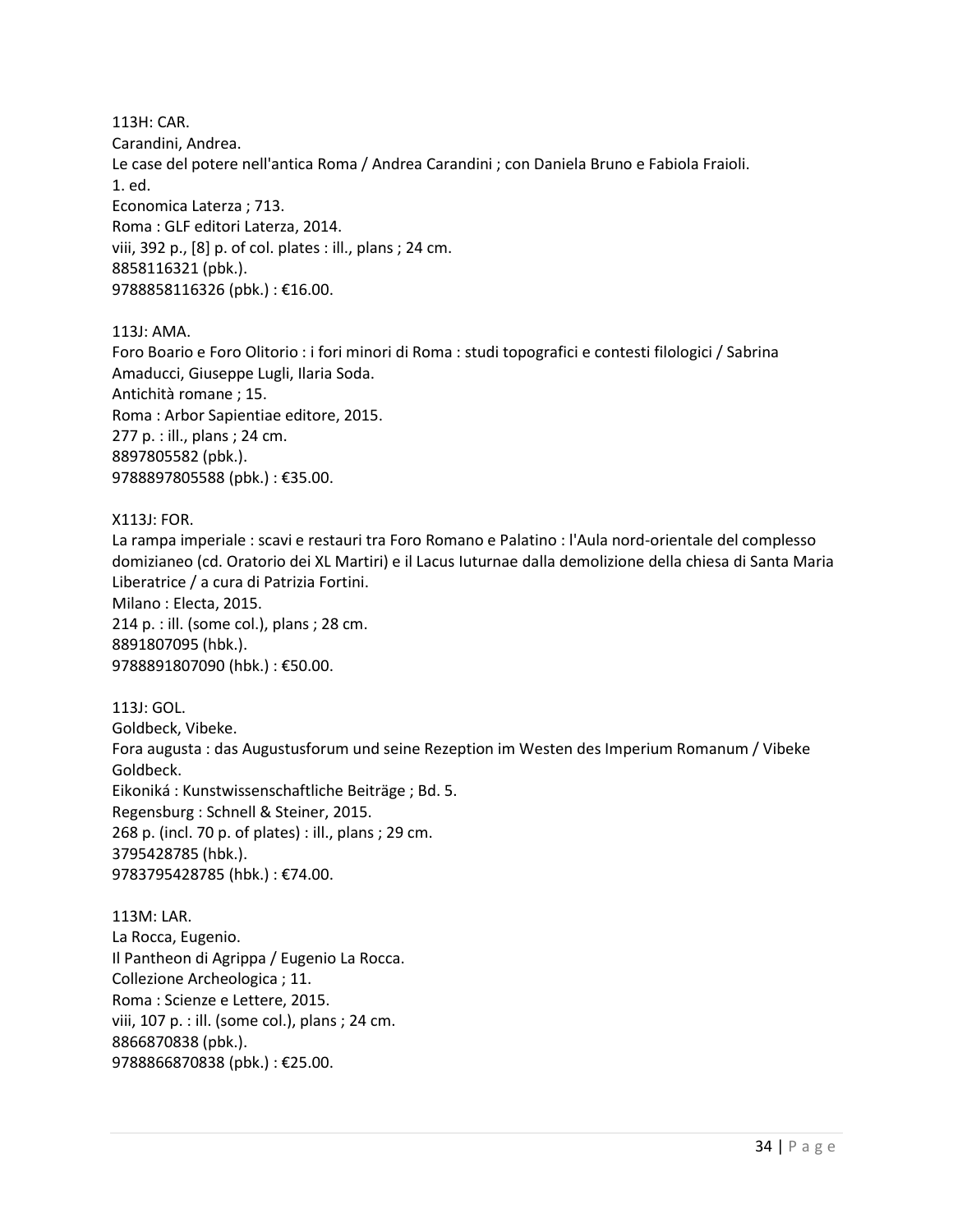113H: CAR. Carandini, Andrea. Le case del potere nell'antica Roma / Andrea Carandini ; con Daniela Bruno e Fabiola Fraioli. 1. ed. Economica Laterza ; 713. Roma : GLF editori Laterza, 2014. viii, 392 p., [8] p. of col. plates : ill., plans ; 24 cm. 8858116321 (pbk.). 9788858116326 (pbk.) : €16.00.

113J: AMA.

Foro Boario e Foro Olitorio : i fori minori di Roma : studi topografici e contesti filologici / Sabrina Amaducci, Giuseppe Lugli, Ilaria Soda. Antichità romane ; 15. Roma : Arbor Sapientiae editore, 2015. 277 p. : ill., plans ; 24 cm. 8897805582 (pbk.). 9788897805588 (pbk.) : €35.00.

X113J: FOR.

La rampa imperiale : scavi e restauri tra Foro Romano e Palatino : l'Aula nord-orientale del complesso domizianeo (cd. Oratorio dei XL Martiri) e il Lacus Iuturnae dalla demolizione della chiesa di Santa Maria Liberatrice / a cura di Patrizia Fortini. Milano : Electa, 2015.

214 p. : ill. (some col.), plans ; 28 cm. 8891807095 (hbk.). 9788891807090 (hbk.) : €50.00.

113J: GOL. Goldbeck, Vibeke. Fora augusta : das Augustusforum und seine Rezeption im Westen des Imperium Romanum / Vibeke Goldbeck. Eikoniká : Kunstwissenschaftliche Beiträge ; Bd. 5. Regensburg : Schnell & Steiner, 2015. 268 p. (incl. 70 p. of plates) : ill., plans ; 29 cm. 3795428785 (hbk.). 9783795428785 (hbk.) : €74.00.

113M: LAR. La Rocca, Eugenio. Il Pantheon di Agrippa / Eugenio La Rocca. Collezione Archeologica ; 11. Roma : Scienze e Lettere, 2015. viii, 107 p. : ill. (some col.), plans ; 24 cm. 8866870838 (pbk.). 9788866870838 (pbk.) : €25.00.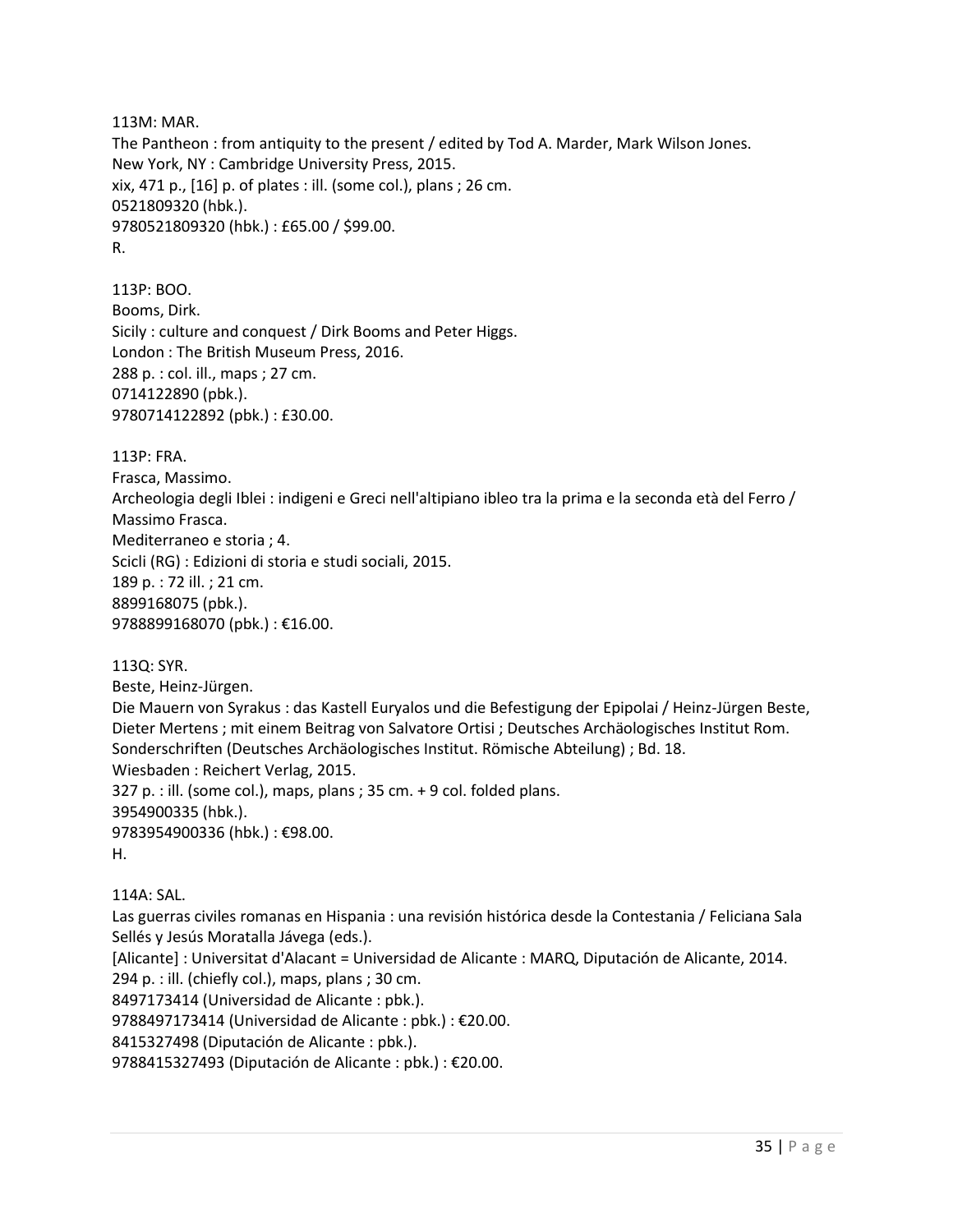113M: MAR. The Pantheon : from antiquity to the present / edited by Tod A. Marder, Mark Wilson Jones. New York, NY : Cambridge University Press, 2015. xix, 471 p., [16] p. of plates : ill. (some col.), plans ; 26 cm. 0521809320 (hbk.). 9780521809320 (hbk.) : £65.00 / \$99.00. R.

113P: BOO. Booms, Dirk. Sicily : culture and conquest / Dirk Booms and Peter Higgs. London : The British Museum Press, 2016. 288 p. : col. ill., maps ; 27 cm. 0714122890 (pbk.). 9780714122892 (pbk.) : £30.00.

113P: FRA.

Frasca, Massimo. Archeologia degli Iblei : indigeni e Greci nell'altipiano ibleo tra la prima e la seconda età del Ferro / Massimo Frasca. Mediterraneo e storia ; 4. Scicli (RG) : Edizioni di storia e studi sociali, 2015. 189 p. : 72 ill. ; 21 cm. 8899168075 (pbk.). 9788899168070 (pbk.) : €16.00.

113Q: SYR. Beste, Heinz-Jürgen. Die Mauern von Syrakus : das Kastell Euryalos und die Befestigung der Epipolai / Heinz-Jürgen Beste, Dieter Mertens ; mit einem Beitrag von Salvatore Ortisi ; Deutsches Archäologisches Institut Rom. Sonderschriften (Deutsches Archäologisches Institut. Römische Abteilung) ; Bd. 18. Wiesbaden : Reichert Verlag, 2015. 327 p. : ill. (some col.), maps, plans ; 35 cm. + 9 col. folded plans. 3954900335 (hbk.). 9783954900336 (hbk.) : €98.00. H.

114A: SAL.

Las guerras civiles romanas en Hispania : una revisión histórica desde la Contestania / Feliciana Sala Sellés y Jesús Moratalla Jávega (eds.).

[Alicante] : Universitat d'Alacant = Universidad de Alicante : MARQ, Diputación de Alicante, 2014.

294 p. : ill. (chiefly col.), maps, plans ; 30 cm.

8497173414 (Universidad de Alicante : pbk.).

9788497173414 (Universidad de Alicante : pbk.) : €20.00.

8415327498 (Diputación de Alicante : pbk.).

9788415327493 (Diputación de Alicante : pbk.) : €20.00.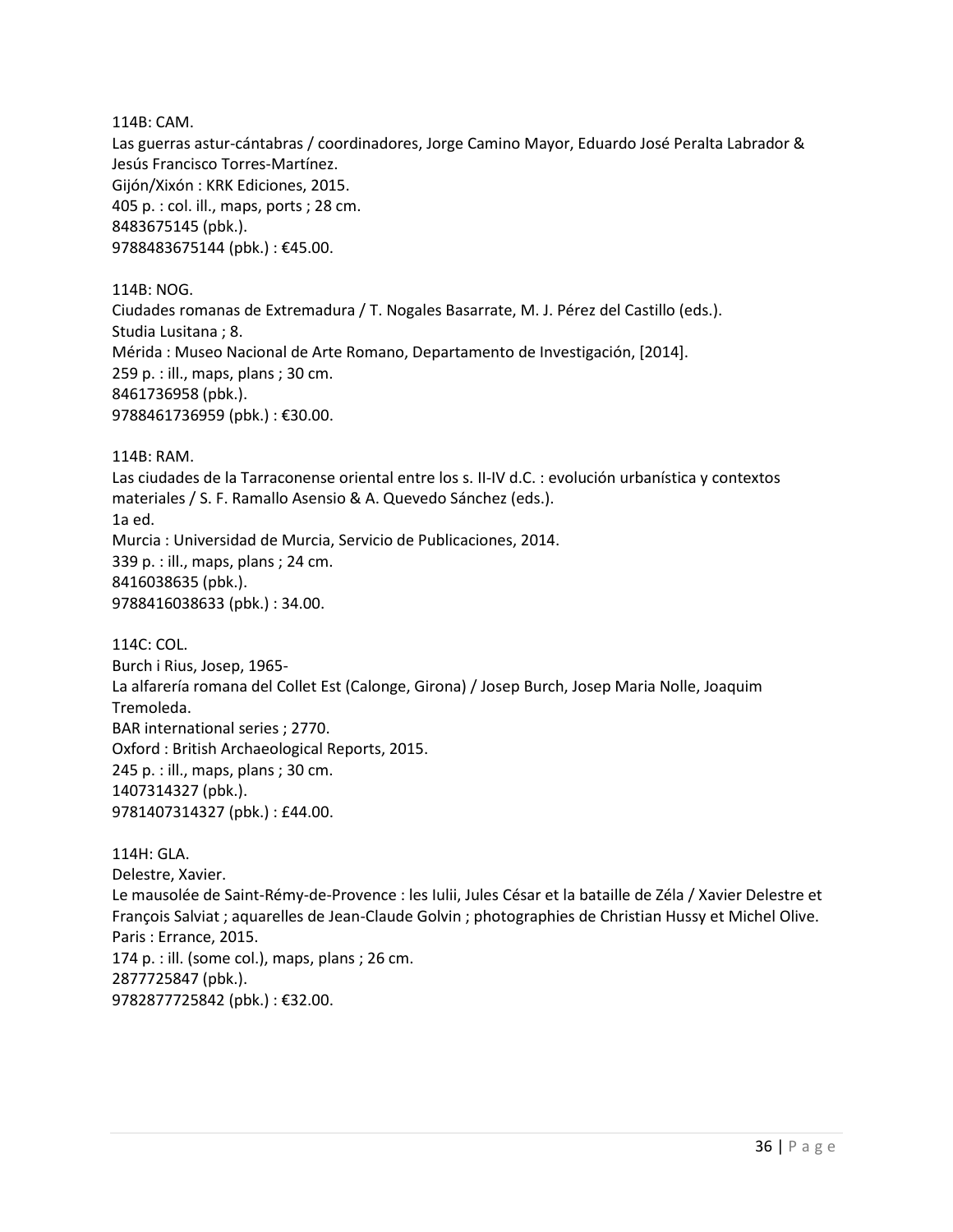114B: CAM.

Las guerras astur-cántabras / coordinadores, Jorge Camino Mayor, Eduardo José Peralta Labrador & Jesús Francisco Torres-Martínez. Gijón/Xixón : KRK Ediciones, 2015. 405 p. : col. ill., maps, ports ; 28 cm. 8483675145 (pbk.). 9788483675144 (pbk.) : €45.00.

114B: NOG. Ciudades romanas de Extremadura / T. Nogales Basarrate, M. J. Pérez del Castillo (eds.). Studia Lusitana ; 8. Mérida : Museo Nacional de Arte Romano, Departamento de Investigación, [2014]. 259 p. : ill., maps, plans ; 30 cm. 8461736958 (pbk.). 9788461736959 (pbk.) : €30.00.

114B: RAM.

Las ciudades de la Tarraconense oriental entre los s. II-IV d.C. : evolución urbanística y contextos materiales / S. F. Ramallo Asensio & A. Quevedo Sánchez (eds.). 1a ed. Murcia : Universidad de Murcia, Servicio de Publicaciones, 2014. 339 p. : ill., maps, plans ; 24 cm. 8416038635 (pbk.). 9788416038633 (pbk.) : 34.00.

114C: COL. Burch i Rius, Josep, 1965- La alfarería romana del Collet Est (Calonge, Girona) / Josep Burch, Josep Maria Nolle, Joaquim Tremoleda. BAR international series ; 2770. Oxford : British Archaeological Reports, 2015. 245 p. : ill., maps, plans ; 30 cm. 1407314327 (pbk.). 9781407314327 (pbk.) : £44.00.

114H: GLA. Delestre, Xavier. Le mausolée de Saint-Rémy-de-Provence : les Iulii, Jules César et la bataille de Zéla / Xavier Delestre et François Salviat ; aquarelles de Jean-Claude Golvin ; photographies de Christian Hussy et Michel Olive. Paris : Errance, 2015. 174 p. : ill. (some col.), maps, plans ; 26 cm. 2877725847 (pbk.). 9782877725842 (pbk.) : €32.00.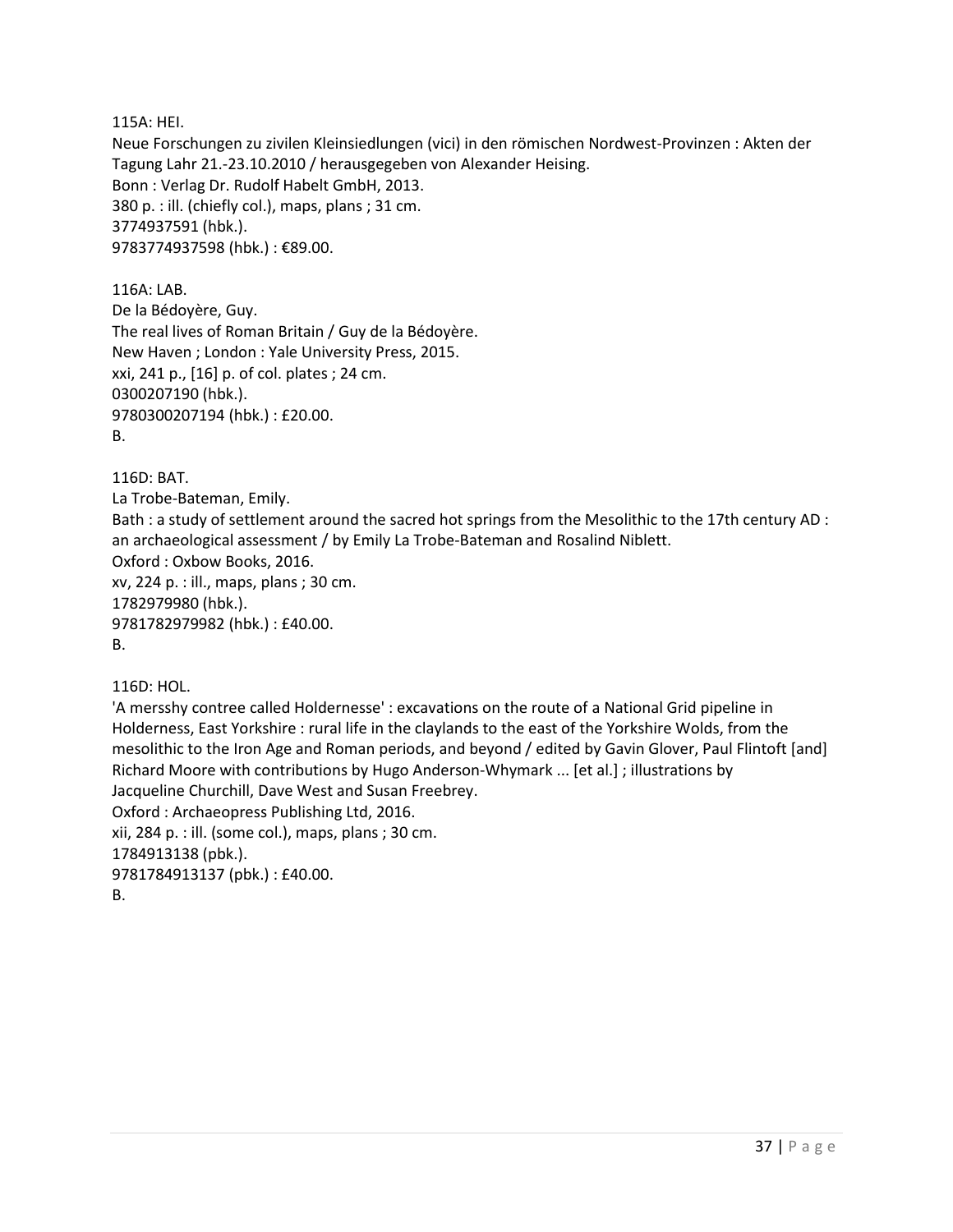115A: HEI.

Neue Forschungen zu zivilen Kleinsiedlungen (vici) in den römischen Nordwest-Provinzen : Akten der Tagung Lahr 21.-23.10.2010 / herausgegeben von Alexander Heising. Bonn : Verlag Dr. Rudolf Habelt GmbH, 2013. 380 p. : ill. (chiefly col.), maps, plans ; 31 cm. 3774937591 (hbk.). 9783774937598 (hbk.) : €89.00.

116A: LAB. De la Bédoyère, Guy. The real lives of Roman Britain / Guy de la Bédoyère. New Haven ; London : Yale University Press, 2015. xxi, 241 p., [16] p. of col. plates ; 24 cm. 0300207190 (hbk.). 9780300207194 (hbk.) : £20.00. B.

116D: BAT.

La Trobe-Bateman, Emily. Bath : a study of settlement around the sacred hot springs from the Mesolithic to the 17th century AD : an archaeological assessment / by Emily La Trobe-Bateman and Rosalind Niblett. Oxford : Oxbow Books, 2016. xv, 224 p. : ill., maps, plans ; 30 cm. 1782979980 (hbk.). 9781782979982 (hbk.) : £40.00. B.

116D: HOL.

'A mersshy contree called Holdernesse' : excavations on the route of a National Grid pipeline in Holderness, East Yorkshire : rural life in the claylands to the east of the Yorkshire Wolds, from the mesolithic to the Iron Age and Roman periods, and beyond / edited by Gavin Glover, Paul Flintoft [and] Richard Moore with contributions by Hugo Anderson-Whymark ... [et al.] ; illustrations by Jacqueline Churchill, Dave West and Susan Freebrey. Oxford : Archaeopress Publishing Ltd, 2016. xii, 284 p. : ill. (some col.), maps, plans ; 30 cm. 1784913138 (pbk.). 9781784913137 (pbk.) : £40.00.

B.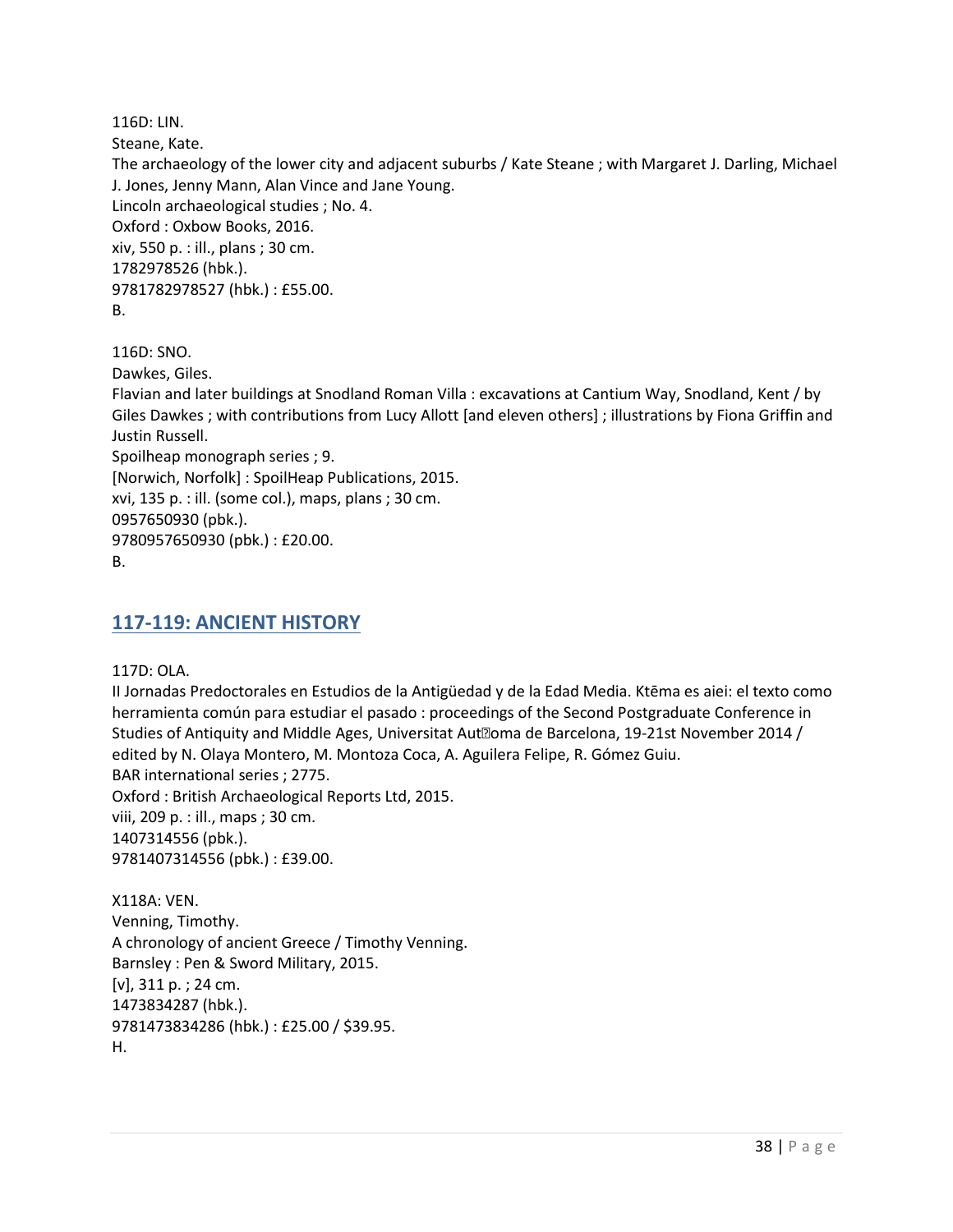116D: LIN.

Steane, Kate.

The archaeology of the lower city and adjacent suburbs / Kate Steane ; with Margaret J. Darling, Michael J. Jones, Jenny Mann, Alan Vince and Jane Young. Lincoln archaeological studies ; No. 4. Oxford : Oxbow Books, 2016. xiv, 550 p. : ill., plans ; 30 cm. 1782978526 (hbk.). 9781782978527 (hbk.) : £55.00. B.

116D: SNO.

Dawkes, Giles.

Flavian and later buildings at Snodland Roman Villa : excavations at Cantium Way, Snodland, Kent / by Giles Dawkes ; with contributions from Lucy Allott [and eleven others] ; illustrations by Fiona Griffin and Justin Russell.

Spoilheap monograph series ; 9.

[Norwich, Norfolk] : SpoilHeap Publications, 2015.

xvi, 135 p. : ill. (some col.), maps, plans ; 30 cm. 0957650930 (pbk.).

9780957650930 (pbk.) : £20.00.

B.

# **117-119: ANCIENT HISTORY**

117D: OLA.

II Jornadas Predoctorales en Estudios de la Antigüedad y de la Edad Media. Ktēma es aiei: el texto como herramienta común para estudiar el pasado : proceedings of the Second Postgraduate Conference in Studies of Antiquity and Middle Ages, Universitat Aut<sup>®</sup>oma de Barcelona, 19-21st November 2014 / edited by N. Olaya Montero, M. Montoza Coca, A. Aguilera Felipe, R. Gómez Guiu. BAR international series ; 2775. Oxford : British Archaeological Reports Ltd, 2015. viii, 209 p. : ill., maps ; 30 cm. 1407314556 (pbk.). 9781407314556 (pbk.) : £39.00.

X118A: VEN. Venning, Timothy. A chronology of ancient Greece / Timothy Venning. Barnsley : Pen & Sword Military, 2015. [v], 311 p. ; 24 cm. 1473834287 (hbk.). 9781473834286 (hbk.) : £25.00 / \$39.95. H.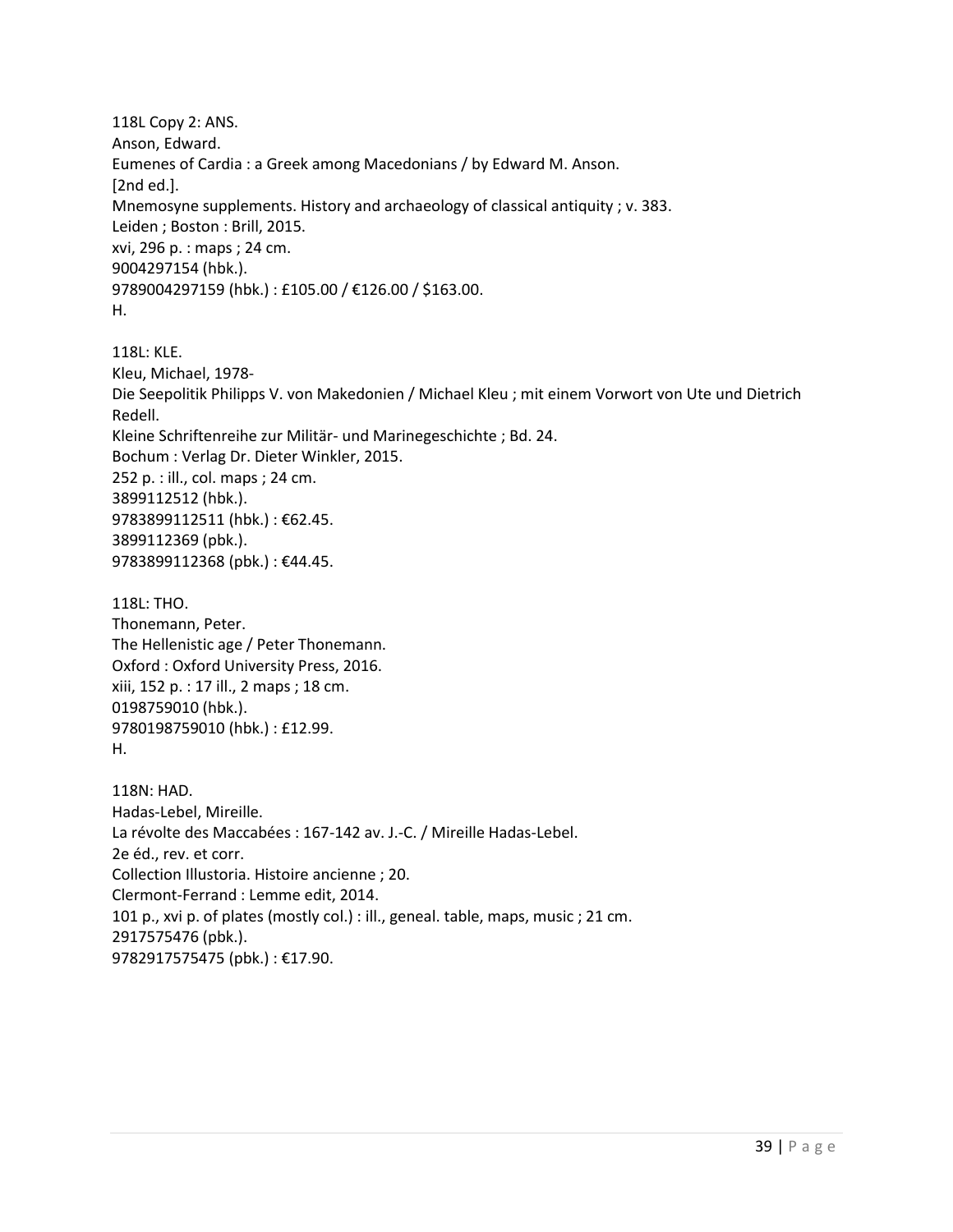118L Copy 2: ANS. Anson, Edward. Eumenes of Cardia : a Greek among Macedonians / by Edward M. Anson. [2nd ed.]. Mnemosyne supplements. History and archaeology of classical antiquity ; v. 383. Leiden ; Boston : Brill, 2015. xvi, 296 p. : maps ; 24 cm. 9004297154 (hbk.). 9789004297159 (hbk.) : £105.00 / €126.00 / \$163.00. H.

118L: KLE. Kleu, Michael, 1978- Die Seepolitik Philipps V. von Makedonien / Michael Kleu ; mit einem Vorwort von Ute und Dietrich Redell. Kleine Schriftenreihe zur Militär- und Marinegeschichte ; Bd. 24. Bochum : Verlag Dr. Dieter Winkler, 2015. 252 p. : ill., col. maps ; 24 cm. 3899112512 (hbk.). 9783899112511 (hbk.) : €62.45. 3899112369 (pbk.). 9783899112368 (pbk.) : €44.45.

118L: THO. Thonemann, Peter. The Hellenistic age / Peter Thonemann. Oxford : Oxford University Press, 2016. xiii, 152 p. : 17 ill., 2 maps ; 18 cm. 0198759010 (hbk.). 9780198759010 (hbk.) : £12.99. H.

118N: HAD. Hadas-Lebel, Mireille. La révolte des Maccabées : 167-142 av. J.-C. / Mireille Hadas-Lebel. 2e éd., rev. et corr. Collection Illustoria. Histoire ancienne ; 20. Clermont-Ferrand : Lemme edit, 2014. 101 p., xvi p. of plates (mostly col.) : ill., geneal. table, maps, music ; 21 cm. 2917575476 (pbk.). 9782917575475 (pbk.) : €17.90.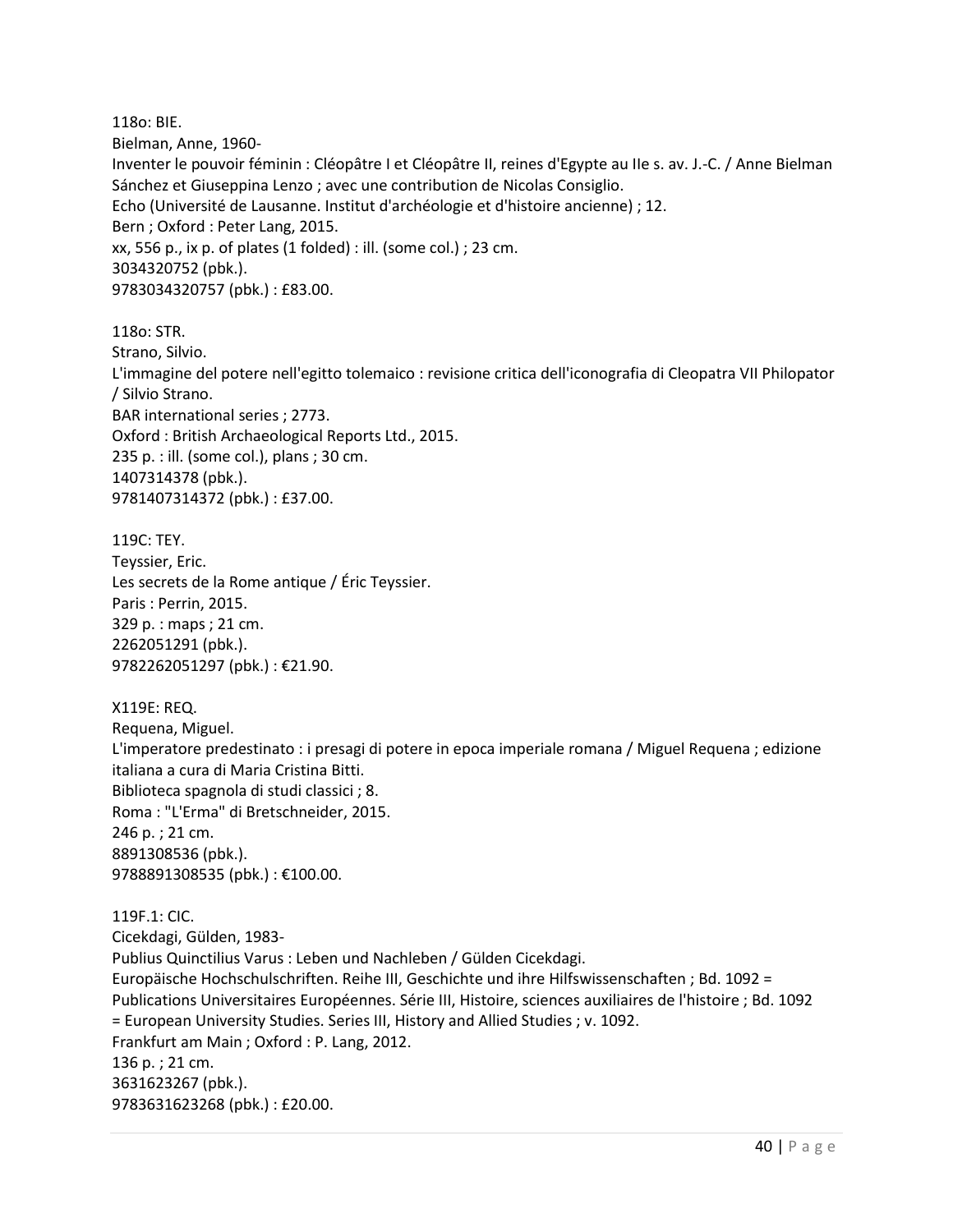118o: BIE. Bielman, Anne, 1960- Inventer le pouvoir féminin : Cléopâtre I et Cléopâtre II, reines d'Egypte au IIe s. av. J.-C. / Anne Bielman Sánchez et Giuseppina Lenzo ; avec une contribution de Nicolas Consiglio. Echo (Université de Lausanne. Institut d'archéologie et d'histoire ancienne) ; 12. Bern ; Oxford : Peter Lang, 2015. xx, 556 p., ix p. of plates (1 folded) : ill. (some col.) ; 23 cm. 3034320752 (pbk.). 9783034320757 (pbk.) : £83.00.

118o: STR. Strano, Silvio. L'immagine del potere nell'egitto tolemaico : revisione critica dell'iconografia di Cleopatra VII Philopator / Silvio Strano. BAR international series ; 2773. Oxford : British Archaeological Reports Ltd., 2015. 235 p. : ill. (some col.), plans ; 30 cm. 1407314378 (pbk.). 9781407314372 (pbk.) : £37.00.

119C: TEY. Teyssier, Eric. Les secrets de la Rome antique / Éric Teyssier. Paris : Perrin, 2015. 329 p. : maps ; 21 cm. 2262051291 (pbk.). 9782262051297 (pbk.) : €21.90.

X119E: REQ. Requena, Miguel. L'imperatore predestinato : i presagi di potere in epoca imperiale romana / Miguel Requena ; edizione italiana a cura di Maria Cristina Bitti. Biblioteca spagnola di studi classici ; 8. Roma : "L'Erma" di Bretschneider, 2015. 246 p. ; 21 cm. 8891308536 (pbk.). 9788891308535 (pbk.) : €100.00.

119F.1: CIC. Cicekdagi, Gülden, 1983- Publius Quinctilius Varus : Leben und Nachleben / Gülden Cicekdagi. Europäische Hochschulschriften. Reihe III, Geschichte und ihre Hilfswissenschaften ; Bd. 1092 = Publications Universitaires Européennes. Série III, Histoire, sciences auxiliaires de l'histoire ; Bd. 1092 = European University Studies. Series III, History and Allied Studies ; v. 1092. Frankfurt am Main ; Oxford : P. Lang, 2012. 136 p. ; 21 cm. 3631623267 (pbk.). 9783631623268 (pbk.) : £20.00.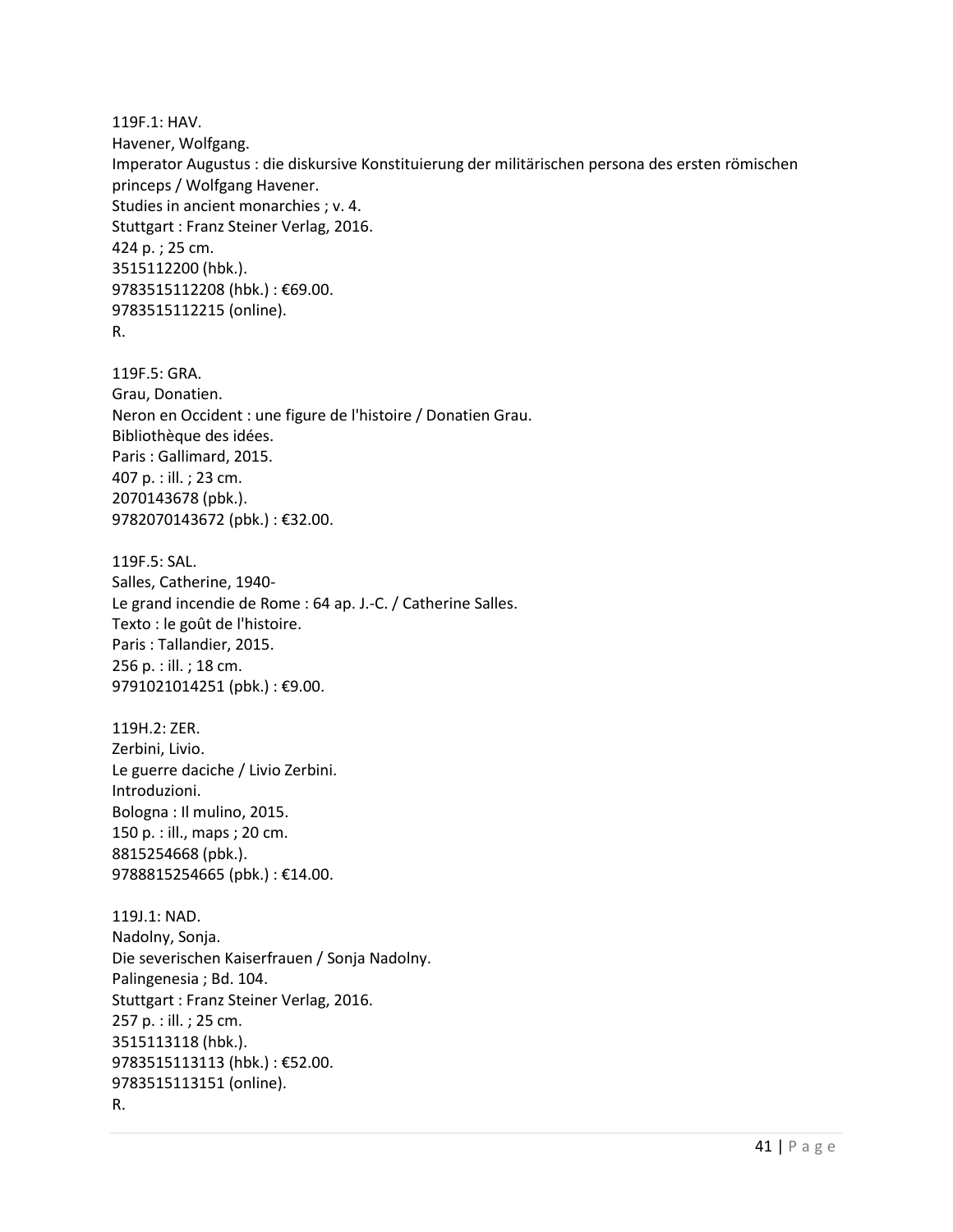119F.1: HAV. Havener, Wolfgang. Imperator Augustus : die diskursive Konstituierung der militärischen persona des ersten römischen princeps / Wolfgang Havener. Studies in ancient monarchies ; v. 4. Stuttgart : Franz Steiner Verlag, 2016. 424 p. ; 25 cm. 3515112200 (hbk.). 9783515112208 (hbk.) : €69.00. 9783515112215 (online). R.

119F.5: GRA. Grau, Donatien. Neron en Occident : une figure de l'histoire / Donatien Grau. Bibliothèque des idées. Paris : Gallimard, 2015. 407 p. : ill. ; 23 cm. 2070143678 (pbk.). 9782070143672 (pbk.) : €32.00.

119F.5: SAL. Salles, Catherine, 1940- Le grand incendie de Rome : 64 ap. J.-C. / Catherine Salles. Texto : le goût de l'histoire. Paris : Tallandier, 2015. 256 p. : ill. ; 18 cm. 9791021014251 (pbk.) : €9.00.

119H.2: ZER. Zerbini, Livio. Le guerre daciche / Livio Zerbini. Introduzioni. Bologna : Il mulino, 2015. 150 p. : ill., maps ; 20 cm. 8815254668 (pbk.). 9788815254665 (pbk.) : €14.00.

119J.1: NAD. Nadolny, Sonja. Die severischen Kaiserfrauen / Sonja Nadolny. Palingenesia ; Bd. 104. Stuttgart : Franz Steiner Verlag, 2016. 257 p. : ill. ; 25 cm. 3515113118 (hbk.). 9783515113113 (hbk.) : €52.00. 9783515113151 (online). R.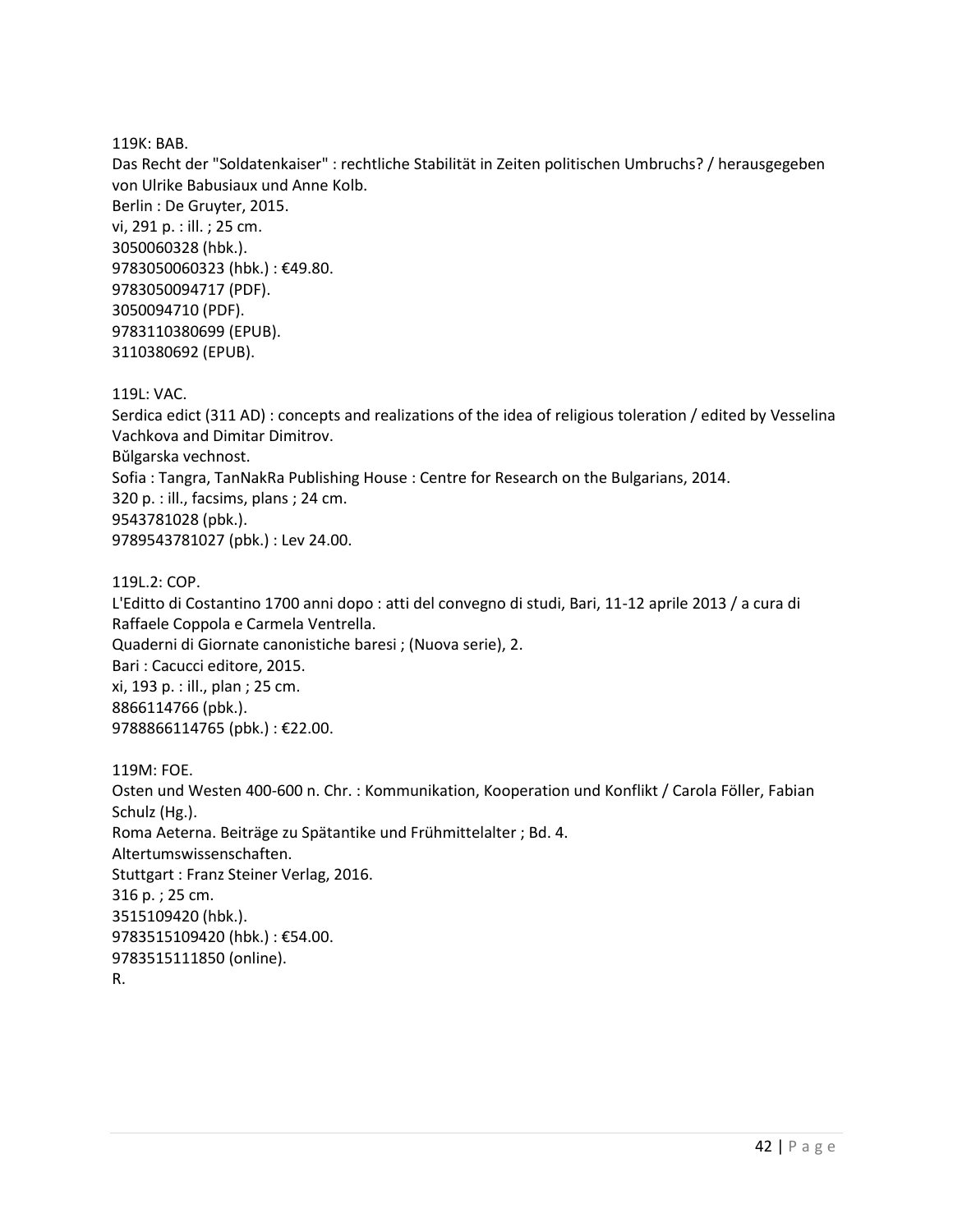119K: BAB.

Das Recht der "Soldatenkaiser" : rechtliche Stabilität in Zeiten politischen Umbruchs? / herausgegeben von Ulrike Babusiaux und Anne Kolb. Berlin : De Gruyter, 2015. vi, 291 p. : ill. ; 25 cm. 3050060328 (hbk.). 9783050060323 (hbk.) : €49.80. 9783050094717 (PDF). 3050094710 (PDF). 9783110380699 (EPUB). 3110380692 (EPUB).

119L: VAC.

Serdica edict (311 AD) : concepts and realizations of the idea of religious toleration / edited by Vesselina Vachkova and Dimitar Dimitrov. Bŭlgarska vechnost. Sofia : Tangra, TanNakRa Publishing House : Centre for Research on the Bulgarians, 2014. 320 p. : ill., facsims, plans ; 24 cm. 9543781028 (pbk.). 9789543781027 (pbk.) : Lev 24.00.

119L.2: COP.

L'Editto di Costantino 1700 anni dopo : atti del convegno di studi, Bari, 11-12 aprile 2013 / a cura di Raffaele Coppola e Carmela Ventrella. Quaderni di Giornate canonistiche baresi ; (Nuova serie), 2. Bari : Cacucci editore, 2015. xi, 193 p. : ill., plan ; 25 cm. 8866114766 (pbk.). 9788866114765 (pbk.) : €22.00.

119M: FOE. Osten und Westen 400-600 n. Chr. : Kommunikation, Kooperation und Konflikt / Carola Föller, Fabian Schulz (Hg.). Roma Aeterna. Beiträge zu Spätantike und Frühmittelalter ; Bd. 4. Altertumswissenschaften. Stuttgart : Franz Steiner Verlag, 2016. 316 p. ; 25 cm. 3515109420 (hbk.). 9783515109420 (hbk.) : €54.00. 9783515111850 (online). R.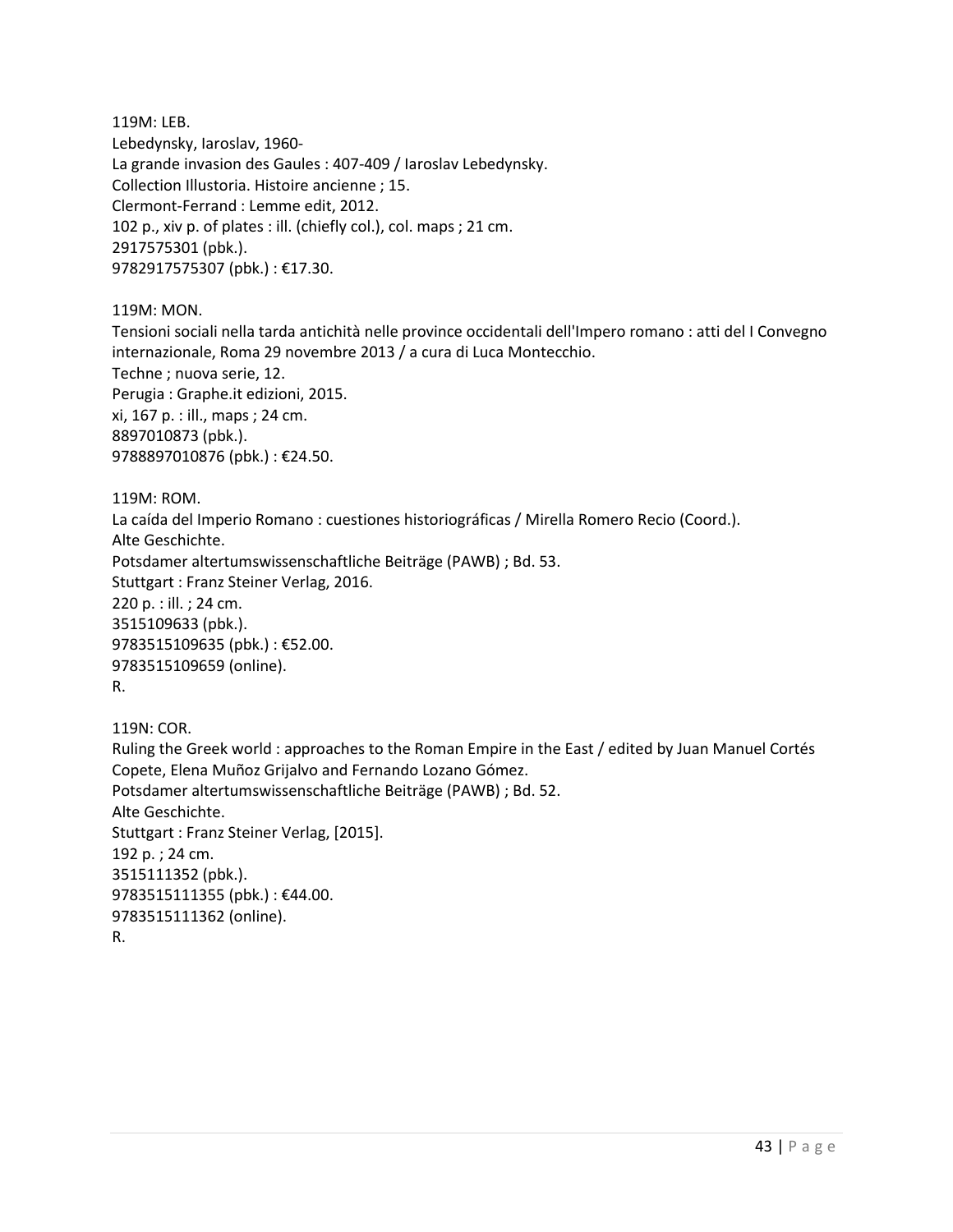119M: LEB. Lebedynsky, Iaroslav, 1960- La grande invasion des Gaules : 407-409 / Iaroslav Lebedynsky. Collection Illustoria. Histoire ancienne ; 15. Clermont-Ferrand : Lemme edit, 2012. 102 p., xiv p. of plates : ill. (chiefly col.), col. maps ; 21 cm. 2917575301 (pbk.). 9782917575307 (pbk.) : €17.30.

119M: MON.

Tensioni sociali nella tarda antichità nelle province occidentali dell'Impero romano : atti del I Convegno internazionale, Roma 29 novembre 2013 / a cura di Luca Montecchio. Techne ; nuova serie, 12. Perugia : Graphe.it edizioni, 2015. xi, 167 p. : ill., maps ; 24 cm. 8897010873 (pbk.). 9788897010876 (pbk.) : €24.50.

119M: ROM. La caída del Imperio Romano : cuestiones historiográficas / Mirella Romero Recio (Coord.). Alte Geschichte. Potsdamer altertumswissenschaftliche Beiträge (PAWB) ; Bd. 53. Stuttgart : Franz Steiner Verlag, 2016. 220 p. : ill. ; 24 cm. 3515109633 (pbk.). 9783515109635 (pbk.) : €52.00. 9783515109659 (online). R.

119N: COR. Ruling the Greek world : approaches to the Roman Empire in the East / edited by Juan Manuel Cortés Copete, Elena Muñoz Grijalvo and Fernando Lozano Gómez. Potsdamer altertumswissenschaftliche Beiträge (PAWB) ; Bd. 52. Alte Geschichte. Stuttgart : Franz Steiner Verlag, [2015]. 192 p. ; 24 cm. 3515111352 (pbk.). 9783515111355 (pbk.) : €44.00. 9783515111362 (online). R.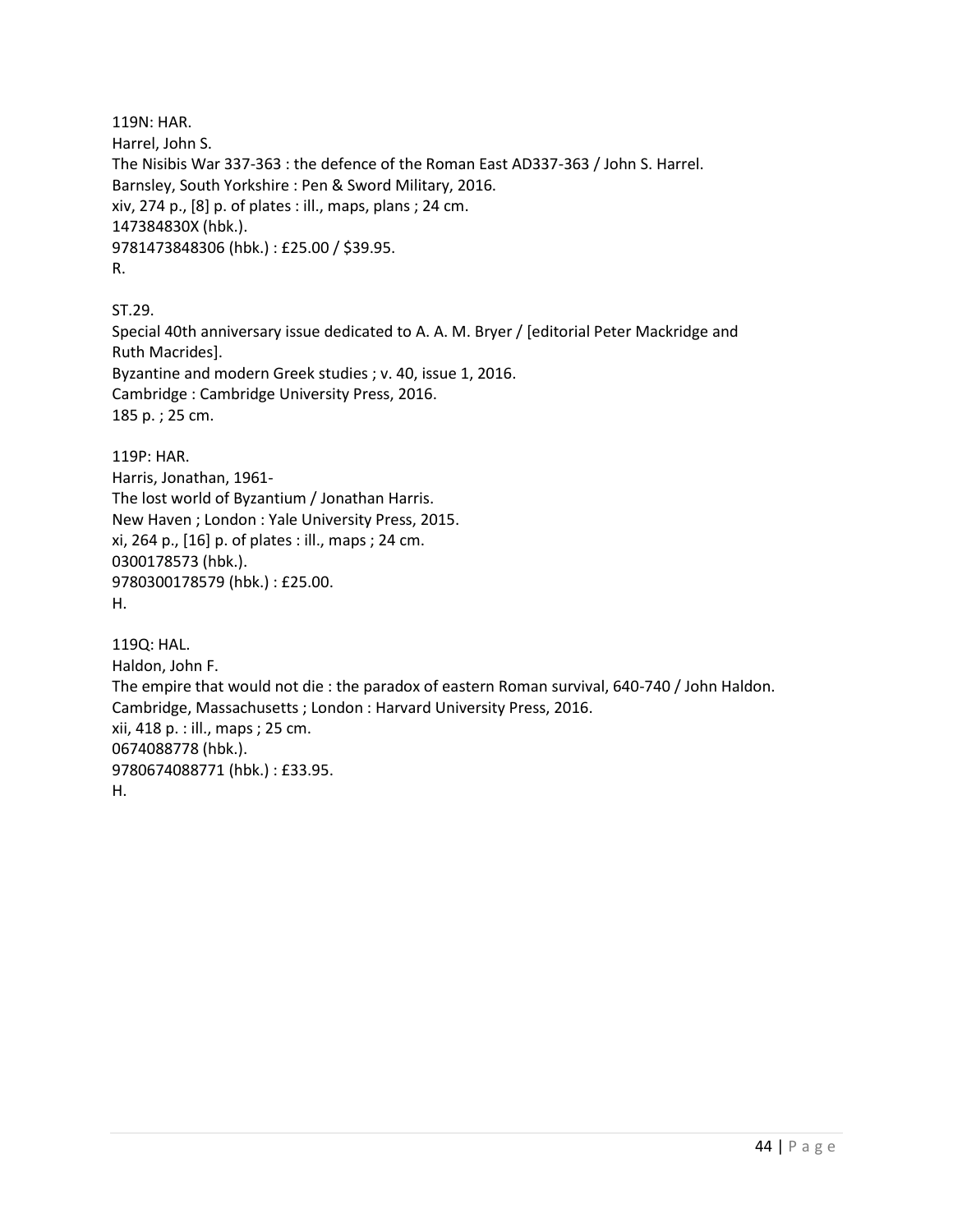119N: HAR. Harrel, John S. The Nisibis War 337-363 : the defence of the Roman East AD337-363 / John S. Harrel. Barnsley, South Yorkshire : Pen & Sword Military, 2016. xiv, 274 p., [8] p. of plates : ill., maps, plans ; 24 cm. 147384830X (hbk.). 9781473848306 (hbk.) : £25.00 / \$39.95. R.

ST.29.

Special 40th anniversary issue dedicated to A. A. M. Bryer / [editorial Peter Mackridge and Ruth Macrides]. Byzantine and modern Greek studies ; v. 40, issue 1, 2016. Cambridge : Cambridge University Press, 2016. 185 p. ; 25 cm.

119P: HAR. Harris, Jonathan, 1961- The lost world of Byzantium / Jonathan Harris. New Haven ; London : Yale University Press, 2015. xi, 264 p., [16] p. of plates : ill., maps ; 24 cm. 0300178573 (hbk.). 9780300178579 (hbk.) : £25.00. H.

119Q: HAL. Haldon, John F. The empire that would not die : the paradox of eastern Roman survival, 640-740 / John Haldon. Cambridge, Massachusetts ; London : Harvard University Press, 2016. xii, 418 p. : ill., maps ; 25 cm. 0674088778 (hbk.). 9780674088771 (hbk.) : £33.95. H.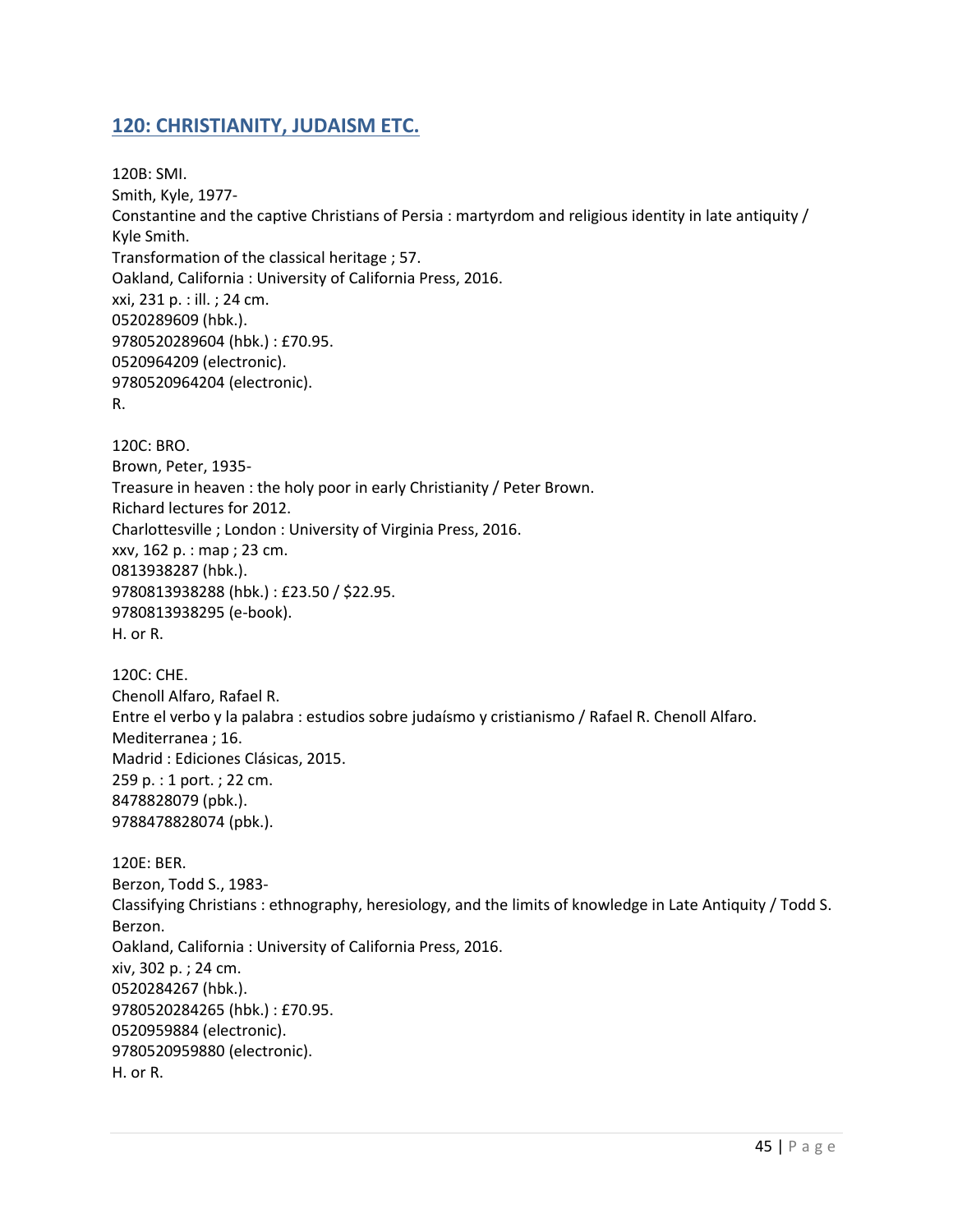# **120: CHRISTIANITY, JUDAISM ETC.**

120B: SMI. Smith, Kyle, 1977- Constantine and the captive Christians of Persia : martyrdom and religious identity in late antiquity / Kyle Smith. Transformation of the classical heritage ; 57. Oakland, California : University of California Press, 2016. xxi, 231 p. : ill. ; 24 cm. 0520289609 (hbk.). 9780520289604 (hbk.) : £70.95. 0520964209 (electronic). 9780520964204 (electronic). R.

120C: BRO. Brown, Peter, 1935- Treasure in heaven : the holy poor in early Christianity / Peter Brown. Richard lectures for 2012. Charlottesville ; London : University of Virginia Press, 2016. xxv, 162 p. : map ; 23 cm. 0813938287 (hbk.). 9780813938288 (hbk.) : £23.50 / \$22.95. 9780813938295 (e-book). H. or R.

120C: CHE. Chenoll Alfaro, Rafael R. Entre el verbo y la palabra : estudios sobre judaísmo y cristianismo / Rafael R. Chenoll Alfaro. Mediterranea ; 16. Madrid : Ediciones Clásicas, 2015. 259 p. : 1 port. ; 22 cm. 8478828079 (pbk.). 9788478828074 (pbk.).

120E: BER. Berzon, Todd S., 1983- Classifying Christians : ethnography, heresiology, and the limits of knowledge in Late Antiquity / Todd S. Berzon. Oakland, California : University of California Press, 2016. xiv, 302 p. ; 24 cm. 0520284267 (hbk.). 9780520284265 (hbk.) : £70.95. 0520959884 (electronic). 9780520959880 (electronic). H. or R.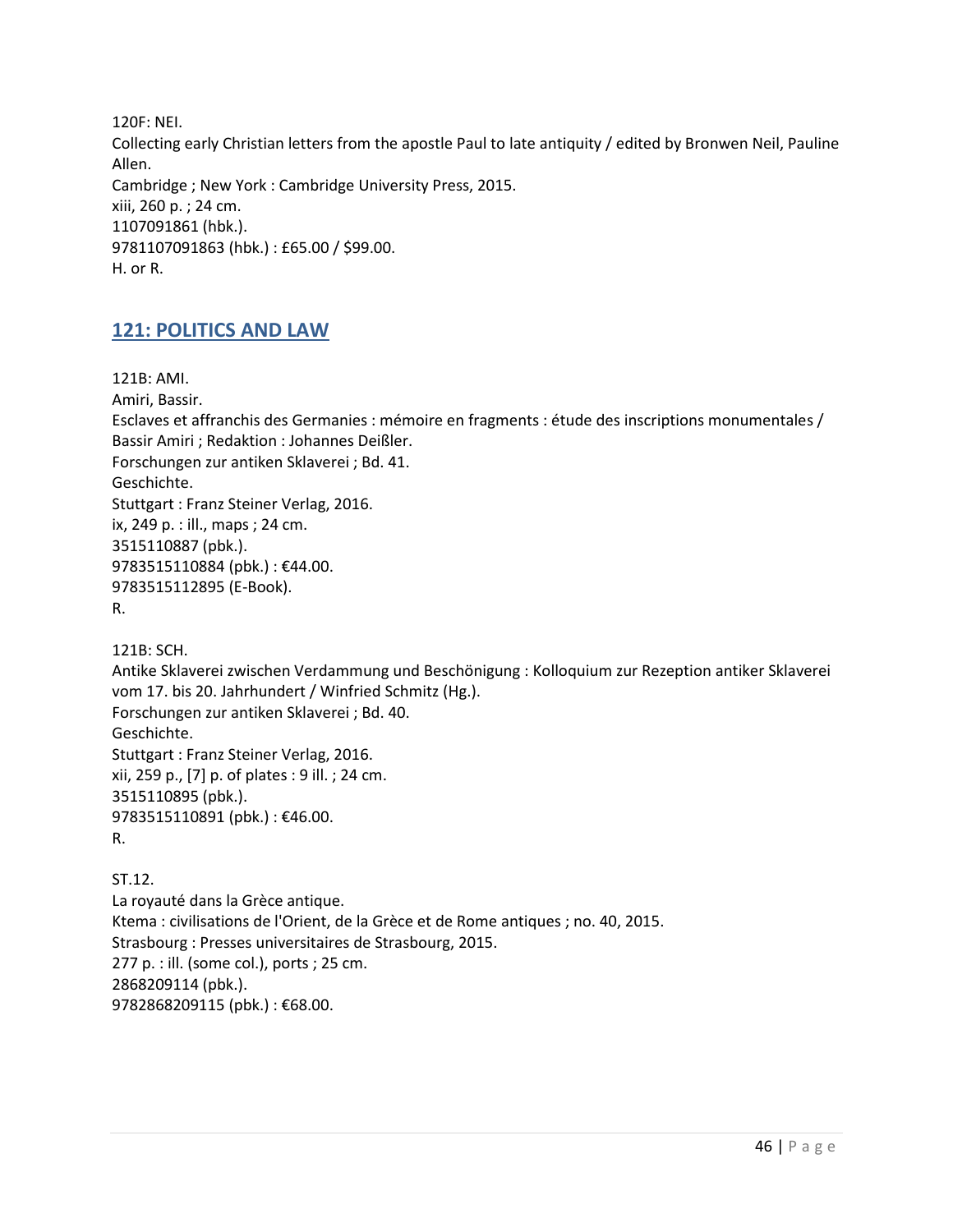120F: NEI. Collecting early Christian letters from the apostle Paul to late antiquity / edited by Bronwen Neil, Pauline Allen. Cambridge ; New York : Cambridge University Press, 2015. xiii, 260 p. ; 24 cm. 1107091861 (hbk.). 9781107091863 (hbk.) : £65.00 / \$99.00. H. or R.

### **121: POLITICS AND LAW**

121B: AMI. Amiri, Bassir. Esclaves et affranchis des Germanies : mémoire en fragments : étude des inscriptions monumentales / Bassir Amiri ; Redaktion : Johannes Deißler. Forschungen zur antiken Sklaverei ; Bd. 41. Geschichte. Stuttgart : Franz Steiner Verlag, 2016. ix, 249 p. : ill., maps ; 24 cm. 3515110887 (pbk.). 9783515110884 (pbk.) : €44.00. 9783515112895 (E-Book). R.

121B: SCH.

Antike Sklaverei zwischen Verdammung und Beschönigung : Kolloquium zur Rezeption antiker Sklaverei vom 17. bis 20. Jahrhundert / Winfried Schmitz (Hg.). Forschungen zur antiken Sklaverei ; Bd. 40. Geschichte. Stuttgart : Franz Steiner Verlag, 2016. xii, 259 p., [7] p. of plates : 9 ill. ; 24 cm. 3515110895 (pbk.). 9783515110891 (pbk.) : €46.00.

R.

ST.12. La royauté dans la Grèce antique. Ktema : civilisations de l'Orient, de la Grèce et de Rome antiques ; no. 40, 2015. Strasbourg : Presses universitaires de Strasbourg, 2015. 277 p. : ill. (some col.), ports ; 25 cm. 2868209114 (pbk.). 9782868209115 (pbk.) : €68.00.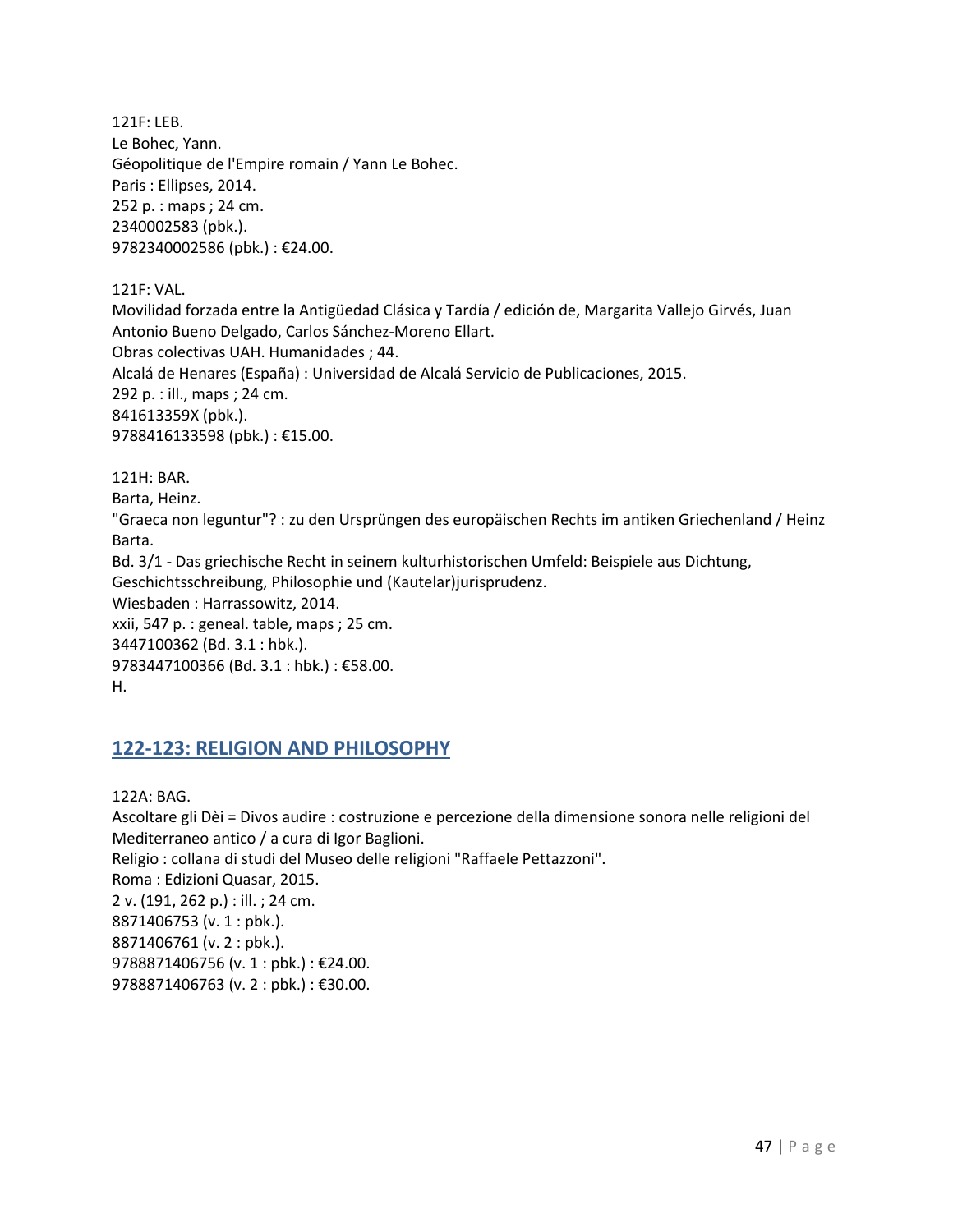121F: LEB. Le Bohec, Yann. Géopolitique de l'Empire romain / Yann Le Bohec. Paris : Ellipses, 2014. 252 p. : maps ; 24 cm. 2340002583 (pbk.). 9782340002586 (pbk.) : €24.00.

121F: VAL.

Movilidad forzada entre la Antigüedad Clásica y Tardía / edición de, Margarita Vallejo Girvés, Juan Antonio Bueno Delgado, Carlos Sánchez-Moreno Ellart. Obras colectivas UAH. Humanidades ; 44.

Alcalá de Henares (España) : Universidad de Alcalá Servicio de Publicaciones, 2015.

292 p. : ill., maps ; 24 cm.

841613359X (pbk.).

9788416133598 (pbk.) : €15.00.

121H: BAR.

Barta, Heinz.

"Graeca non leguntur"? : zu den Ursprüngen des europäischen Rechts im antiken Griechenland / Heinz Barta.

Bd. 3/1 - Das griechische Recht in seinem kulturhistorischen Umfeld: Beispiele aus Dichtung, Geschichtsschreibung, Philosophie und (Kautelar)jurisprudenz.

Wiesbaden : Harrassowitz, 2014.

xxii, 547 p. : geneal. table, maps ; 25 cm. 3447100362 (Bd. 3.1 : hbk.).

9783447100366 (Bd. 3.1 : hbk.) : €58.00.

H.

### **122-123: RELIGION AND PHILOSOPHY**

122A: BAG.

Ascoltare gli Dèi = Divos audire : costruzione e percezione della dimensione sonora nelle religioni del Mediterraneo antico / a cura di Igor Baglioni. Religio : collana di studi del Museo delle religioni "Raffaele Pettazzoni". Roma : Edizioni Quasar, 2015. 2 v. (191, 262 p.) : ill. ; 24 cm. 8871406753 (v. 1 : pbk.). 8871406761 (v. 2 : pbk.). 9788871406756 (v. 1 : pbk.) : €24.00.

9788871406763 (v. 2 : pbk.) : €30.00.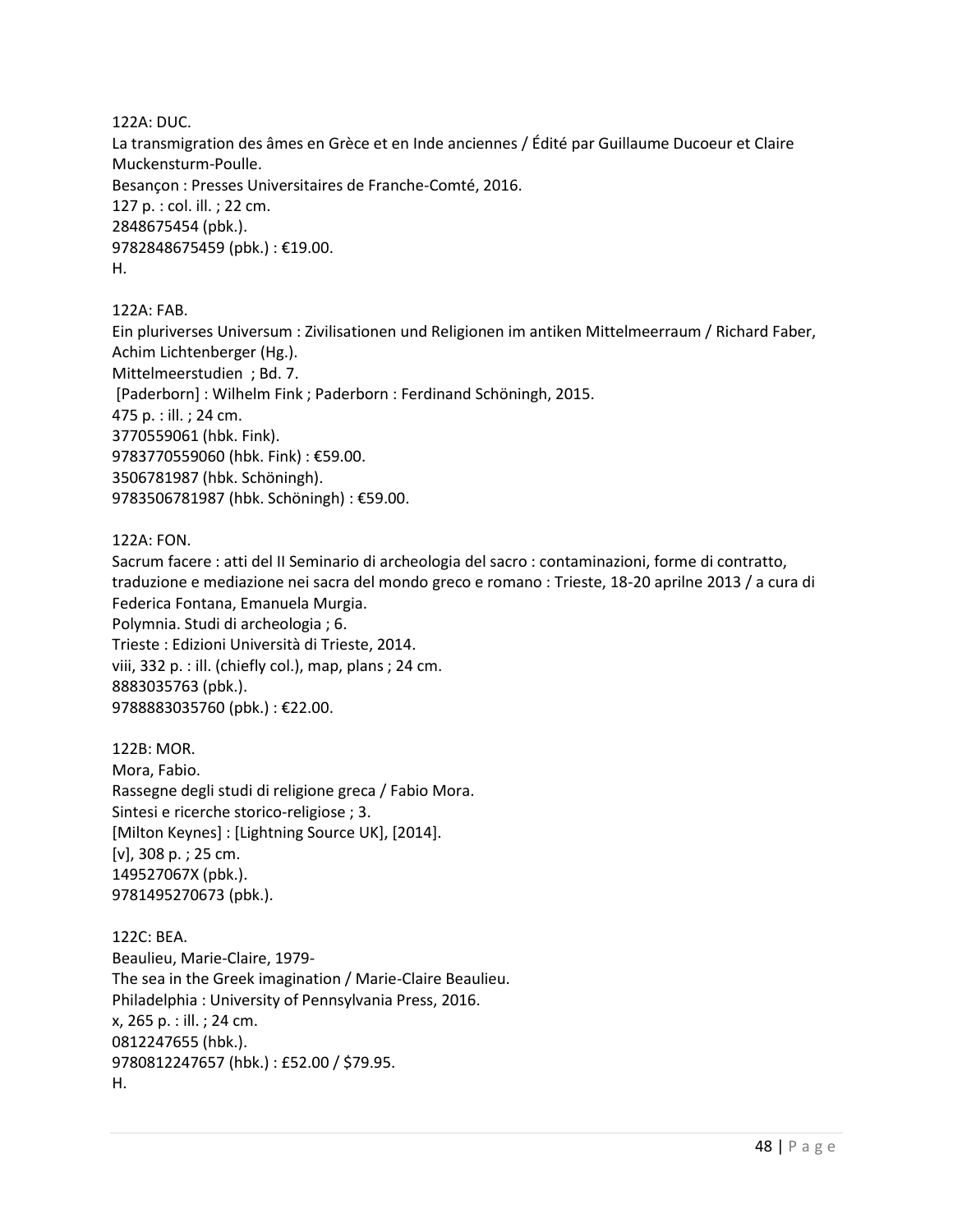122A: DUC.

La transmigration des âmes en Grèce et en Inde anciennes / Édité par Guillaume Ducoeur et Claire Muckensturm-Poulle. Besançon : Presses Universitaires de Franche-Comté, 2016. 127 p. : col. ill. ; 22 cm. 2848675454 (pbk.). 9782848675459 (pbk.) : €19.00. H.

122A: FAB.

Ein pluriverses Universum : Zivilisationen und Religionen im antiken Mittelmeerraum / Richard Faber, Achim Lichtenberger (Hg.). Mittelmeerstudien ; Bd. 7. [Paderborn] : Wilhelm Fink ; Paderborn : Ferdinand Schöningh, 2015. 475 p. : ill. ; 24 cm. 3770559061 (hbk. Fink). 9783770559060 (hbk. Fink) : €59.00. 3506781987 (hbk. Schöningh). 9783506781987 (hbk. Schöningh) : €59.00.

122A: FON.

Sacrum facere : atti del II Seminario di archeologia del sacro : contaminazioni, forme di contratto, traduzione e mediazione nei sacra del mondo greco e romano : Trieste, 18-20 aprilne 2013 / a cura di Federica Fontana, Emanuela Murgia.

Polymnia. Studi di archeologia ; 6. Trieste : Edizioni Università di Trieste, 2014. viii, 332 p. : ill. (chiefly col.), map, plans ; 24 cm. 8883035763 (pbk.). 9788883035760 (pbk.) : €22.00.

122B: MOR. Mora, Fabio. Rassegne degli studi di religione greca / Fabio Mora. Sintesi e ricerche storico-religiose ; 3. [Milton Keynes] : [Lightning Source UK], [2014]. [v], 308 p. ; 25 cm. 149527067X (pbk.). 9781495270673 (pbk.).

122C: BEA. Beaulieu, Marie-Claire, 1979- The sea in the Greek imagination / Marie-Claire Beaulieu. Philadelphia : University of Pennsylvania Press, 2016. x, 265 p. : ill. ; 24 cm. 0812247655 (hbk.). 9780812247657 (hbk.) : £52.00 / \$79.95. H.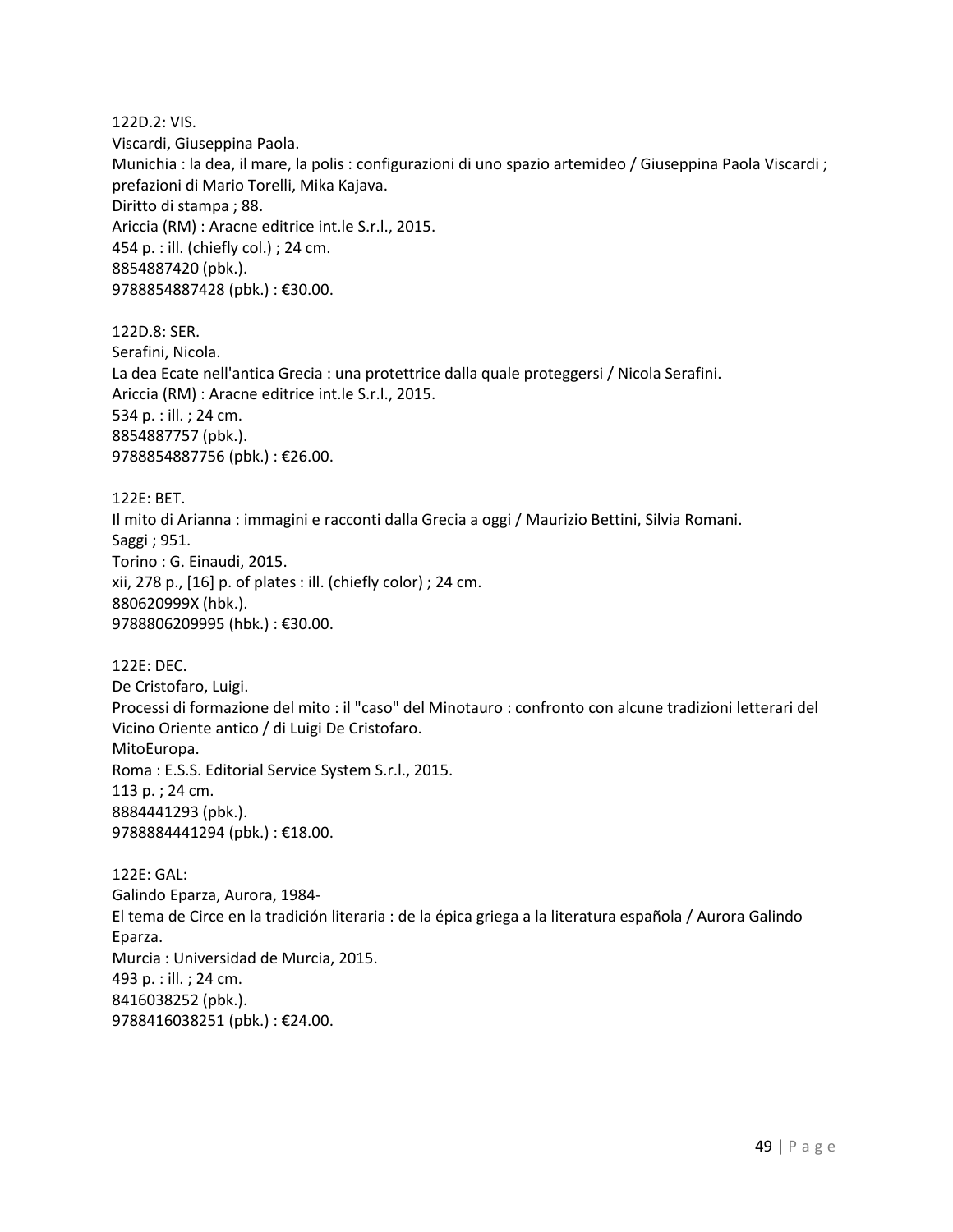122D.2: VIS. Viscardi, Giuseppina Paola. Munichia : la dea, il mare, la polis : configurazioni di uno spazio artemideo / Giuseppina Paola Viscardi ; prefazioni di Mario Torelli, Mika Kajava. Diritto di stampa ; 88. Ariccia (RM) : Aracne editrice int.le S.r.l., 2015. 454 p. : ill. (chiefly col.) ; 24 cm. 8854887420 (pbk.). 9788854887428 (pbk.) : €30.00. 122D.8: SER. Serafini, Nicola. La dea Ecate nell'antica Grecia : una protettrice dalla quale proteggersi / Nicola Serafini. Ariccia (RM) : Aracne editrice int.le S.r.l., 2015. 534 p. : ill. ; 24 cm. 8854887757 (pbk.). 9788854887756 (pbk.) : €26.00. 122E: BET. Il mito di Arianna : immagini e racconti dalla Grecia a oggi / Maurizio Bettini, Silvia Romani. Saggi ; 951. Torino : G. Einaudi, 2015.

xii, 278 p., [16] p. of plates : ill. (chiefly color) ; 24 cm. 880620999X (hbk.). 9788806209995 (hbk.) : €30.00.

122E: DEC. De Cristofaro, Luigi. Processi di formazione del mito : il "caso" del Minotauro : confronto con alcune tradizioni letterari del Vicino Oriente antico / di Luigi De Cristofaro. MitoEuropa. Roma : E.S.S. Editorial Service System S.r.l., 2015. 113 p. ; 24 cm. 8884441293 (pbk.). 9788884441294 (pbk.) : €18.00.

122E: GAL: Galindo Eparza, Aurora, 1984- El tema de Circe en la tradición literaria : de la épica griega a la literatura española / Aurora Galindo Eparza. Murcia : Universidad de Murcia, 2015. 493 p. : ill. ; 24 cm. 8416038252 (pbk.). 9788416038251 (pbk.) : €24.00.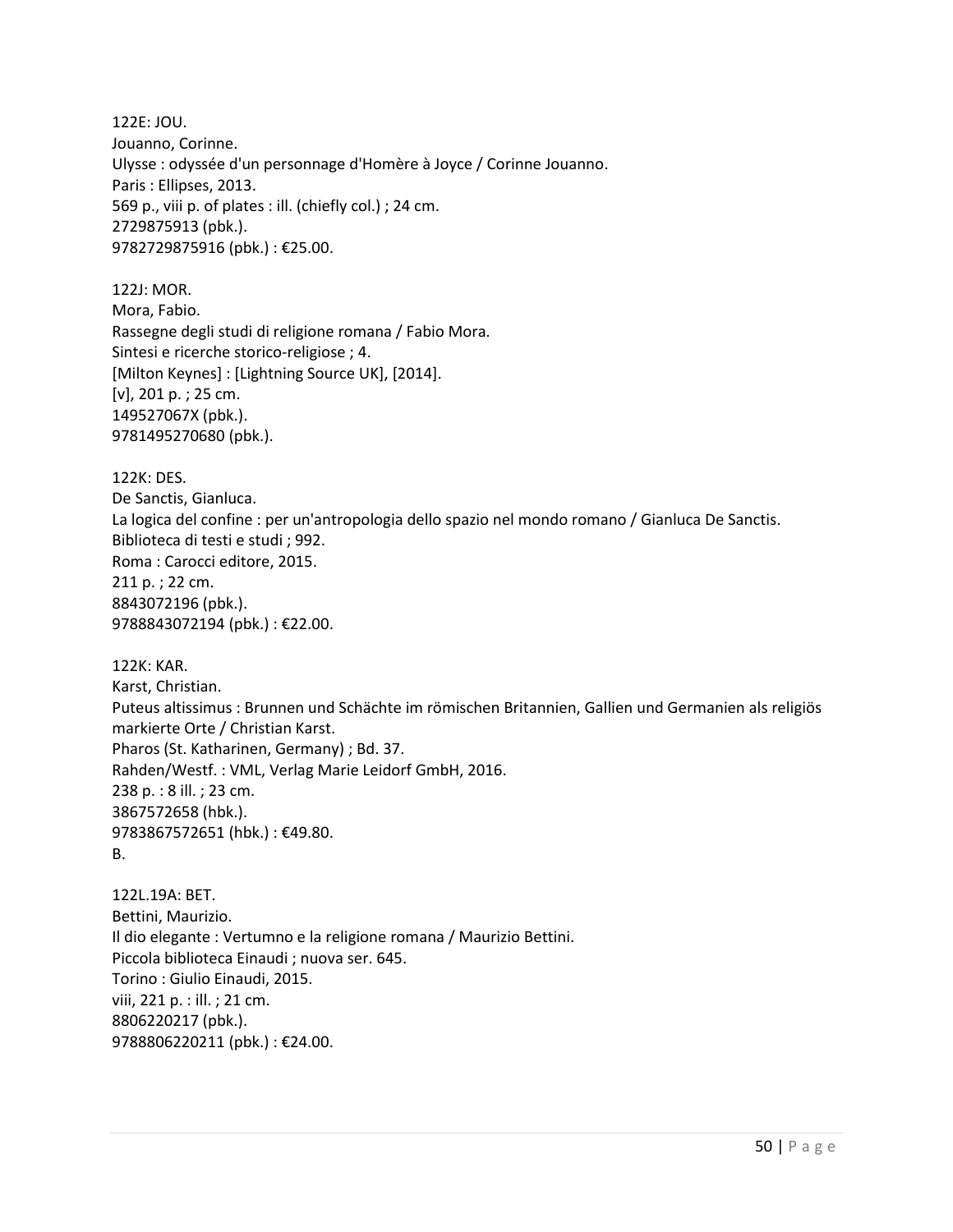122E: JOU. Jouanno, Corinne. Ulysse : odyssée d'un personnage d'Homère à Joyce / Corinne Jouanno. Paris : Ellipses, 2013. 569 p., viii p. of plates : ill. (chiefly col.) ; 24 cm. 2729875913 (pbk.). 9782729875916 (pbk.) : €25.00.

122J: MOR. Mora, Fabio. Rassegne degli studi di religione romana / Fabio Mora. Sintesi e ricerche storico-religiose ; 4. [Milton Keynes] : [Lightning Source UK], [2014]. [v], 201 p. ; 25 cm. 149527067X (pbk.). 9781495270680 (pbk.).

122K: DES. De Sanctis, Gianluca. La logica del confine : per un'antropologia dello spazio nel mondo romano / Gianluca De Sanctis. Biblioteca di testi e studi ; 992. Roma : Carocci editore, 2015. 211 p. ; 22 cm. 8843072196 (pbk.). 9788843072194 (pbk.) : €22.00.

122K: KAR. Karst, Christian. Puteus altissimus : Brunnen und Schächte im römischen Britannien, Gallien und Germanien als religiös markierte Orte / Christian Karst. Pharos (St. Katharinen, Germany) ; Bd. 37. Rahden/Westf. : VML, Verlag Marie Leidorf GmbH, 2016. 238 p. : 8 ill. ; 23 cm. 3867572658 (hbk.). 9783867572651 (hbk.) : €49.80. B.

122L.19A: BET. Bettini, Maurizio. Il dio elegante : Vertumno e la religione romana / Maurizio Bettini. Piccola biblioteca Einaudi ; nuova ser. 645. Torino : Giulio Einaudi, 2015. viii, 221 p. : ill. ; 21 cm. 8806220217 (pbk.). 9788806220211 (pbk.) : €24.00.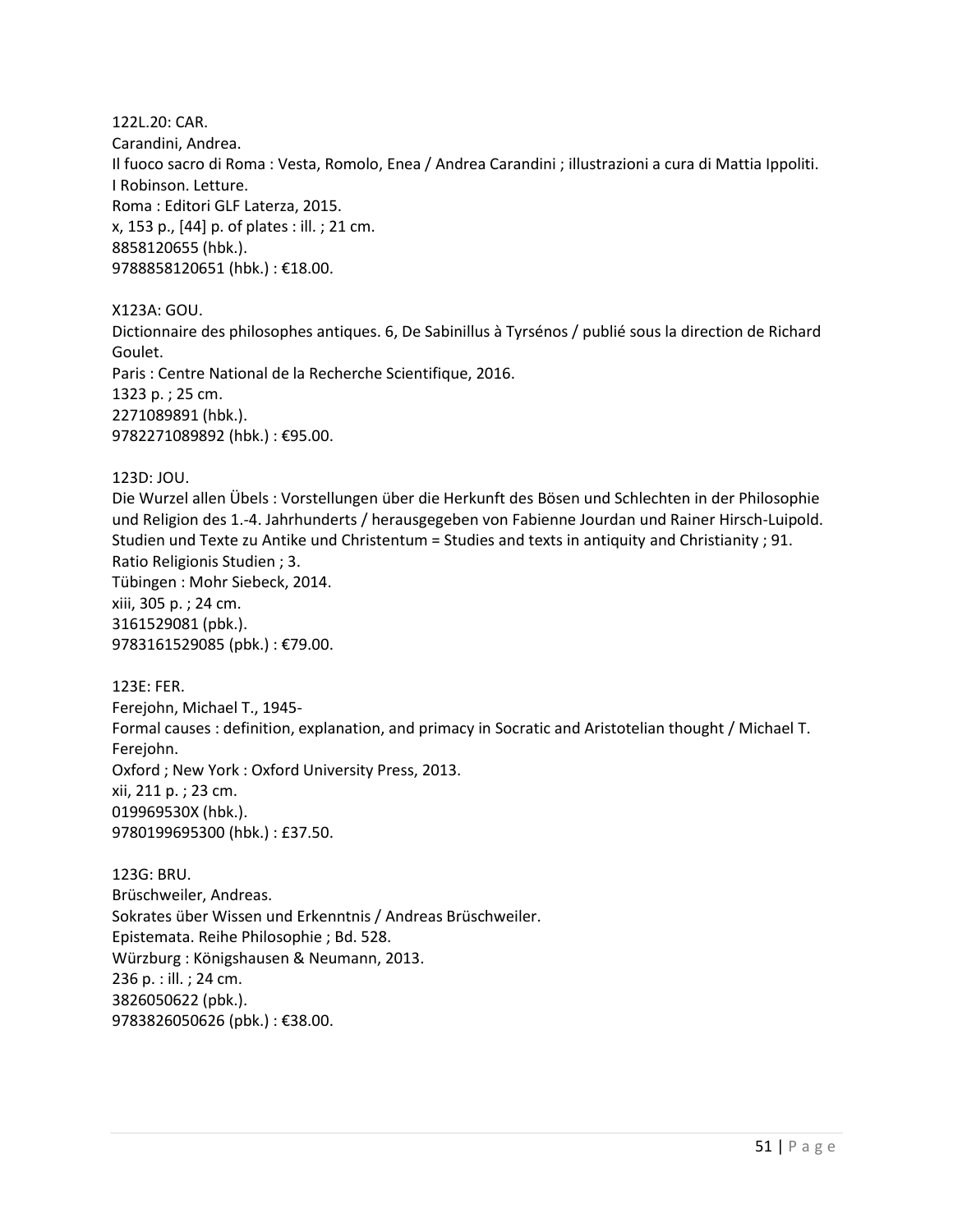122L.20: CAR. Carandini, Andrea. Il fuoco sacro di Roma : Vesta, Romolo, Enea / Andrea Carandini ; illustrazioni a cura di Mattia Ippoliti. I Robinson. Letture. Roma : Editori GLF Laterza, 2015. x, 153 p., [44] p. of plates : ill. ; 21 cm. 8858120655 (hbk.). 9788858120651 (hbk.) : €18.00.

X123A: GOU.

Dictionnaire des philosophes antiques. 6, De Sabinillus à Tyrsénos / publié sous la direction de Richard Goulet. Paris : Centre National de la Recherche Scientifique, 2016. 1323 p. ; 25 cm. 2271089891 (hbk.). 9782271089892 (hbk.) : €95.00.

123D: JOU.

Die Wurzel allen Übels : Vorstellungen über die Herkunft des Bösen und Schlechten in der Philosophie und Religion des 1.-4. Jahrhunderts / herausgegeben von Fabienne Jourdan und Rainer Hirsch-Luipold. Studien und Texte zu Antike und Christentum = Studies and texts in antiquity and Christianity ; 91. Ratio Religionis Studien ; 3. Tübingen : Mohr Siebeck, 2014. xiii, 305 p. ; 24 cm. 3161529081 (pbk.). 9783161529085 (pbk.) : €79.00.

123E: FER. Ferejohn, Michael T., 1945- Formal causes : definition, explanation, and primacy in Socratic and Aristotelian thought / Michael T. Ferejohn. Oxford ; New York : Oxford University Press, 2013. xii, 211 p. ; 23 cm. 019969530X (hbk.). 9780199695300 (hbk.) : £37.50.

123G: BRU. Brüschweiler, Andreas. Sokrates über Wissen und Erkenntnis / Andreas Brüschweiler. Epistemata. Reihe Philosophie ; Bd. 528. Würzburg : Königshausen & Neumann, 2013. 236 p. : ill. ; 24 cm. 3826050622 (pbk.). 9783826050626 (pbk.) : €38.00.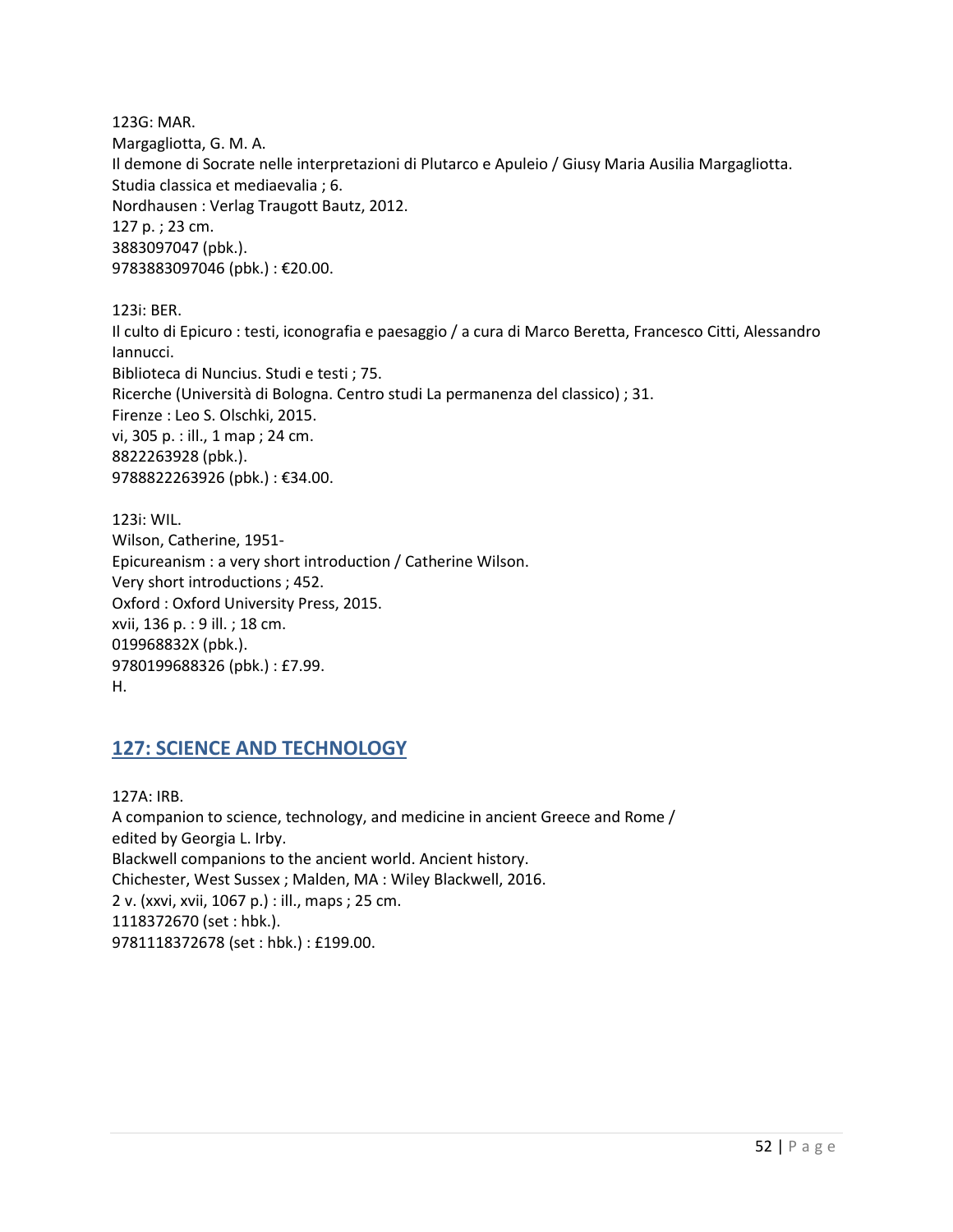123G: MAR. Margagliotta, G. M. A. Il demone di Socrate nelle interpretazioni di Plutarco e Apuleio / Giusy Maria Ausilia Margagliotta. Studia classica et mediaevalia ; 6. Nordhausen : Verlag Traugott Bautz, 2012. 127 p. ; 23 cm. 3883097047 (pbk.). 9783883097046 (pbk.) : €20.00.

123i: BER.

Il culto di Epicuro : testi, iconografia e paesaggio / a cura di Marco Beretta, Francesco Citti, Alessandro Iannucci. Biblioteca di Nuncius. Studi e testi ; 75. Ricerche (Università di Bologna. Centro studi La permanenza del classico) ; 31. Firenze : Leo S. Olschki, 2015. vi, 305 p. : ill., 1 map ; 24 cm. 8822263928 (pbk.). 9788822263926 (pbk.) : €34.00.

123i: WIL. Wilson, Catherine, 1951- Epicureanism : a very short introduction / Catherine Wilson. Very short introductions ; 452. Oxford : Oxford University Press, 2015. xvii, 136 p. : 9 ill. ; 18 cm. 019968832X (pbk.). 9780199688326 (pbk.) : £7.99. H.

### **127: SCIENCE AND TECHNOLOGY**

127A: IRB. A companion to science, technology, and medicine in ancient Greece and Rome / edited by Georgia L. Irby. Blackwell companions to the ancient world. Ancient history. Chichester, West Sussex ; Malden, MA : Wiley Blackwell, 2016. 2 v. (xxvi, xvii, 1067 p.) : ill., maps ; 25 cm. 1118372670 (set : hbk.). 9781118372678 (set : hbk.) : £199.00.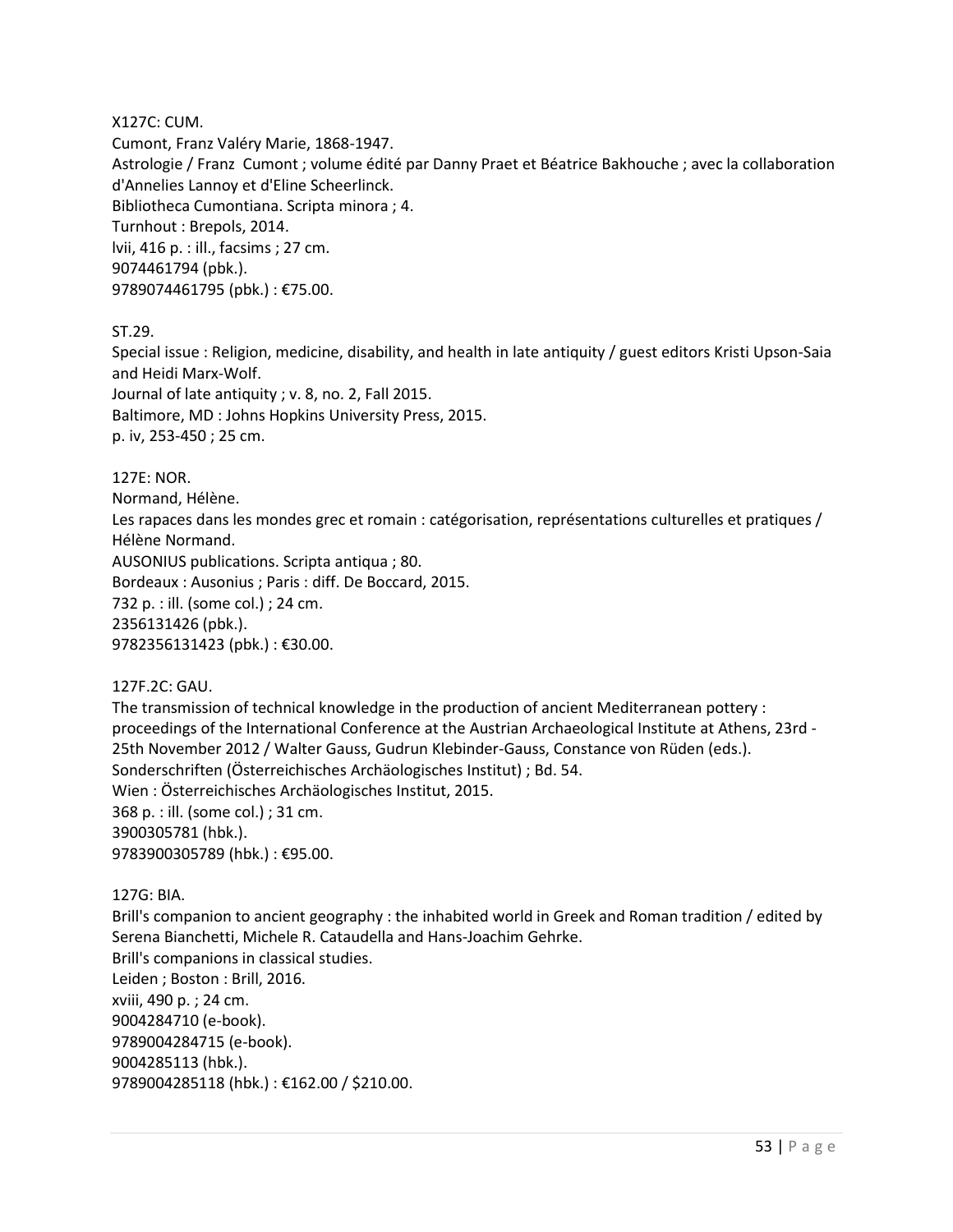#### X127C: CUM.

Cumont, Franz Valéry Marie, 1868-1947. Astrologie / Franz Cumont ; volume édité par Danny Praet et Béatrice Bakhouche ; avec la collaboration d'Annelies Lannoy et d'Eline Scheerlinck. Bibliotheca Cumontiana. Scripta minora ; 4. Turnhout : Brepols, 2014. lvii, 416 p. : ill., facsims ; 27 cm. 9074461794 (pbk.). 9789074461795 (pbk.) : €75.00.

ST.29.

Special issue : Religion, medicine, disability, and health in late antiquity / guest editors Kristi Upson-Saia and Heidi Marx-Wolf. Journal of late antiquity ; v. 8, no. 2, Fall 2015.

Baltimore, MD : Johns Hopkins University Press, 2015. p. iv, 253-450 ; 25 cm.

127E: NOR.

Normand, Hélène.

Les rapaces dans les mondes grec et romain : catégorisation, représentations culturelles et pratiques / Hélène Normand.

AUSONIUS publications. Scripta antiqua ; 80.

Bordeaux : Ausonius ; Paris : diff. De Boccard, 2015.

732 p. : ill. (some col.) ; 24 cm.

2356131426 (pbk.).

9782356131423 (pbk.) : €30.00.

127F.2C: GAU.

The transmission of technical knowledge in the production of ancient Mediterranean pottery : proceedings of the International Conference at the Austrian Archaeological Institute at Athens, 23rd - 25th November 2012 / Walter Gauss, Gudrun Klebinder-Gauss, Constance von Rüden (eds.). Sonderschriften (Österreichisches Archäologisches Institut) ; Bd. 54. Wien : Österreichisches Archäologisches Institut, 2015. 368 p. : ill. (some col.) ; 31 cm. 3900305781 (hbk.). 9783900305789 (hbk.) : €95.00.

127G: BIA.

Brill's companion to ancient geography : the inhabited world in Greek and Roman tradition / edited by Serena Bianchetti, Michele R. Cataudella and Hans-Joachim Gehrke. Brill's companions in classical studies. Leiden ; Boston : Brill, 2016. xviii, 490 p. ; 24 cm. 9004284710 (e-book). 9789004284715 (e-book). 9004285113 (hbk.). 9789004285118 (hbk.) : €162.00 / \$210.00.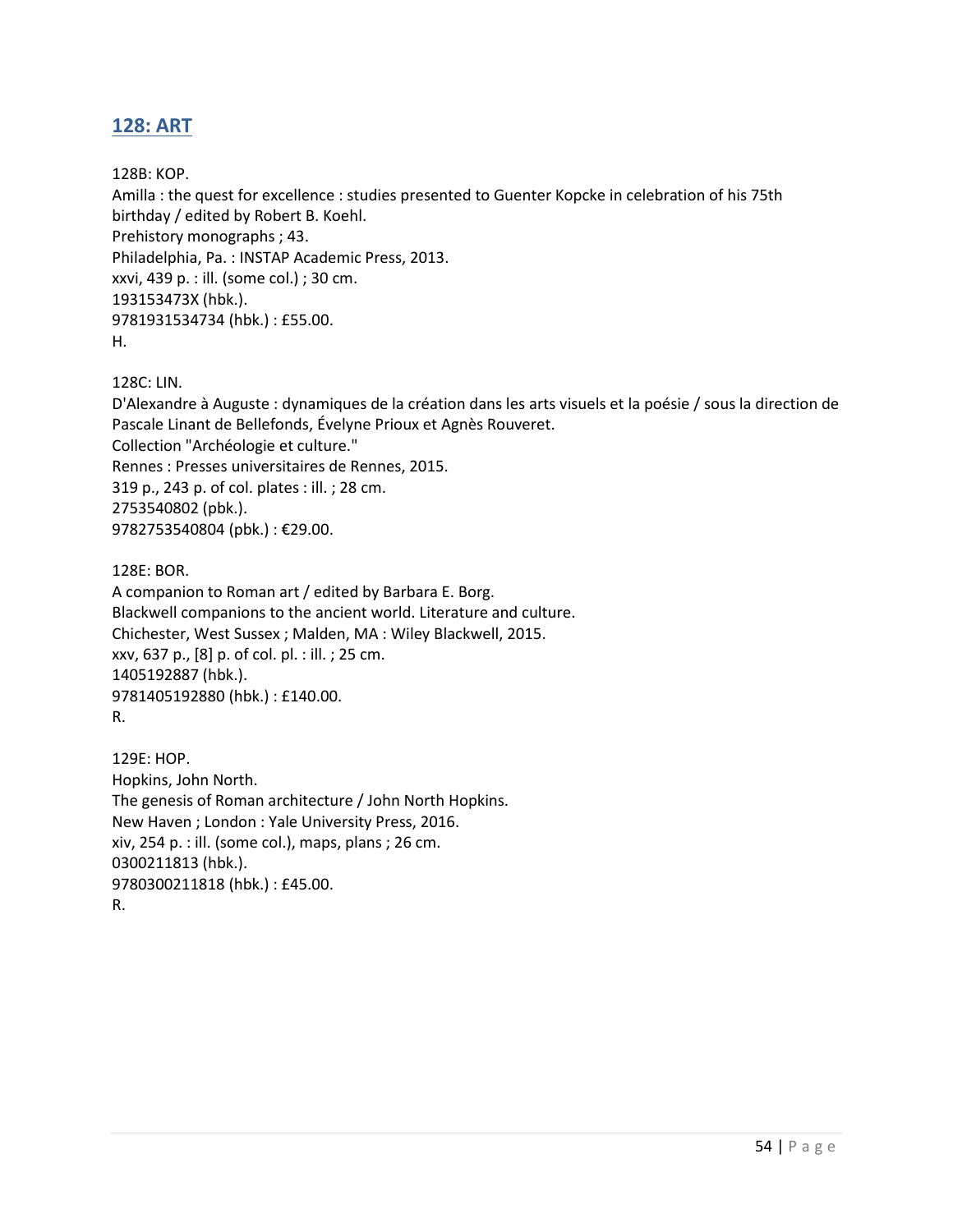# **128: ART**

128B: KOP.

Amilla : the quest for excellence : studies presented to Guenter Kopcke in celebration of his 75th birthday / edited by Robert B. Koehl. Prehistory monographs ; 43. Philadelphia, Pa. : INSTAP Academic Press, 2013. xxvi, 439 p. : ill. (some col.) ; 30 cm. 193153473X (hbk.). 9781931534734 (hbk.) : £55.00. H.

128C: LIN.

D'Alexandre à Auguste : dynamiques de la création dans les arts visuels et la poésie / sous la direction de Pascale Linant de Bellefonds, Évelyne Prioux et Agnès Rouveret. Collection "Archéologie et culture." Rennes : Presses universitaires de Rennes, 2015. 319 p., 243 p. of col. plates : ill. ; 28 cm. 2753540802 (pbk.). 9782753540804 (pbk.) : €29.00.

128E: BOR.

A companion to Roman art / edited by Barbara E. Borg. Blackwell companions to the ancient world. Literature and culture. Chichester, West Sussex ; Malden, MA : Wiley Blackwell, 2015. xxv, 637 p., [8] p. of col. pl. : ill. ; 25 cm. 1405192887 (hbk.). 9781405192880 (hbk.) : £140.00. R.

129E: HOP. Hopkins, John North. The genesis of Roman architecture / John North Hopkins. New Haven ; London : Yale University Press, 2016. xiv, 254 p. : ill. (some col.), maps, plans ; 26 cm. 0300211813 (hbk.). 9780300211818 (hbk.) : £45.00. R.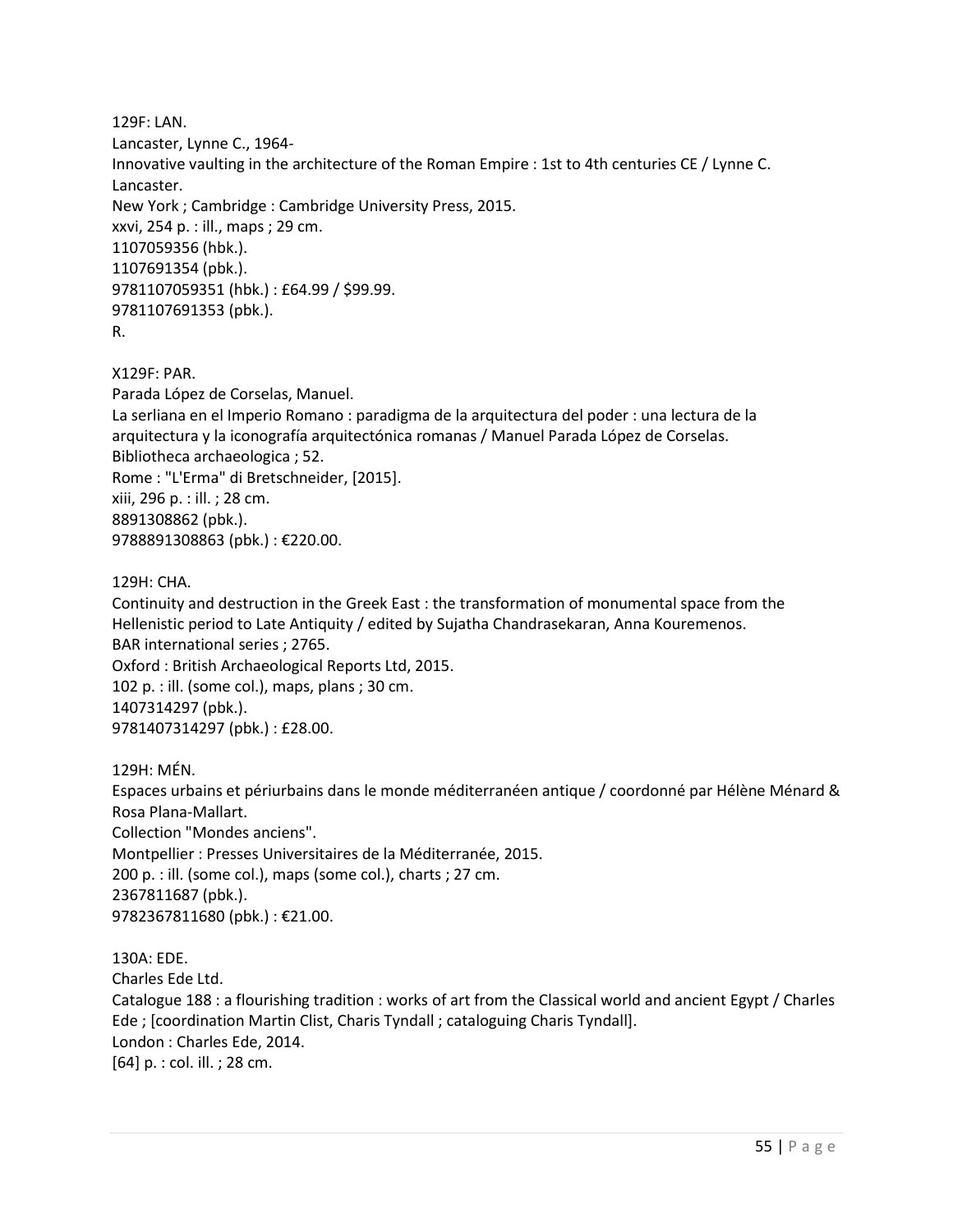129F: LAN. Lancaster, Lynne C., 1964- Innovative vaulting in the architecture of the Roman Empire : 1st to 4th centuries CE / Lynne C. Lancaster. New York ; Cambridge : Cambridge University Press, 2015. xxvi, 254 p. : ill., maps ; 29 cm. 1107059356 (hbk.). 1107691354 (pbk.). 9781107059351 (hbk.) : £64.99 / \$99.99. 9781107691353 (pbk.). R.

X129F: PAR. Parada López de Corselas, Manuel. La serliana en el Imperio Romano : paradigma de la arquitectura del poder : una lectura de la arquitectura y la iconografía arquitectónica romanas / Manuel Parada López de Corselas. Bibliotheca archaeologica ; 52. Rome : "L'Erma" di Bretschneider, [2015]. xiii, 296 p. : ill. ; 28 cm. 8891308862 (pbk.). 9788891308863 (pbk.) : €220.00.

129H: CHA.

Continuity and destruction in the Greek East : the transformation of monumental space from the Hellenistic period to Late Antiquity / edited by Sujatha Chandrasekaran, Anna Kouremenos. BAR international series ; 2765. Oxford : British Archaeological Reports Ltd, 2015. 102 p. : ill. (some col.), maps, plans ; 30 cm. 1407314297 (pbk.).

9781407314297 (pbk.) : £28.00.

129H: MÉN. Espaces urbains et périurbains dans le monde méditerranéen antique / coordonné par Hélène Ménard & Rosa Plana-Mallart. Collection "Mondes anciens". Montpellier : Presses Universitaires de la Méditerranée, 2015. 200 p. : ill. (some col.), maps (some col.), charts ; 27 cm. 2367811687 (pbk.). 9782367811680 (pbk.) : €21.00.

130A: EDE. Charles Ede Ltd. Catalogue 188 : a flourishing tradition : works of art from the Classical world and ancient Egypt / Charles Ede ; [coordination Martin Clist, Charis Tyndall ; cataloguing Charis Tyndall]. London : Charles Ede, 2014. [64] p. : col. ill. ; 28 cm.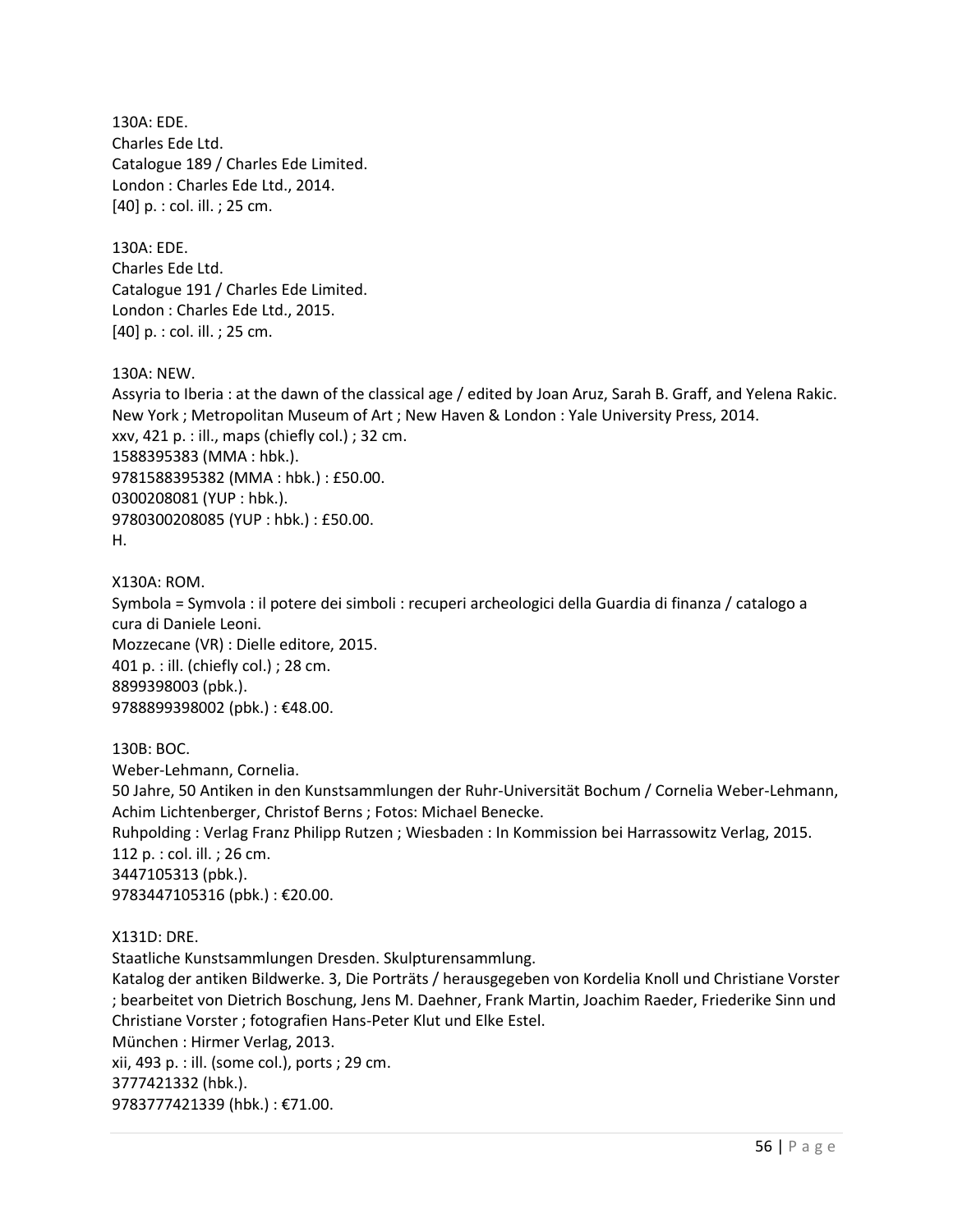130A: EDE. Charles Ede Ltd. Catalogue 189 / Charles Ede Limited. London : Charles Ede Ltd., 2014. [40] p. : col. ill. ; 25 cm.

130A: EDE. Charles Ede Ltd. Catalogue 191 / Charles Ede Limited. London : Charles Ede Ltd., 2015. [40] p. : col. ill. ; 25 cm.

130A: NEW.

Assyria to Iberia : at the dawn of the classical age / edited by Joan Aruz, Sarah B. Graff, and Yelena Rakic. New York ; Metropolitan Museum of Art ; New Haven & London : Yale University Press, 2014. xxv, 421 p. : ill., maps (chiefly col.) ; 32 cm. 1588395383 (MMA : hbk.). 9781588395382 (MMA : hbk.) : £50.00. 0300208081 (YUP : hbk.). 9780300208085 (YUP : hbk.) : £50.00. H.

X130A: ROM. Symbola = Symvola : il potere dei simboli : recuperi archeologici della Guardia di finanza / catalogo a cura di Daniele Leoni. Mozzecane (VR) : Dielle editore, 2015. 401 p. : ill. (chiefly col.) ; 28 cm. 8899398003 (pbk.). 9788899398002 (pbk.) : €48.00.

130B: BOC. Weber-Lehmann, Cornelia. 50 Jahre, 50 Antiken in den Kunstsammlungen der Ruhr-Universität Bochum / Cornelia Weber-Lehmann, Achim Lichtenberger, Christof Berns ; Fotos: Michael Benecke. Ruhpolding : Verlag Franz Philipp Rutzen ; Wiesbaden : In Kommission bei Harrassowitz Verlag, 2015. 112 p. : col. ill. ; 26 cm. 3447105313 (pbk.). 9783447105316 (pbk.) : €20.00.

X131D: DRE.

Staatliche Kunstsammlungen Dresden. Skulpturensammlung.

Katalog der antiken Bildwerke. 3, Die Porträts / herausgegeben von Kordelia Knoll und Christiane Vorster ; bearbeitet von Dietrich Boschung, Jens M. Daehner, Frank Martin, Joachim Raeder, Friederike Sinn und Christiane Vorster ; fotografien Hans-Peter Klut und Elke Estel. München : Hirmer Verlag, 2013. xii, 493 p. : ill. (some col.), ports ; 29 cm. 3777421332 (hbk.). 9783777421339 (hbk.) : €71.00.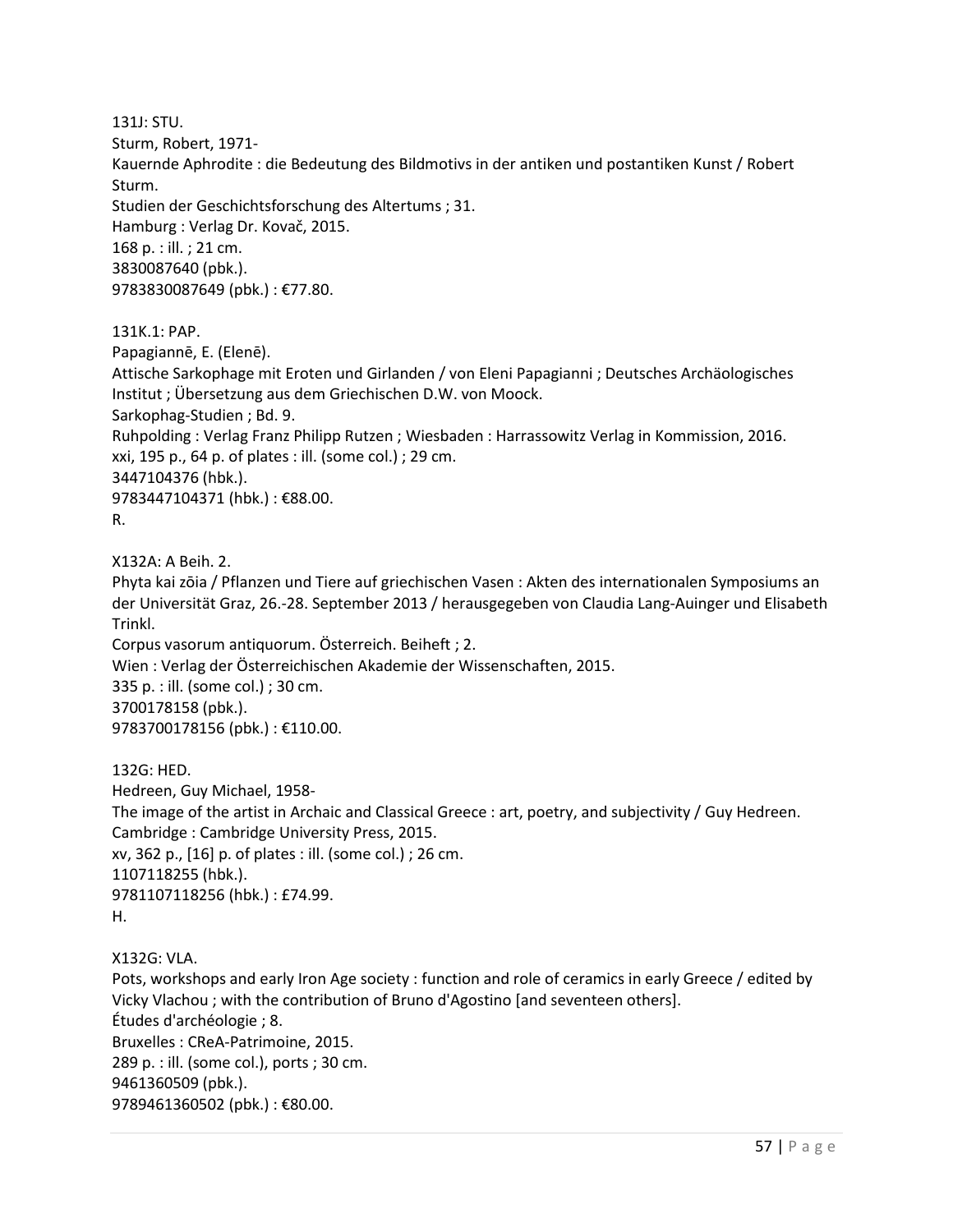131J: STU. Sturm, Robert, 1971- Kauernde Aphrodite : die Bedeutung des Bildmotivs in der antiken und postantiken Kunst / Robert Sturm. Studien der Geschichtsforschung des Altertums ; 31. Hamburg : Verlag Dr. Kovač, 2015. 168 p. : ill. ; 21 cm. 3830087640 (pbk.). 9783830087649 (pbk.) : €77.80. 131K.1: PAP. Papagiannē, E. (Elenē). Attische Sarkophage mit Eroten und Girlanden / von Eleni Papagianni ; Deutsches Archäologisches Institut ; Übersetzung aus dem Griechischen D.W. von Moock. Sarkophag-Studien ; Bd. 9. Ruhpolding : Verlag Franz Philipp Rutzen ; Wiesbaden : Harrassowitz Verlag in Kommission, 2016. xxi, 195 p., 64 p. of plates : ill. (some col.) ; 29 cm. 3447104376 (hbk.). 9783447104371 (hbk.) : €88.00. R. X132A: A Beih. 2. Phyta kai zōia / Pflanzen und Tiere auf griechischen Vasen : Akten des internationalen Symposiums an der Universität Graz, 26.-28. September 2013 / herausgegeben von Claudia Lang-Auinger und Elisabeth

Trinkl. Corpus vasorum antiquorum. Österreich. Beiheft ; 2. Wien : Verlag der Österreichischen Akademie der Wissenschaften, 2015. 335 p. : ill. (some col.) ; 30 cm. 3700178158 (pbk.). 9783700178156 (pbk.) : €110.00.

132G: HED. Hedreen, Guy Michael, 1958- The image of the artist in Archaic and Classical Greece : art, poetry, and subjectivity / Guy Hedreen. Cambridge : Cambridge University Press, 2015. xv, 362 p., [16] p. of plates : ill. (some col.) ; 26 cm. 1107118255 (hbk.). 9781107118256 (hbk.) : £74.99. H.

X132G: VLA. Pots, workshops and early Iron Age society : function and role of ceramics in early Greece / edited by Vicky Vlachou ; with the contribution of Bruno d'Agostino [and seventeen others]. Études d'archéologie ; 8. Bruxelles : CReA-Patrimoine, 2015. 289 p. : ill. (some col.), ports ; 30 cm. 9461360509 (pbk.). 9789461360502 (pbk.) : €80.00.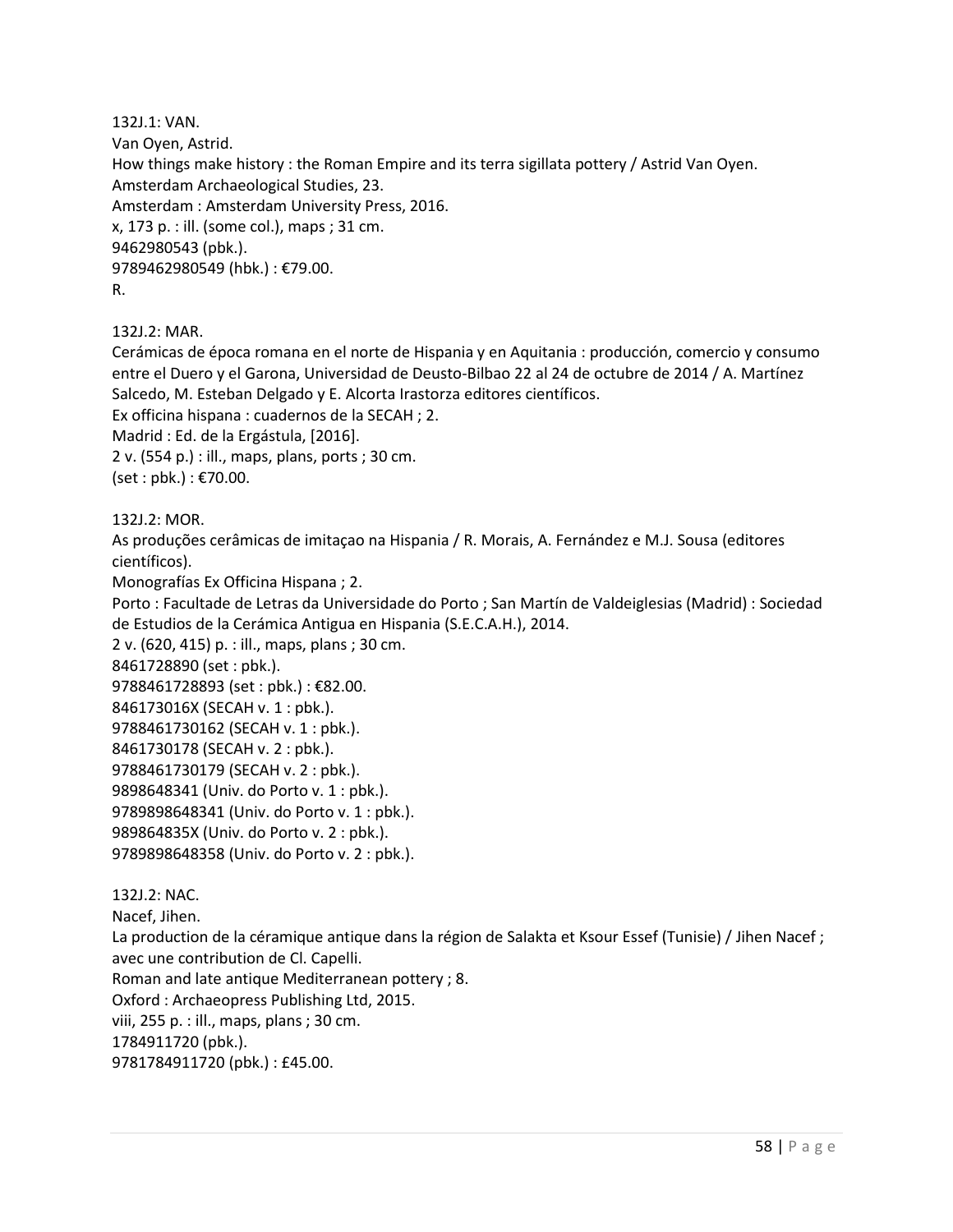132J.1: VAN. Van Oyen, Astrid. How things make history : the Roman Empire and its terra sigillata pottery / Astrid Van Oyen. Amsterdam Archaeological Studies, 23. Amsterdam : Amsterdam University Press, 2016. x, 173 p. : ill. (some col.), maps ; 31 cm. 9462980543 (pbk.). 9789462980549 (hbk.) : €79.00. R.

132J.2: MAR.

Cerámicas de época romana en el norte de Hispania y en Aquitania : producción, comercio y consumo entre el Duero y el Garona, Universidad de Deusto-Bilbao 22 al 24 de octubre de 2014 / A. Martínez Salcedo, M. Esteban Delgado y E. Alcorta Irastorza editores científicos.

Ex officina hispana : cuadernos de la SECAH ; 2.

Madrid : Ed. de la Ergástula, [2016].

2 v. (554 p.) : ill., maps, plans, ports ; 30 cm.

(set : pbk.) : €70.00.

132J.2: MOR.

As produções cerâmicas de imitaçao na Hispania / R. Morais, A. Fernández e M.J. Sousa (editores científicos).

Monografías Ex Officina Hispana ; 2.

Porto : Facultade de Letras da Universidade do Porto ; San Martín de Valdeiglesias (Madrid) : Sociedad de Estudios de la Cerámica Antigua en Hispania (S.E.C.A.H.), 2014.

2 v. (620, 415) p. : ill., maps, plans ; 30 cm.

8461728890 (set : pbk.).

9788461728893 (set : pbk.) : €82.00.

846173016X (SECAH v. 1 : pbk.).

9788461730162 (SECAH v. 1 : pbk.).

8461730178 (SECAH v. 2 : pbk.).

9788461730179 (SECAH v. 2 : pbk.).

9898648341 (Univ. do Porto v. 1 : pbk.).

9789898648341 (Univ. do Porto v. 1 : pbk.).

989864835X (Univ. do Porto v. 2 : pbk.).

9789898648358 (Univ. do Porto v. 2 : pbk.).

132J.2: NAC.

Nacef, Jihen.

La production de la céramique antique dans la région de Salakta et Ksour Essef (Tunisie) / Jihen Nacef ; avec une contribution de Cl. Capelli.

Roman and late antique Mediterranean pottery ; 8.

Oxford : Archaeopress Publishing Ltd, 2015.

viii, 255 p. : ill., maps, plans ; 30 cm.

1784911720 (pbk.).

9781784911720 (pbk.) : £45.00.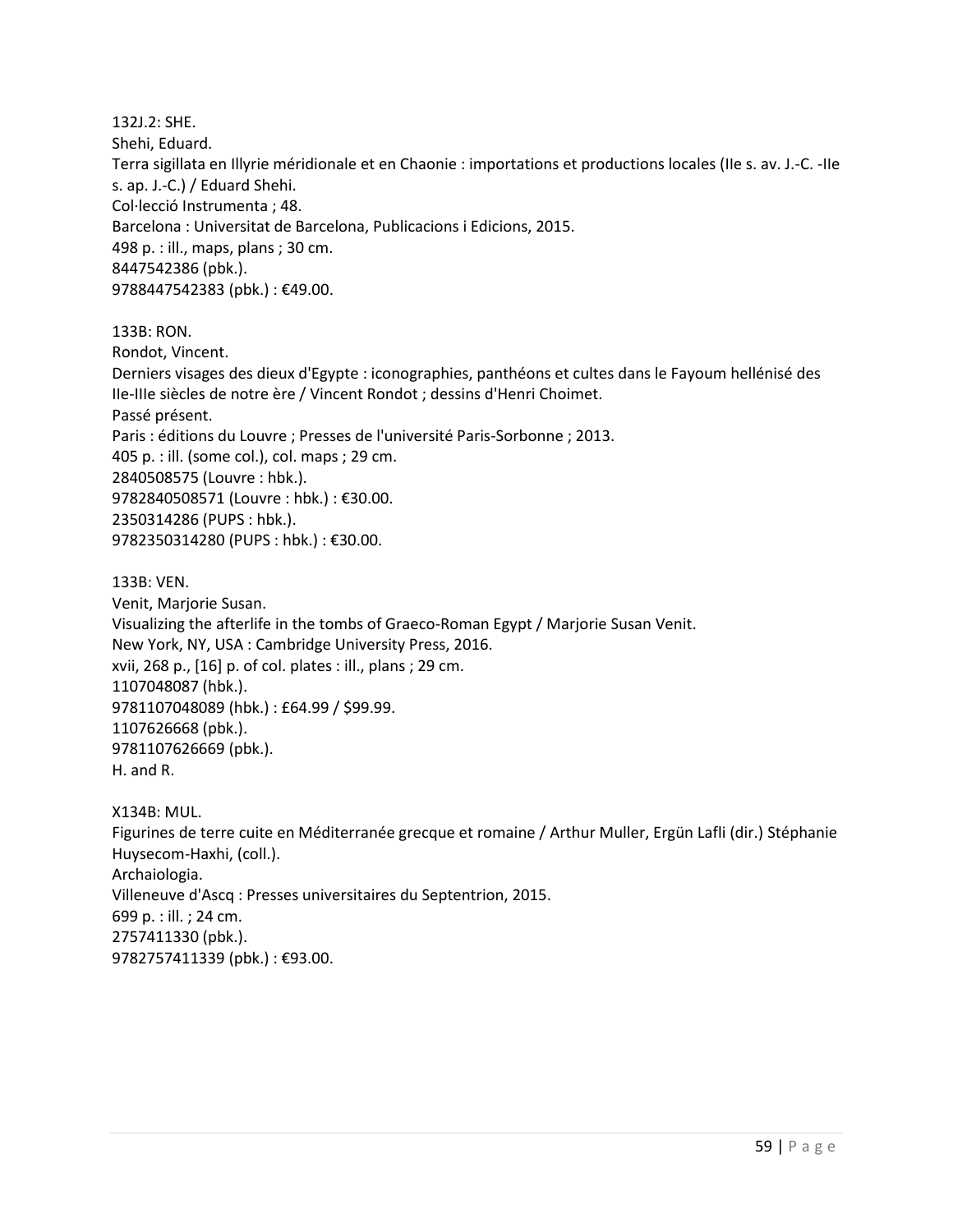132J.2: SHE. Shehi, Eduard. Terra sigillata en Illyrie méridionale et en Chaonie : importations et productions locales (IIe s. av. J.-C. -IIe s. ap. J.-C.) / Eduard Shehi. Col·lecció Instrumenta ; 48. Barcelona : Universitat de Barcelona, Publicacions i Edicions, 2015. 498 p. : ill., maps, plans ; 30 cm. 8447542386 (pbk.). 9788447542383 (pbk.) : €49.00. 133B: RON. Rondot, Vincent. Derniers visages des dieux d'Egypte : iconographies, panthéons et cultes dans le Fayoum hellénisé des IIe-IIIe siècles de notre ère / Vincent Rondot ; dessins d'Henri Choimet. Passé présent. Paris : éditions du Louvre ; Presses de l'université Paris-Sorbonne ; 2013. 405 p. : ill. (some col.), col. maps ; 29 cm. 2840508575 (Louvre : hbk.). 9782840508571 (Louvre : hbk.) : €30.00. 2350314286 (PUPS : hbk.). 9782350314280 (PUPS : hbk.) : €30.00. 133B: VEN. Venit, Marjorie Susan. Visualizing the afterlife in the tombs of Graeco-Roman Egypt / Marjorie Susan Venit. New York, NY, USA : Cambridge University Press, 2016. xvii, 268 p., [16] p. of col. plates : ill., plans ; 29 cm. 1107048087 (hbk.). 9781107048089 (hbk.) : £64.99 / \$99.99. 1107626668 (pbk.). 9781107626669 (pbk.). H. and R. X134B: MUL. Figurines de terre cuite en Méditerranée grecque et romaine / Arthur Muller, Ergün Lafli (dir.) Stéphanie Huysecom-Haxhi, (coll.). Archaiologia. Villeneuve d'Ascq : Presses universitaires du Septentrion, 2015. 699 p. : ill. ; 24 cm. 2757411330 (pbk.). 9782757411339 (pbk.) : €93.00.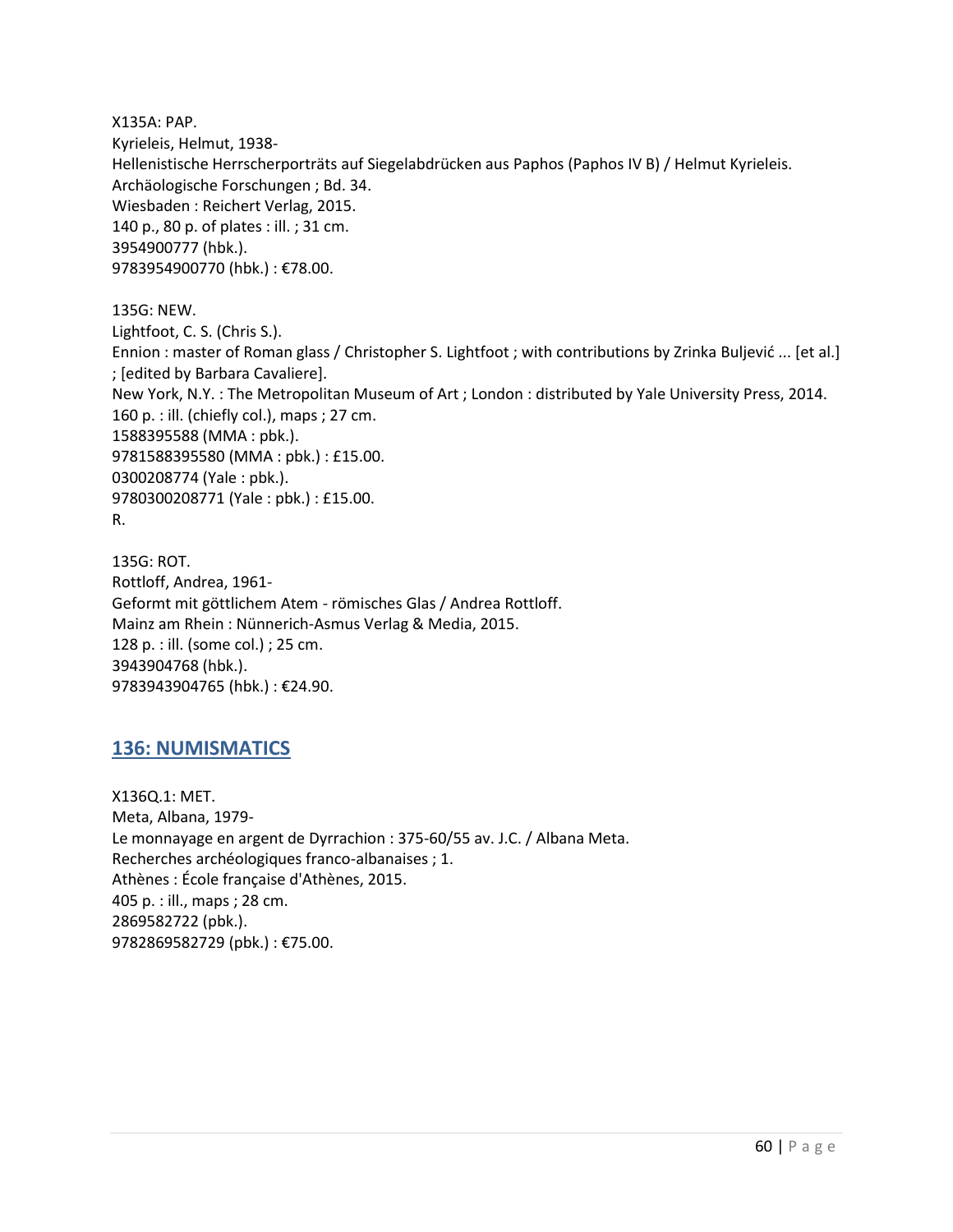X135A: PAP. Kyrieleis, Helmut, 1938- Hellenistische Herrscherporträts auf Siegelabdrücken aus Paphos (Paphos IV B) / Helmut Kyrieleis. Archäologische Forschungen ; Bd. 34. Wiesbaden : Reichert Verlag, 2015. 140 p., 80 p. of plates : ill. ; 31 cm. 3954900777 (hbk.). 9783954900770 (hbk.) : €78.00.

135G: NEW. Lightfoot, C. S. (Chris S.). Ennion : master of Roman glass / Christopher S. Lightfoot ; with contributions by Zrinka Buljević ... [et al.] ; [edited by Barbara Cavaliere]. New York, N.Y. : The Metropolitan Museum of Art ; London : distributed by Yale University Press, 2014. 160 p. : ill. (chiefly col.), maps ; 27 cm. 1588395588 (MMA : pbk.). 9781588395580 (MMA : pbk.) : £15.00. 0300208774 (Yale : pbk.). 9780300208771 (Yale : pbk.) : £15.00. R.

135G: ROT. Rottloff, Andrea, 1961- Geformt mit göttlichem Atem - römisches Glas / Andrea Rottloff. Mainz am Rhein : Nünnerich-Asmus Verlag & Media, 2015. 128 p. : ill. (some col.) ; 25 cm. 3943904768 (hbk.). 9783943904765 (hbk.) : €24.90.

### **136: NUMISMATICS**

X136Q.1: MET. Meta, Albana, 1979- Le monnayage en argent de Dyrrachion : 375-60/55 av. J.C. / Albana Meta. Recherches archéologiques franco-albanaises ; 1. Athènes : École française d'Athènes, 2015. 405 p. : ill., maps ; 28 cm. 2869582722 (pbk.). 9782869582729 (pbk.) : €75.00.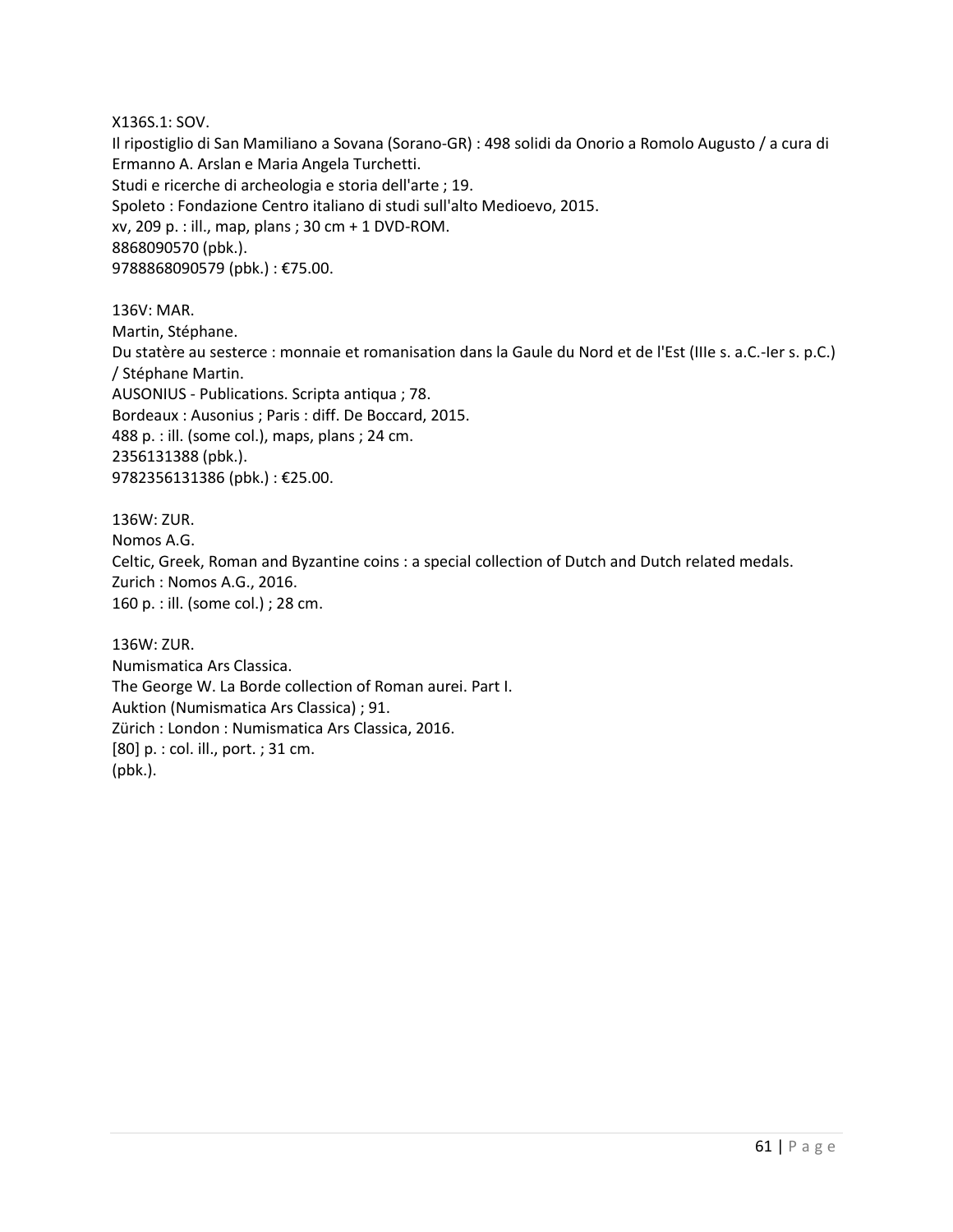X136S.1: SOV.

Il ripostiglio di San Mamiliano a Sovana (Sorano-GR) : 498 solidi da Onorio a Romolo Augusto / a cura di Ermanno A. Arslan e Maria Angela Turchetti. Studi e ricerche di archeologia e storia dell'arte ; 19. Spoleto : Fondazione Centro italiano di studi sull'alto Medioevo, 2015. xv, 209 p. : ill., map, plans ; 30 cm + 1 DVD-ROM. 8868090570 (pbk.). 9788868090579 (pbk.) : €75.00.

136V: MAR. Martin, Stéphane. Du statère au sesterce : monnaie et romanisation dans la Gaule du Nord et de l'Est (IIIe s. a.C.-Ier s. p.C.) / Stéphane Martin. AUSONIUS - Publications. Scripta antiqua ; 78. Bordeaux : Ausonius ; Paris : diff. De Boccard, 2015. 488 p. : ill. (some col.), maps, plans ; 24 cm. 2356131388 (pbk.). 9782356131386 (pbk.) : €25.00.

136W: ZUR. Nomos A.G. Celtic, Greek, Roman and Byzantine coins : a special collection of Dutch and Dutch related medals. Zurich : Nomos A.G., 2016. 160 p. : ill. (some col.) ; 28 cm.

136W: ZUR. Numismatica Ars Classica. The George W. La Borde collection of Roman aurei. Part I. Auktion (Numismatica Ars Classica) ; 91. Zürich : London : Numismatica Ars Classica, 2016. [80] p. : col. ill., port. ; 31 cm. (pbk.).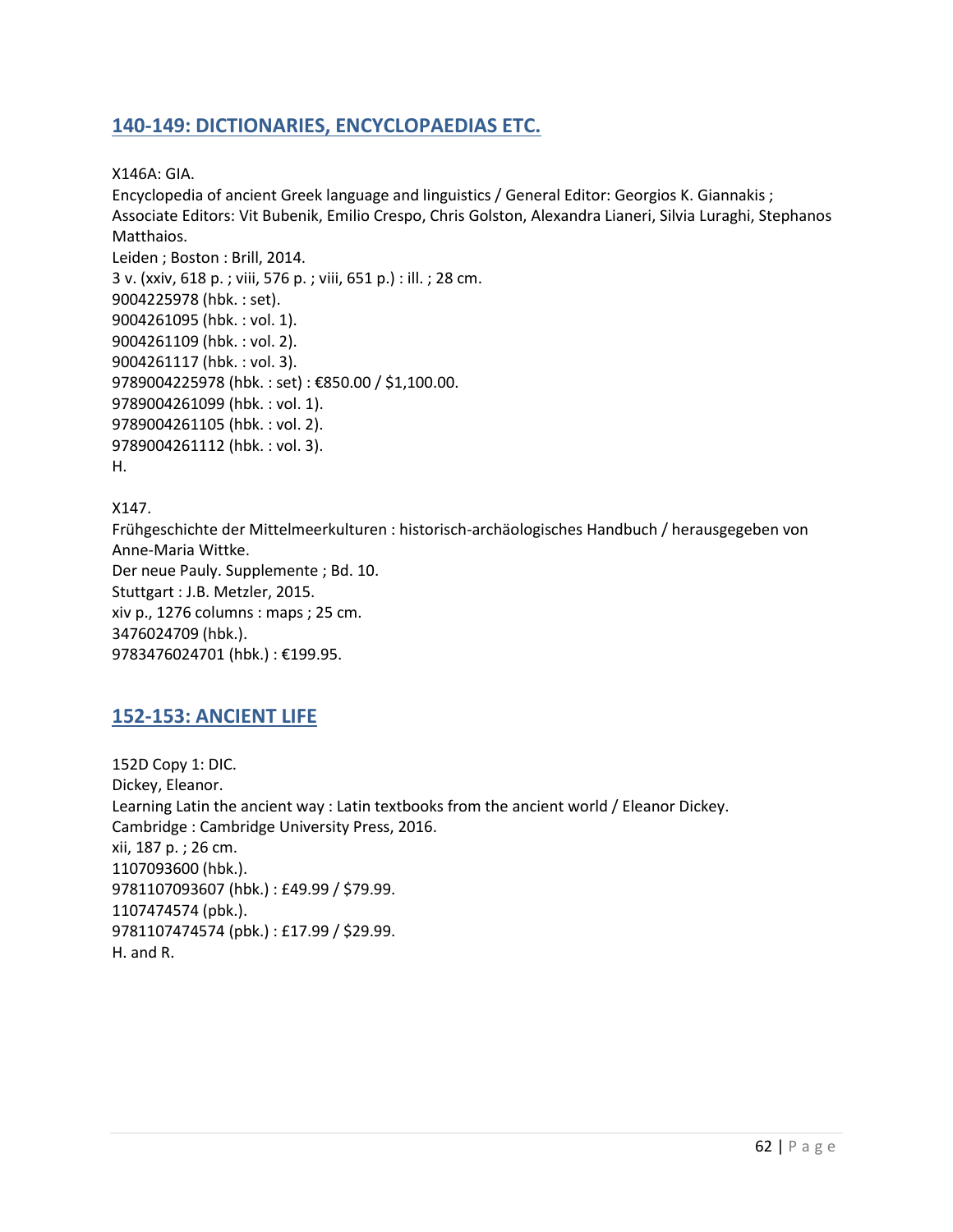# **140-149: DICTIONARIES, ENCYCLOPAEDIAS ETC.**

X146A: GIA.

Encyclopedia of ancient Greek language and linguistics / General Editor: Georgios K. Giannakis ; Associate Editors: Vit Bubenik, Emilio Crespo, Chris Golston, Alexandra Lianeri, Silvia Luraghi, Stephanos Matthaios. Leiden ; Boston : Brill, 2014. 3 v. (xxiv, 618 p. ; viii, 576 p. ; viii, 651 p.) : ill. ; 28 cm. 9004225978 (hbk. : set). 9004261095 (hbk. : vol. 1). 9004261109 (hbk. : vol. 2). 9004261117 (hbk. : vol. 3). 9789004225978 (hbk. : set) : €850.00 / \$1,100.00. 9789004261099 (hbk. : vol. 1).

9789004261105 (hbk. : vol. 2).

9789004261112 (hbk. : vol. 3).

H.

X147. Frühgeschichte der Mittelmeerkulturen : historisch-archäologisches Handbuch / herausgegeben von Anne-Maria Wittke. Der neue Pauly. Supplemente ; Bd. 10. Stuttgart : J.B. Metzler, 2015. xiv p., 1276 columns : maps ; 25 cm. 3476024709 (hbk.). 9783476024701 (hbk.) : €199.95.

### **152-153: ANCIENT LIFE**

152D Copy 1: DIC. Dickey, Eleanor. Learning Latin the ancient way : Latin textbooks from the ancient world / Eleanor Dickey. Cambridge : Cambridge University Press, 2016. xii, 187 p. ; 26 cm. 1107093600 (hbk.). 9781107093607 (hbk.) : £49.99 / \$79.99. 1107474574 (pbk.). 9781107474574 (pbk.) : £17.99 / \$29.99. H. and R.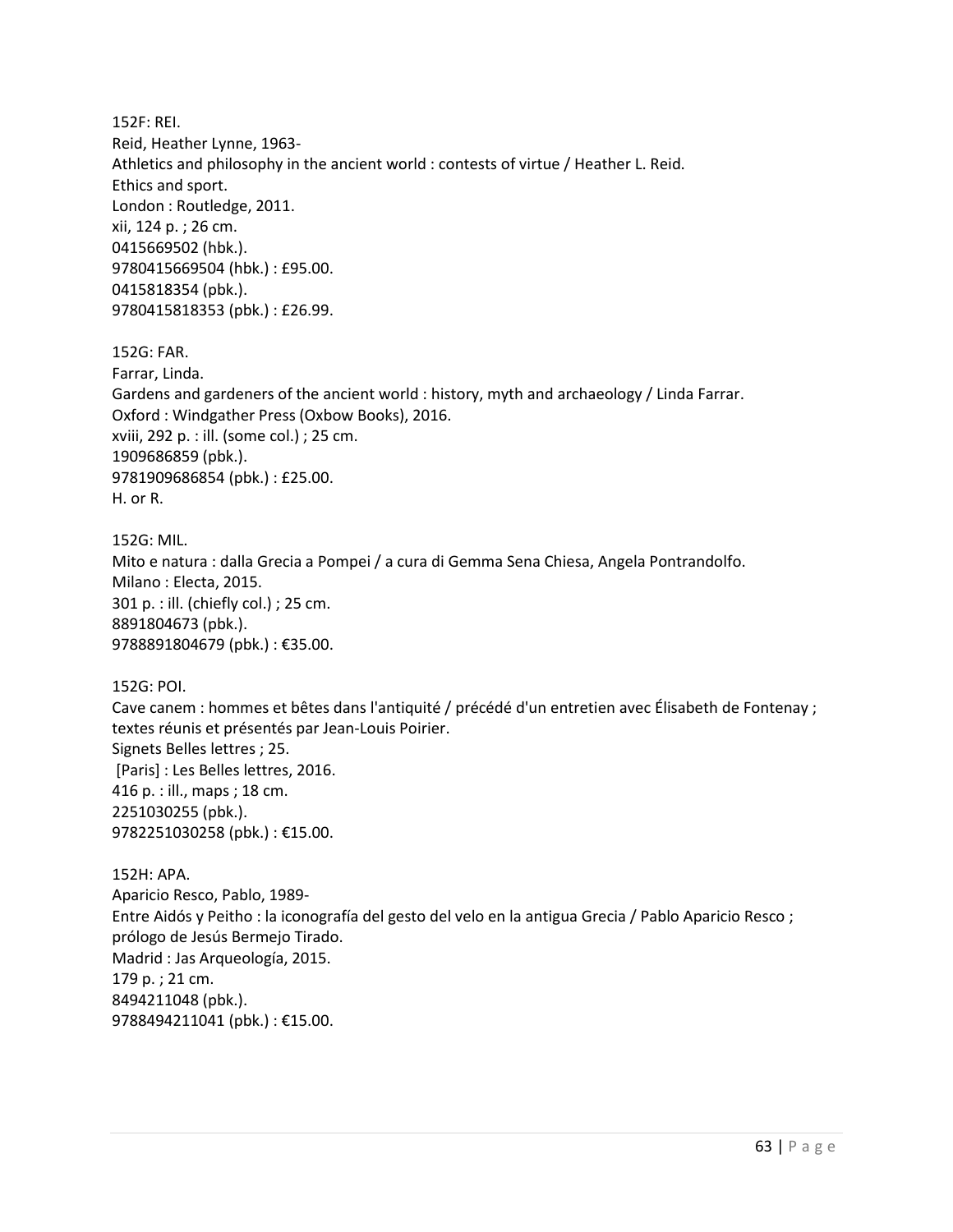152F: REI. Reid, Heather Lynne, 1963- Athletics and philosophy in the ancient world : contests of virtue / Heather L. Reid. Ethics and sport. London : Routledge, 2011. xii, 124 p. ; 26 cm. 0415669502 (hbk.). 9780415669504 (hbk.) : £95.00. 0415818354 (pbk.). 9780415818353 (pbk.) : £26.99.

152G: FAR. Farrar, Linda. Gardens and gardeners of the ancient world : history, myth and archaeology / Linda Farrar. Oxford : Windgather Press (Oxbow Books), 2016. xviii, 292 p. : ill. (some col.) ; 25 cm. 1909686859 (pbk.). 9781909686854 (pbk.) : £25.00. H. or R.

152G: MIL. Mito e natura : dalla Grecia a Pompei / a cura di Gemma Sena Chiesa, Angela Pontrandolfo. Milano : Electa, 2015. 301 p. : ill. (chiefly col.) ; 25 cm. 8891804673 (pbk.). 9788891804679 (pbk.) : €35.00.

152G: POI.

Cave canem : hommes et bêtes dans l'antiquité / précédé d'un entretien avec Élisabeth de Fontenay ; textes réunis et présentés par Jean-Louis Poirier. Signets Belles lettres ; 25. [Paris] : Les Belles lettres, 2016. 416 p. : ill., maps ; 18 cm. 2251030255 (pbk.). 9782251030258 (pbk.) : €15.00.

152H: APA. Aparicio Resco, Pablo, 1989- Entre Aidós y Peitho : la iconografía del gesto del velo en la antigua Grecia / Pablo Aparicio Resco ; prólogo de Jesús Bermejo Tirado. Madrid : Jas Arqueología, 2015. 179 p. ; 21 cm. 8494211048 (pbk.). 9788494211041 (pbk.) : €15.00.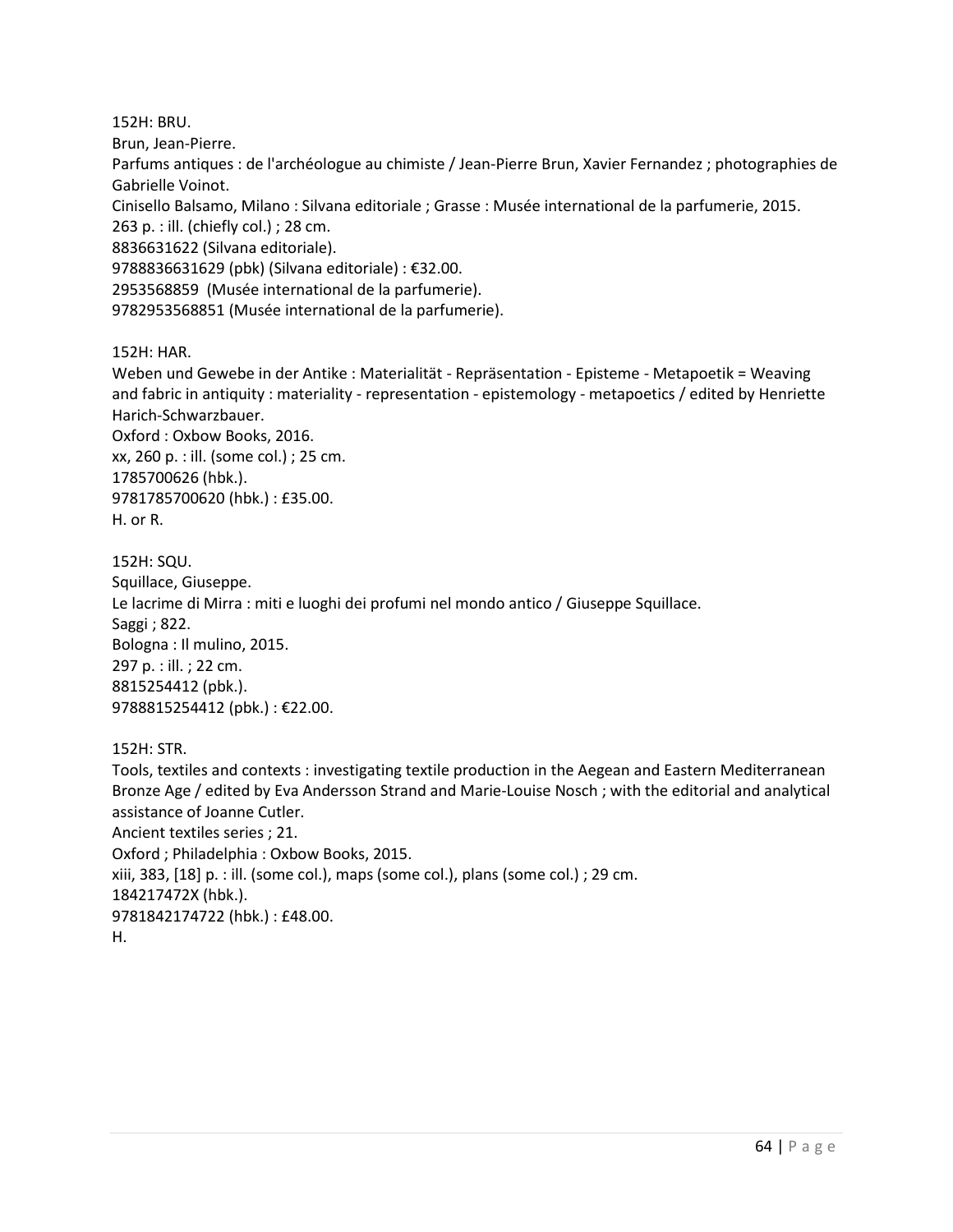152H: BRU. Brun, Jean-Pierre. Parfums antiques : de l'archéologue au chimiste / Jean-Pierre Brun, Xavier Fernandez ; photographies de Gabrielle Voinot. Cinisello Balsamo, Milano : Silvana editoriale ; Grasse : Musée international de la parfumerie, 2015. 263 p. : ill. (chiefly col.) ; 28 cm. 8836631622 (Silvana editoriale). 9788836631629 (pbk) (Silvana editoriale) : €32.00. 2953568859 (Musée international de la parfumerie).

9782953568851 (Musée international de la parfumerie).

152H: HAR.

Weben und Gewebe in der Antike : Materialität - Repräsentation - Episteme - Metapoetik = Weaving and fabric in antiquity : materiality - representation - epistemology - metapoetics / edited by Henriette Harich-Schwarzbauer.

Oxford : Oxbow Books, 2016. xx, 260 p. : ill. (some col.) ; 25 cm. 1785700626 (hbk.). 9781785700620 (hbk.) : £35.00. H. or R.

152H: SQU. Squillace, Giuseppe. Le lacrime di Mirra : miti e luoghi dei profumi nel mondo antico / Giuseppe Squillace. Saggi ; 822. Bologna : Il mulino, 2015. 297 p. : ill. ; 22 cm. 8815254412 (pbk.). 9788815254412 (pbk.) : €22.00.

152H: STR.

Tools, textiles and contexts : investigating textile production in the Aegean and Eastern Mediterranean Bronze Age / edited by Eva Andersson Strand and Marie-Louise Nosch ; with the editorial and analytical assistance of Joanne Cutler. Ancient textiles series ; 21. Oxford ; Philadelphia : Oxbow Books, 2015. xiii, 383, [18] p. : ill. (some col.), maps (some col.), plans (some col.) ; 29 cm. 184217472X (hbk.). 9781842174722 (hbk.) : £48.00. H.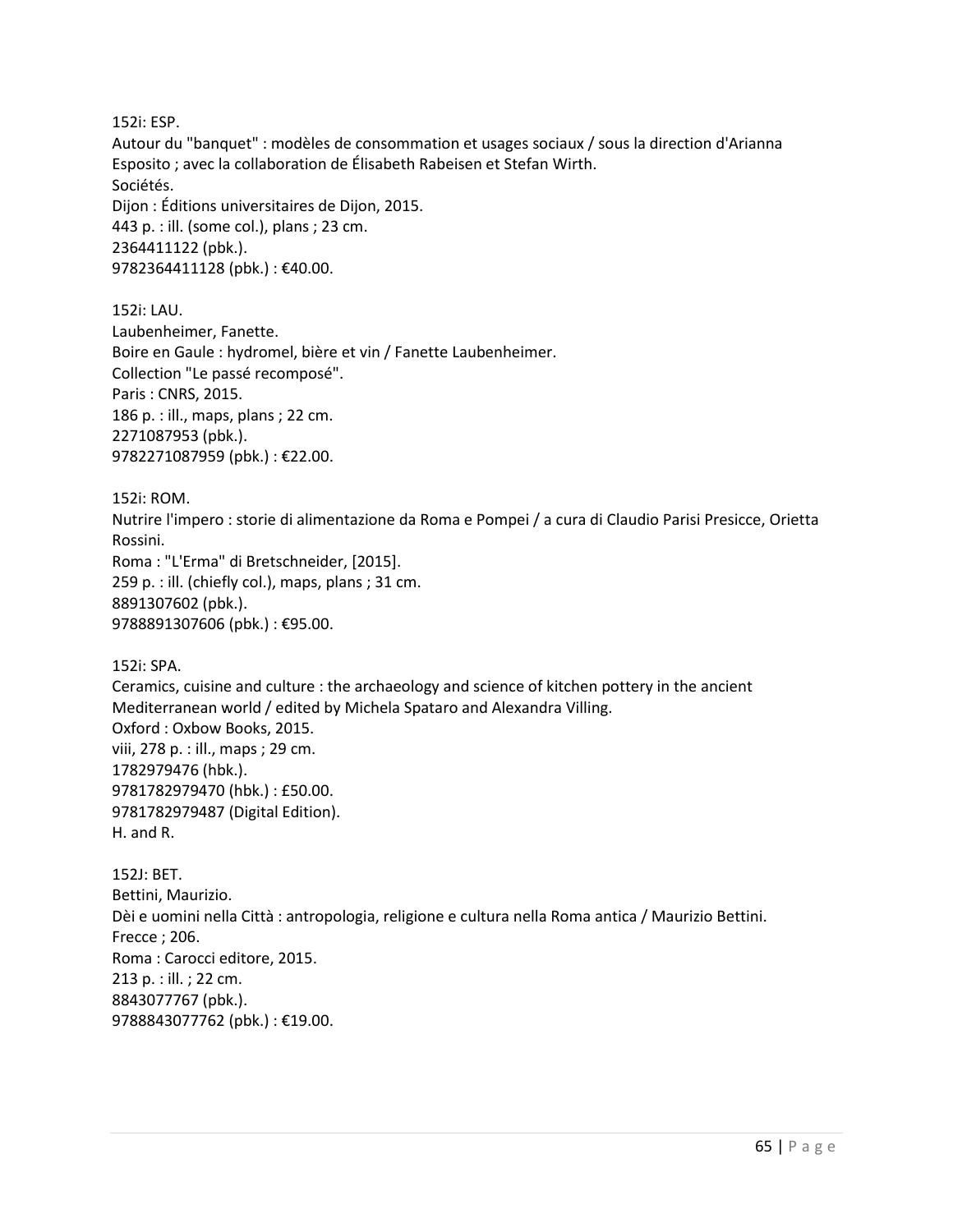152i: ESP.

Autour du "banquet" : modèles de consommation et usages sociaux / sous la direction d'Arianna Esposito ; avec la collaboration de Élisabeth Rabeisen et Stefan Wirth. Sociétés. Dijon : Éditions universitaires de Dijon, 2015. 443 p. : ill. (some col.), plans ; 23 cm. 2364411122 (pbk.). 9782364411128 (pbk.) : €40.00.

152i: LAU. Laubenheimer, Fanette. Boire en Gaule : hydromel, bière et vin / Fanette Laubenheimer. Collection "Le passé recomposé". Paris : CNRS, 2015. 186 p. : ill., maps, plans ; 22 cm. 2271087953 (pbk.). 9782271087959 (pbk.) : €22.00.

152i: ROM. Nutrire l'impero : storie di alimentazione da Roma e Pompei / a cura di Claudio Parisi Presicce, Orietta Rossini. Roma : "L'Erma" di Bretschneider, [2015]. 259 p. : ill. (chiefly col.), maps, plans ; 31 cm. 8891307602 (pbk.).

9788891307606 (pbk.) : €95.00.

152i: SPA.

Ceramics, cuisine and culture : the archaeology and science of kitchen pottery in the ancient Mediterranean world / edited by Michela Spataro and Alexandra Villing. Oxford : Oxbow Books, 2015. viii, 278 p. : ill., maps ; 29 cm. 1782979476 (hbk.). 9781782979470 (hbk.) : £50.00. 9781782979487 (Digital Edition). H. and R.

152J: BET. Bettini, Maurizio. Dèi e uomini nella Città : antropologia, religione e cultura nella Roma antica / Maurizio Bettini. Frecce ; 206. Roma : Carocci editore, 2015. 213 p. : ill. ; 22 cm. 8843077767 (pbk.). 9788843077762 (pbk.) : €19.00.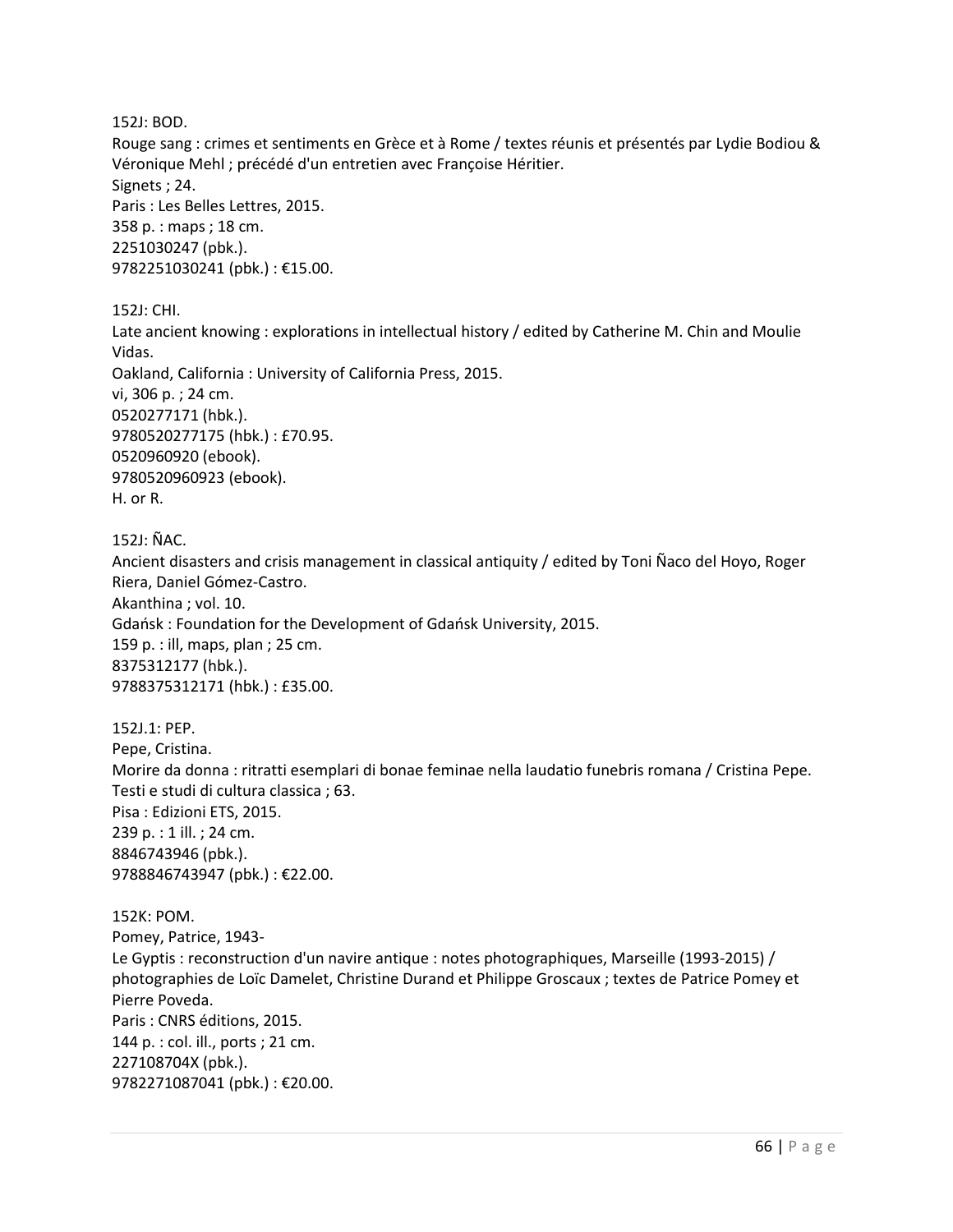152J: BOD.

Rouge sang : crimes et sentiments en Grèce et à Rome / textes réunis et présentés par Lydie Bodiou & Véronique Mehl ; précédé d'un entretien avec Françoise Héritier. Signets ; 24. Paris : Les Belles Lettres, 2015. 358 p. : maps ; 18 cm. 2251030247 (pbk.). 9782251030241 (pbk.) : €15.00.

152J: CHI.

Late ancient knowing : explorations in intellectual history / edited by Catherine M. Chin and Moulie Vidas. Oakland, California : University of California Press, 2015. vi, 306 p. ; 24 cm. 0520277171 (hbk.). 9780520277175 (hbk.) : £70.95. 0520960920 (ebook). 9780520960923 (ebook). H. or R.

152J: ÑAC.

Ancient disasters and crisis management in classical antiquity / edited by Toni Ñaco del Hoyo, Roger Riera, Daniel Gómez-Castro. Akanthina ; vol. 10. Gdańsk : Foundation for the Development of Gdańsk University, 2015. 159 p. : ill, maps, plan ; 25 cm. 8375312177 (hbk.). 9788375312171 (hbk.) : £35.00.

152J.1: PEP. Pepe, Cristina. Morire da donna : ritratti esemplari di bonae feminae nella laudatio funebris romana / Cristina Pepe. Testi e studi di cultura classica ; 63. Pisa : Edizioni ETS, 2015. 239 p. : 1 ill. ; 24 cm. 8846743946 (pbk.). 9788846743947 (pbk.) : €22.00.

152K: POM. Pomey, Patrice, 1943- Le Gyptis : reconstruction d'un navire antique : notes photographiques, Marseille (1993-2015) / photographies de Loïc Damelet, Christine Durand et Philippe Groscaux ; textes de Patrice Pomey et Pierre Poveda. Paris : CNRS éditions, 2015. 144 p. : col. ill., ports ; 21 cm. 227108704X (pbk.). 9782271087041 (pbk.) : €20.00.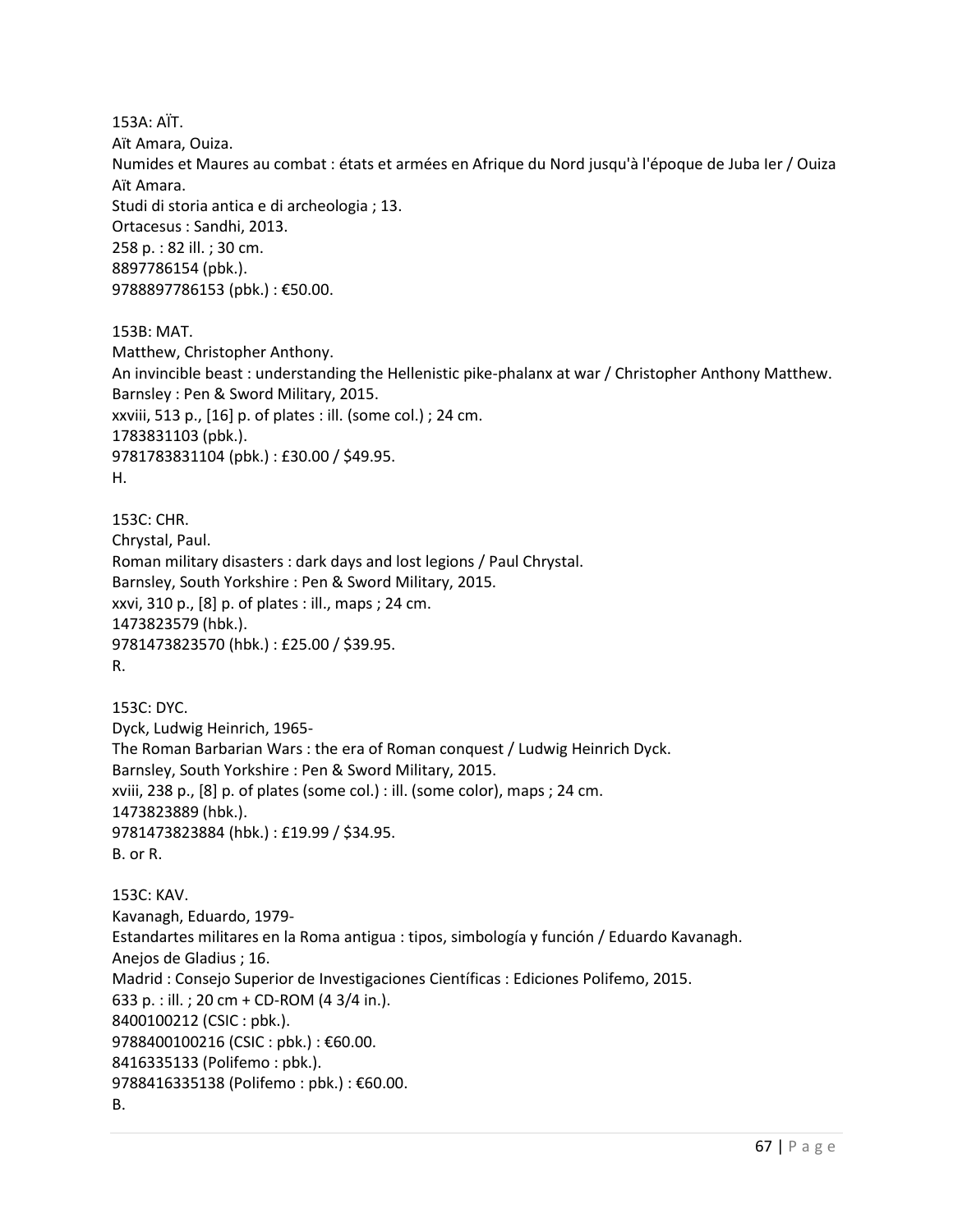153A: AÏT. Aït Amara, Ouiza. Numides et Maures au combat : états et armées en Afrique du Nord jusqu'à l'époque de Juba Ier / Ouiza Aït Amara. Studi di storia antica e di archeologia ; 13. Ortacesus : Sandhi, 2013. 258 p. : 82 ill. ; 30 cm. 8897786154 (pbk.). 9788897786153 (pbk.) : €50.00.

153B: MAT. Matthew, Christopher Anthony. An invincible beast : understanding the Hellenistic pike-phalanx at war / Christopher Anthony Matthew. Barnsley : Pen & Sword Military, 2015. xxviii, 513 p., [16] p. of plates : ill. (some col.) ; 24 cm. 1783831103 (pbk.). 9781783831104 (pbk.) : £30.00 / \$49.95. H.

153C: CHR. Chrystal, Paul. Roman military disasters : dark days and lost legions / Paul Chrystal. Barnsley, South Yorkshire : Pen & Sword Military, 2015. xxvi, 310 p., [8] p. of plates : ill., maps ; 24 cm. 1473823579 (hbk.). 9781473823570 (hbk.) : £25.00 / \$39.95. R.

153C: DYC. Dyck, Ludwig Heinrich, 1965- The Roman Barbarian Wars : the era of Roman conquest / Ludwig Heinrich Dyck. Barnsley, South Yorkshire : Pen & Sword Military, 2015. xviii, 238 p., [8] p. of plates (some col.) : ill. (some color), maps ; 24 cm. 1473823889 (hbk.). 9781473823884 (hbk.) : £19.99 / \$34.95. B. or R.

153C: KAV. Kavanagh, Eduardo, 1979- Estandartes militares en la Roma antigua : tipos, simbología y función / Eduardo Kavanagh. Anejos de Gladius ; 16. Madrid : Consejo Superior de Investigaciones Científicas : Ediciones Polifemo, 2015. 633 p. : ill. ; 20 cm + CD-ROM (4 3/4 in.). 8400100212 (CSIC : pbk.). 9788400100216 (CSIC : pbk.) : €60.00. 8416335133 (Polifemo : pbk.). 9788416335138 (Polifemo : pbk.) : €60.00. B.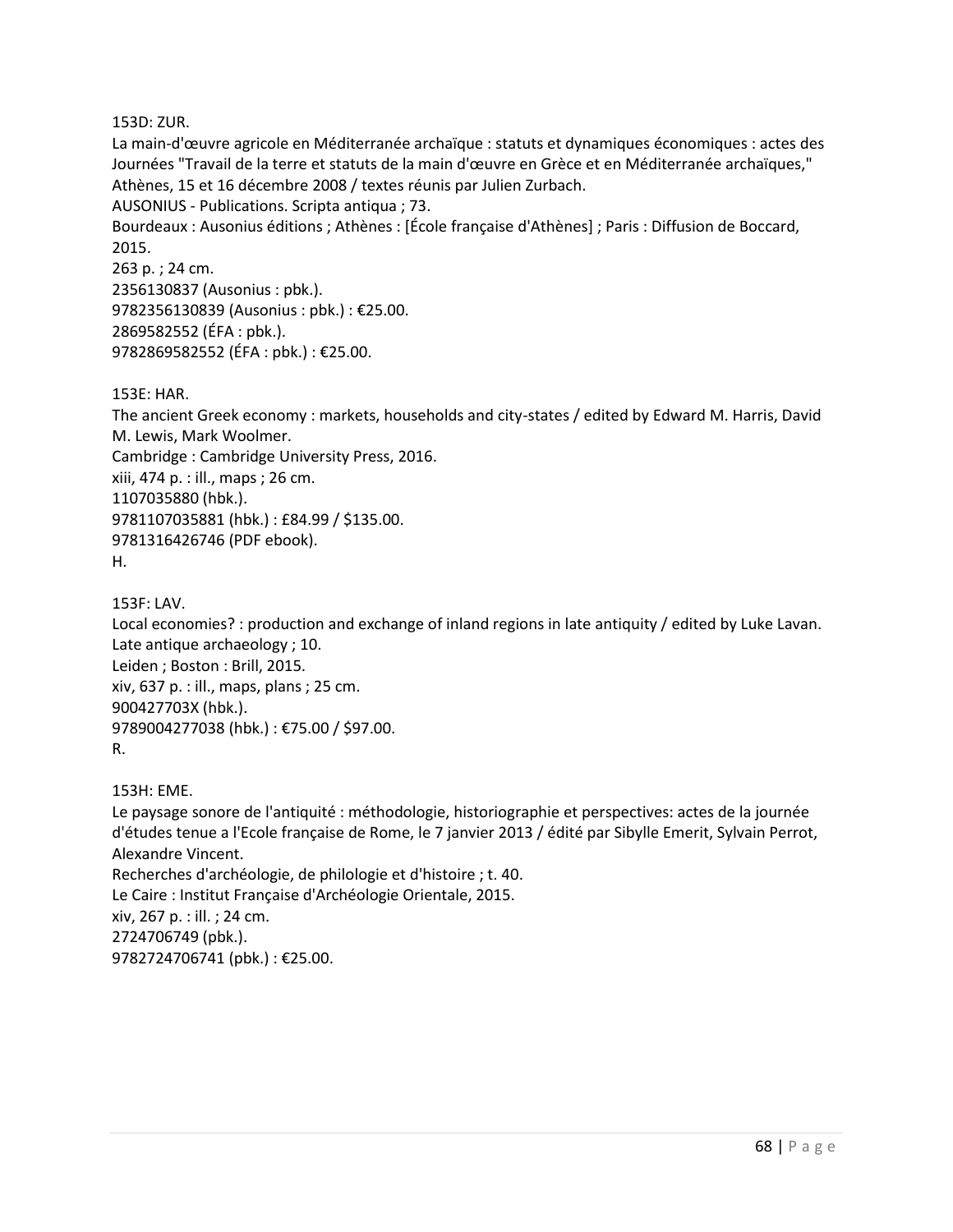153D: ZUR.

La main-d'œuvre agricole en Méditerranée archaïque : statuts et dynamiques économiques : actes des Journées "Travail de la terre et statuts de la main d'œuvre en Grèce et en Méditerranée archaïques," Athènes, 15 et 16 décembre 2008 / textes réunis par Julien Zurbach. AUSONIUS - Publications. Scripta antiqua ; 73. Bourdeaux : Ausonius éditions ; Athènes : [École française d'Athènes] ; Paris : Diffusion de Boccard, 2015. 263 p. ; 24 cm. 2356130837 (Ausonius : pbk.). 9782356130839 (Ausonius : pbk.) : €25.00. 2869582552 (ÉFA : pbk.). 9782869582552 (ÉFA : pbk.) : €25.00.

153E: HAR.

The ancient Greek economy : markets, households and city-states / edited by Edward M. Harris, David M. Lewis, Mark Woolmer. Cambridge : Cambridge University Press, 2016. xiii, 474 p. : ill., maps ; 26 cm. 1107035880 (hbk.). 9781107035881 (hbk.) : £84.99 / \$135.00. 9781316426746 (PDF ebook). H.

153F: LAV.

Local economies? : production and exchange of inland regions in late antiquity / edited by Luke Lavan. Late antique archaeology ; 10. Leiden ; Boston : Brill, 2015. xiv, 637 p. : ill., maps, plans ; 25 cm. 900427703X (hbk.). 9789004277038 (hbk.) : €75.00 / \$97.00. R.

153H: EME.

Le paysage sonore de l'antiquité : méthodologie, historiographie et perspectives: actes de la journée d'études tenue a l'Ecole française de Rome, le 7 janvier 2013 / édité par Sibylle Emerit, Sylvain Perrot, Alexandre Vincent. Recherches d'archéologie, de philologie et d'histoire ; t. 40. Le Caire : Institut Française d'Archéologie Orientale, 2015. xiv, 267 p. : ill. ; 24 cm. 2724706749 (pbk.). 9782724706741 (pbk.) : €25.00.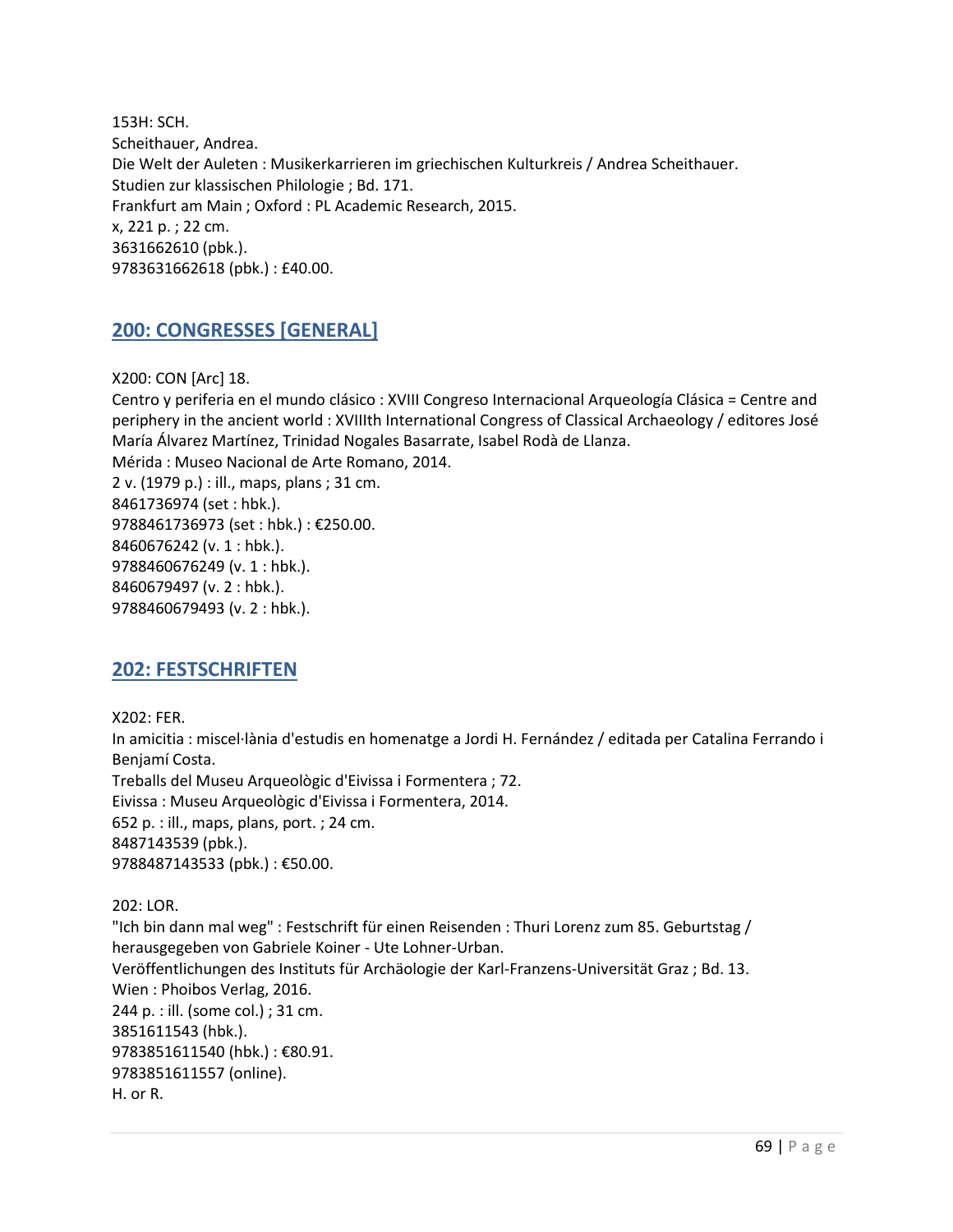153H: SCH. Scheithauer, Andrea. Die Welt der Auleten : Musikerkarrieren im griechischen Kulturkreis / Andrea Scheithauer. Studien zur klassischen Philologie ; Bd. 171. Frankfurt am Main ; Oxford : PL Academic Research, 2015. x, 221 p. ; 22 cm. 3631662610 (pbk.). 9783631662618 (pbk.) : £40.00.

### **200: CONGRESSES [GENERAL]**

X200: CON [Arc] 18.

Centro y periferia en el mundo clásico : XVIII Congreso Internacional Arqueología Clásica = Centre and periphery in the ancient world : XVIIIth International Congress of Classical Archaeology / editores José María Álvarez Martínez, Trinidad Nogales Basarrate, Isabel Rodà de Llanza. Mérida : Museo Nacional de Arte Romano, 2014. 2 v. (1979 p.) : ill., maps, plans ; 31 cm. 8461736974 (set : hbk.). 9788461736973 (set : hbk.) : €250.00. 8460676242 (v. 1 : hbk.). 9788460676249 (v. 1 : hbk.). 8460679497 (v. 2 : hbk.). 9788460679493 (v. 2 : hbk.).

# **202: FESTSCHRIFTEN**

X202: FER. In amicitia : miscel·lània d'estudis en homenatge a Jordi H. Fernández / editada per Catalina Ferrando i Benjamí Costa. Treballs del Museu Arqueològic d'Eivissa i Formentera ; 72. Eivissa : Museu Arqueològic d'Eivissa i Formentera, 2014. 652 p. : ill., maps, plans, port. ; 24 cm. 8487143539 (pbk.). 9788487143533 (pbk.) : €50.00.

202: LOR. "Ich bin dann mal weg" : Festschrift für einen Reisenden : Thuri Lorenz zum 85. Geburtstag / herausgegeben von Gabriele Koiner - Ute Lohner-Urban. Veröffentlichungen des Instituts für Archäologie der Karl-Franzens-Universität Graz ; Bd. 13. Wien : Phoibos Verlag, 2016. 244 p. : ill. (some col.) ; 31 cm. 3851611543 (hbk.). 9783851611540 (hbk.) : €80.91. 9783851611557 (online). H. or R.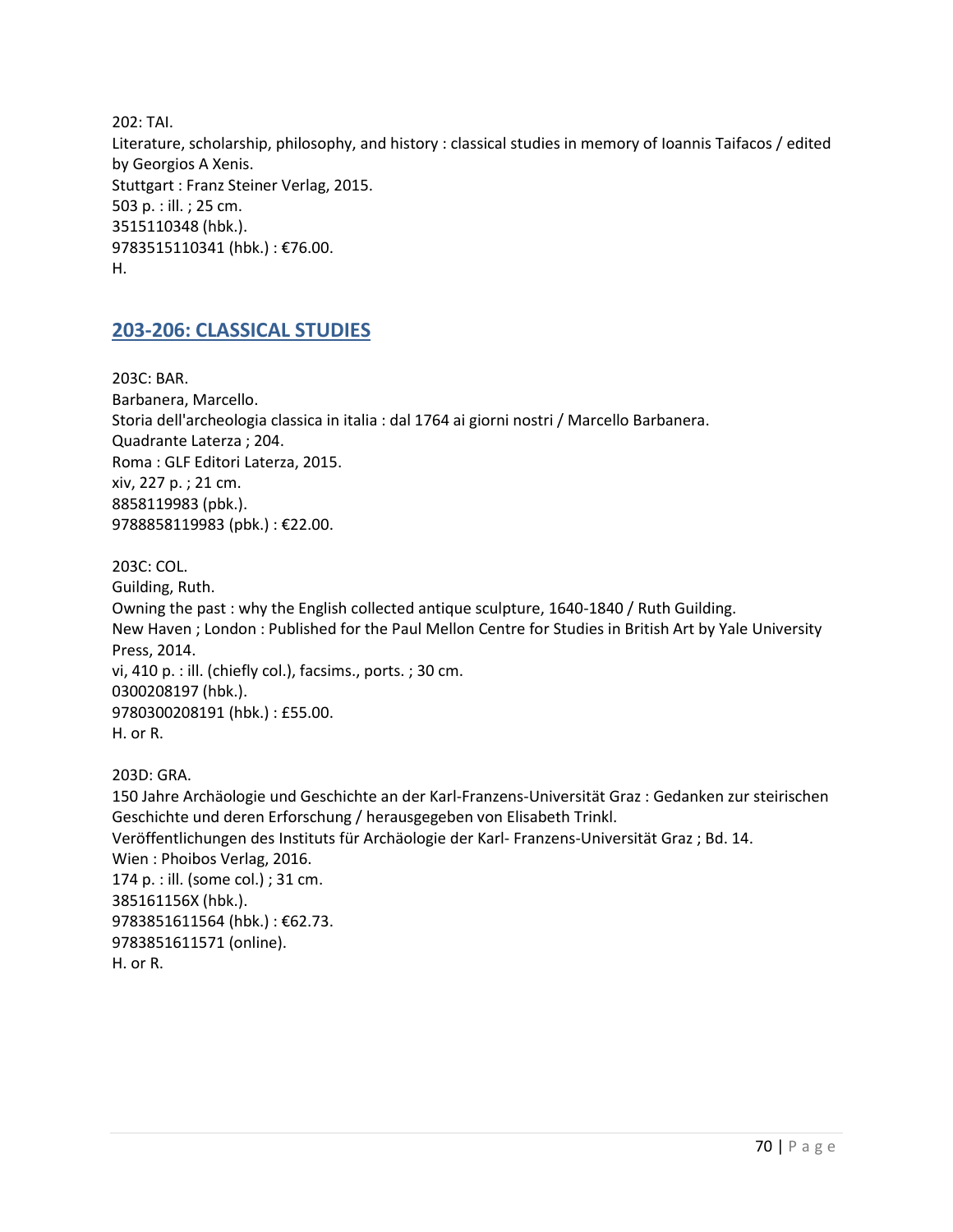202: TAI. Literature, scholarship, philosophy, and history : classical studies in memory of Ioannis Taifacos / edited by Georgios A Xenis. Stuttgart : Franz Steiner Verlag, 2015. 503 p. : ill. ; 25 cm. 3515110348 (hbk.). 9783515110341 (hbk.) : €76.00. H.

### **203-206: CLASSICAL STUDIES**

203C: BAR. Barbanera, Marcello. Storia dell'archeologia classica in italia : dal 1764 ai giorni nostri / Marcello Barbanera. Quadrante Laterza ; 204. Roma : GLF Editori Laterza, 2015. xiv, 227 p. ; 21 cm. 8858119983 (pbk.). 9788858119983 (pbk.) : €22.00.

203C: COL. Guilding, Ruth. Owning the past : why the English collected antique sculpture, 1640-1840 / Ruth Guilding. New Haven ; London : Published for the Paul Mellon Centre for Studies in British Art by Yale University Press, 2014. vi, 410 p. : ill. (chiefly col.), facsims., ports. ; 30 cm. 0300208197 (hbk.). 9780300208191 (hbk.) : £55.00. H. or R.

203D: GRA. 150 Jahre Archäologie und Geschichte an der Karl-Franzens-Universität Graz : Gedanken zur steirischen Geschichte und deren Erforschung / herausgegeben von Elisabeth Trinkl. Veröffentlichungen des Instituts für Archäologie der Karl- Franzens-Universität Graz ; Bd. 14. Wien : Phoibos Verlag, 2016. 174 p. : ill. (some col.) ; 31 cm. 385161156X (hbk.). 9783851611564 (hbk.) : €62.73. 9783851611571 (online). H. or R.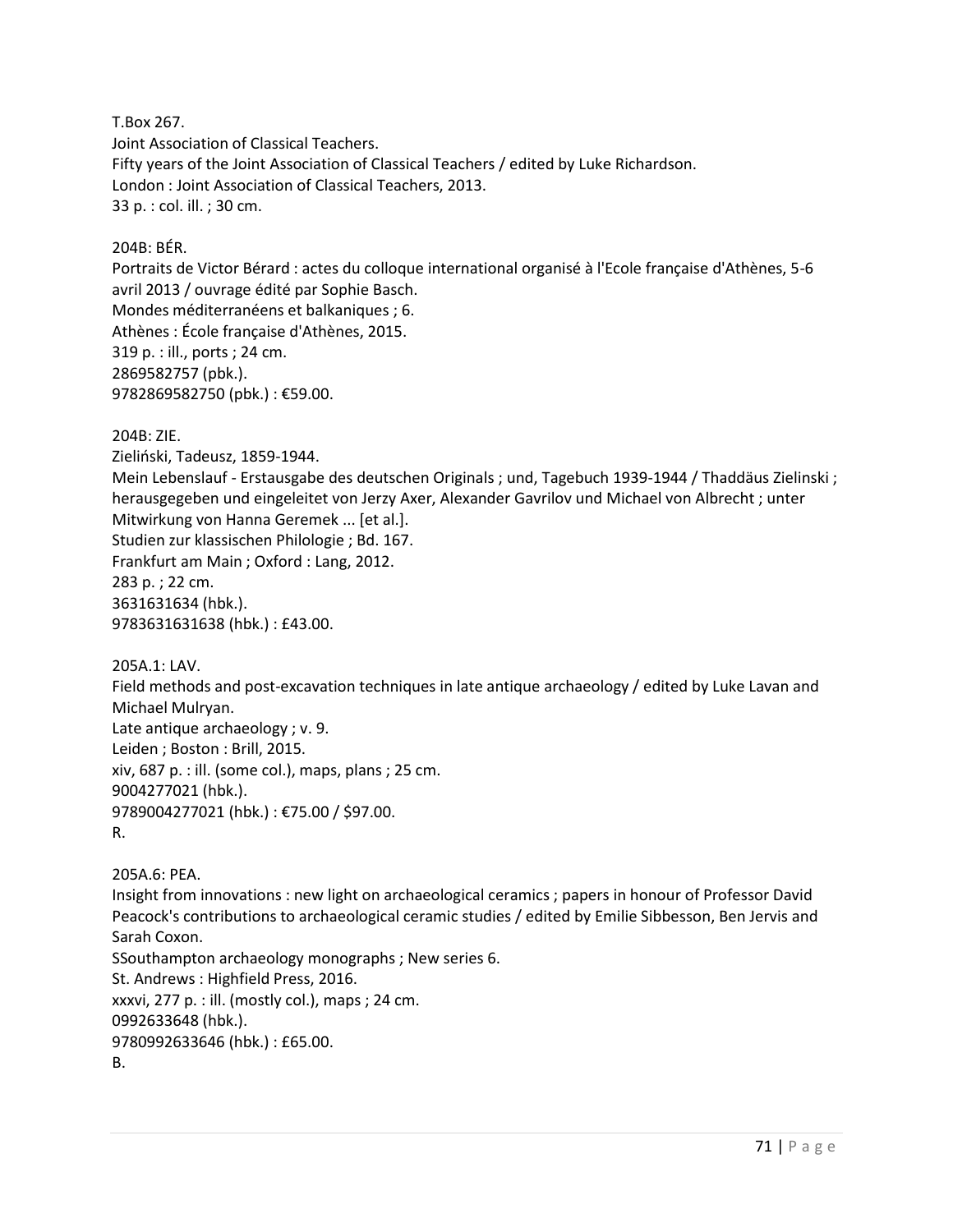T.Box 267. Joint Association of Classical Teachers. Fifty years of the Joint Association of Classical Teachers / edited by Luke Richardson. London : Joint Association of Classical Teachers, 2013. 33 p. : col. ill. ; 30 cm.

#### 204B: BÉR.

Portraits de Victor Bérard : actes du colloque international organisé à l'Ecole française d'Athènes, 5-6 avril 2013 / ouvrage édité par Sophie Basch. Mondes méditerranéens et balkaniques ; 6. Athènes : École française d'Athènes, 2015. 319 p. : ill., ports ; 24 cm. 2869582757 (pbk.). 9782869582750 (pbk.) : €59.00.

204B: ZIE.

Zieliński, Tadeusz, 1859-1944.

Mein Lebenslauf - Erstausgabe des deutschen Originals ; und, Tagebuch 1939-1944 / Thaddäus Zielinski ; herausgegeben und eingeleitet von Jerzy Axer, Alexander Gavrilov und Michael von Albrecht ; unter Mitwirkung von Hanna Geremek ... [et al.]. Studien zur klassischen Philologie ; Bd. 167. Frankfurt am Main ; Oxford : Lang, 2012. 283 p. ; 22 cm. 3631631634 (hbk.). 9783631631638 (hbk.) : £43.00.

205A.1: LAV.

Field methods and post-excavation techniques in late antique archaeology / edited by Luke Lavan and Michael Mulryan. Late antique archaeology ; v. 9. Leiden ; Boston : Brill, 2015. xiv, 687 p. : ill. (some col.), maps, plans ; 25 cm. 9004277021 (hbk.). 9789004277021 (hbk.) : €75.00 / \$97.00. R.

205A.6: PEA.

Insight from innovations : new light on archaeological ceramics ; papers in honour of Professor David Peacock's contributions to archaeological ceramic studies / edited by Emilie Sibbesson, Ben Jervis and Sarah Coxon.

SSouthampton archaeology monographs ; New series 6. St. Andrews : Highfield Press, 2016. xxxvi, 277 p. : ill. (mostly col.), maps ; 24 cm. 0992633648 (hbk.). 9780992633646 (hbk.) : £65.00. B.